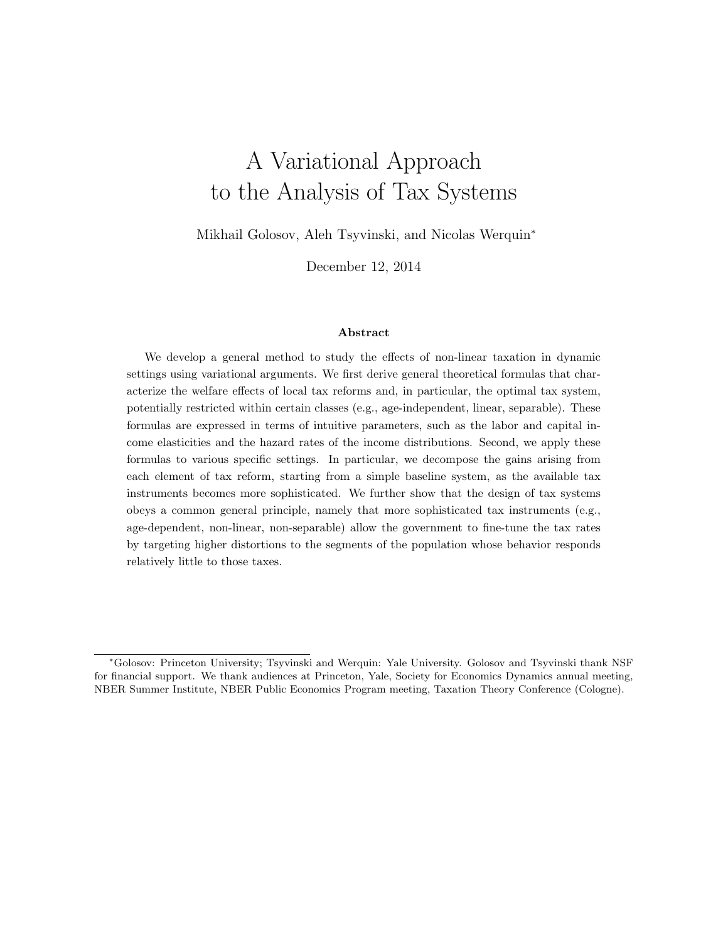# A Variational Approach to the Analysis of Tax Systems

Mikhail Golosov, Aleh Tsyvinski, and Nicolas Werquin<sup>∗</sup>

December 12, 2014

## Abstract

We develop a general method to study the effects of non-linear taxation in dynamic settings using variational arguments. We first derive general theoretical formulas that characterize the welfare effects of local tax reforms and, in particular, the optimal tax system, potentially restricted within certain classes (e.g., age-independent, linear, separable). These formulas are expressed in terms of intuitive parameters, such as the labor and capital income elasticities and the hazard rates of the income distributions. Second, we apply these formulas to various specific settings. In particular, we decompose the gains arising from each element of tax reform, starting from a simple baseline system, as the available tax instruments becomes more sophisticated. We further show that the design of tax systems obeys a common general principle, namely that more sophisticated tax instruments (e.g., age-dependent, non-linear, non-separable) allow the government to fine-tune the tax rates by targeting higher distortions to the segments of the population whose behavior responds relatively little to those taxes.

<sup>∗</sup>Golosov: Princeton University; Tsyvinski and Werquin: Yale University. Golosov and Tsyvinski thank NSF for financial support. We thank audiences at Princeton, Yale, Society for Economics Dynamics annual meeting, NBER Summer Institute, NBER Public Economics Program meeting, Taxation Theory Conference (Cologne).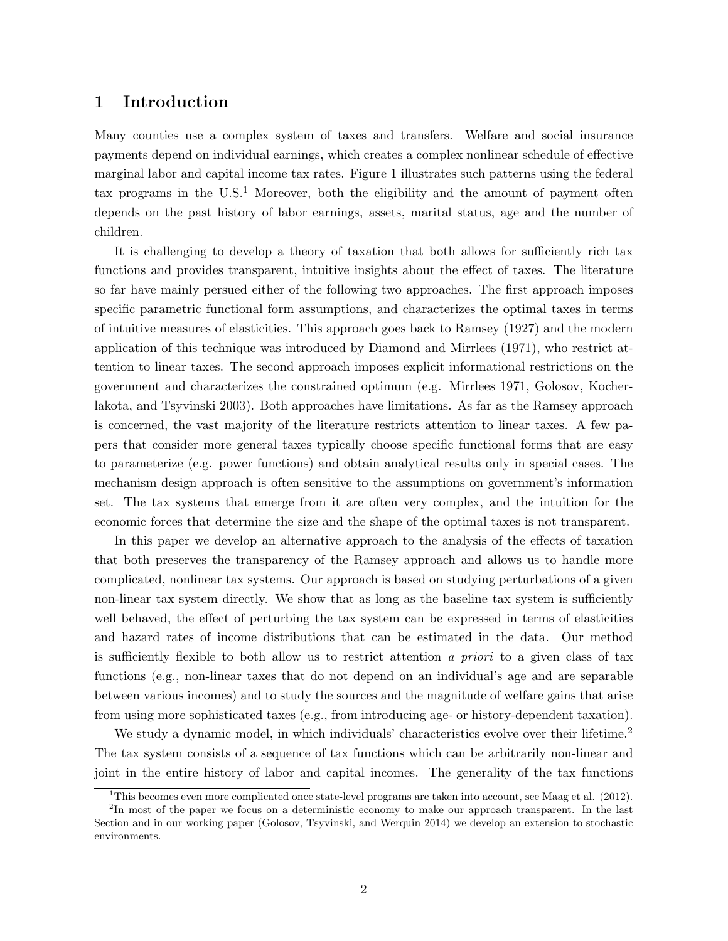## 1 Introduction

Many counties use a complex system of taxes and transfers. Welfare and social insurance payments depend on individual earnings, which creates a complex nonlinear schedule of effective marginal labor and capital income tax rates. Figure 1 illustrates such patterns using the federal tax programs in the  $U.S.<sup>1</sup>$  Moreover, both the eligibility and the amount of payment often depends on the past history of labor earnings, assets, marital status, age and the number of children.

It is challenging to develop a theory of taxation that both allows for sufficiently rich tax functions and provides transparent, intuitive insights about the effect of taxes. The literature so far have mainly persued either of the following two approaches. The first approach imposes specific parametric functional form assumptions, and characterizes the optimal taxes in terms of intuitive measures of elasticities. This approach goes back to Ramsey (1927) and the modern application of this technique was introduced by Diamond and Mirrlees (1971), who restrict attention to linear taxes. The second approach imposes explicit informational restrictions on the government and characterizes the constrained optimum (e.g. Mirrlees 1971, Golosov, Kocherlakota, and Tsyvinski 2003). Both approaches have limitations. As far as the Ramsey approach is concerned, the vast majority of the literature restricts attention to linear taxes. A few papers that consider more general taxes typically choose specific functional forms that are easy to parameterize (e.g. power functions) and obtain analytical results only in special cases. The mechanism design approach is often sensitive to the assumptions on government's information set. The tax systems that emerge from it are often very complex, and the intuition for the economic forces that determine the size and the shape of the optimal taxes is not transparent.

In this paper we develop an alternative approach to the analysis of the effects of taxation that both preserves the transparency of the Ramsey approach and allows us to handle more complicated, nonlinear tax systems. Our approach is based on studying perturbations of a given non-linear tax system directly. We show that as long as the baseline tax system is sufficiently well behaved, the effect of perturbing the tax system can be expressed in terms of elasticities and hazard rates of income distributions that can be estimated in the data. Our method is sufficiently flexible to both allow us to restrict attention a priori to a given class of tax functions (e.g., non-linear taxes that do not depend on an individual's age and are separable between various incomes) and to study the sources and the magnitude of welfare gains that arise from using more sophisticated taxes (e.g., from introducing age- or history-dependent taxation).

We study a dynamic model, in which individuals' characteristics evolve over their lifetime.<sup>2</sup> The tax system consists of a sequence of tax functions which can be arbitrarily non-linear and joint in the entire history of labor and capital incomes. The generality of the tax functions

<sup>&</sup>lt;sup>1</sup>This becomes even more complicated once state-level programs are taken into account, see Maag et al.  $(2012)$ .

<sup>&</sup>lt;sup>2</sup>In most of the paper we focus on a deterministic economy to make our approach transparent. In the last Section and in our working paper (Golosov, Tsyvinski, and Werquin 2014) we develop an extension to stochastic environments.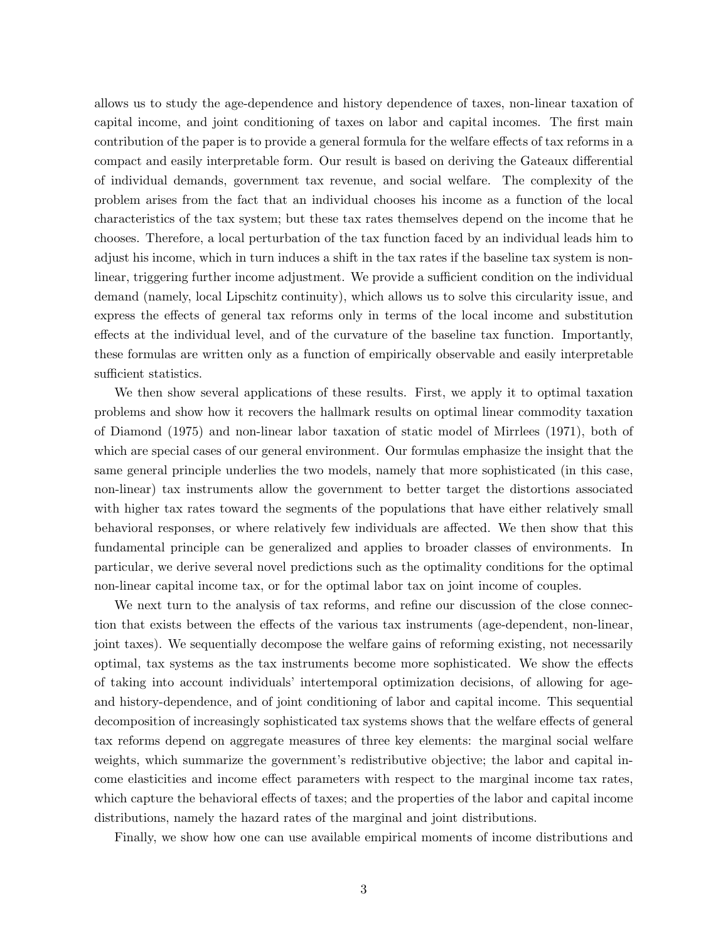allows us to study the age-dependence and history dependence of taxes, non-linear taxation of capital income, and joint conditioning of taxes on labor and capital incomes. The first main contribution of the paper is to provide a general formula for the welfare effects of tax reforms in a compact and easily interpretable form. Our result is based on deriving the Gateaux differential of individual demands, government tax revenue, and social welfare. The complexity of the problem arises from the fact that an individual chooses his income as a function of the local characteristics of the tax system; but these tax rates themselves depend on the income that he chooses. Therefore, a local perturbation of the tax function faced by an individual leads him to adjust his income, which in turn induces a shift in the tax rates if the baseline tax system is nonlinear, triggering further income adjustment. We provide a sufficient condition on the individual demand (namely, local Lipschitz continuity), which allows us to solve this circularity issue, and express the effects of general tax reforms only in terms of the local income and substitution effects at the individual level, and of the curvature of the baseline tax function. Importantly, these formulas are written only as a function of empirically observable and easily interpretable sufficient statistics.

We then show several applications of these results. First, we apply it to optimal taxation problems and show how it recovers the hallmark results on optimal linear commodity taxation of Diamond (1975) and non-linear labor taxation of static model of Mirrlees (1971), both of which are special cases of our general environment. Our formulas emphasize the insight that the same general principle underlies the two models, namely that more sophisticated (in this case, non-linear) tax instruments allow the government to better target the distortions associated with higher tax rates toward the segments of the populations that have either relatively small behavioral responses, or where relatively few individuals are affected. We then show that this fundamental principle can be generalized and applies to broader classes of environments. In particular, we derive several novel predictions such as the optimality conditions for the optimal non-linear capital income tax, or for the optimal labor tax on joint income of couples.

We next turn to the analysis of tax reforms, and refine our discussion of the close connection that exists between the effects of the various tax instruments (age-dependent, non-linear, joint taxes). We sequentially decompose the welfare gains of reforming existing, not necessarily optimal, tax systems as the tax instruments become more sophisticated. We show the effects of taking into account individuals' intertemporal optimization decisions, of allowing for ageand history-dependence, and of joint conditioning of labor and capital income. This sequential decomposition of increasingly sophisticated tax systems shows that the welfare effects of general tax reforms depend on aggregate measures of three key elements: the marginal social welfare weights, which summarize the government's redistributive objective; the labor and capital income elasticities and income effect parameters with respect to the marginal income tax rates, which capture the behavioral effects of taxes; and the properties of the labor and capital income distributions, namely the hazard rates of the marginal and joint distributions.

Finally, we show how one can use available empirical moments of income distributions and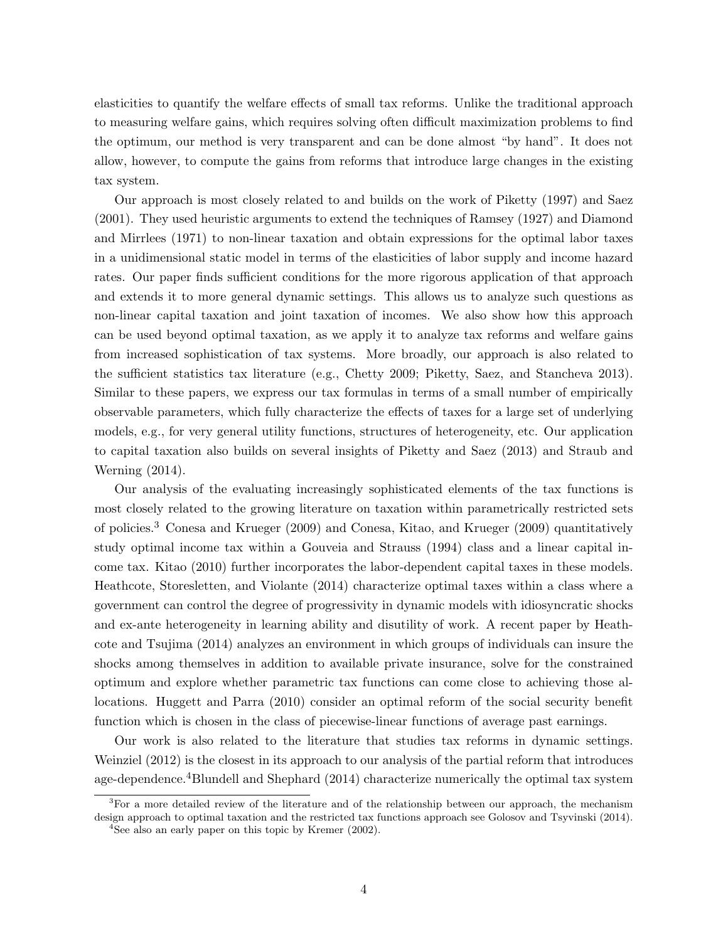elasticities to quantify the welfare effects of small tax reforms. Unlike the traditional approach to measuring welfare gains, which requires solving often difficult maximization problems to find the optimum, our method is very transparent and can be done almost "by hand". It does not allow, however, to compute the gains from reforms that introduce large changes in the existing tax system.

Our approach is most closely related to and builds on the work of Piketty (1997) and Saez (2001). They used heuristic arguments to extend the techniques of Ramsey (1927) and Diamond and Mirrlees (1971) to non-linear taxation and obtain expressions for the optimal labor taxes in a unidimensional static model in terms of the elasticities of labor supply and income hazard rates. Our paper finds sufficient conditions for the more rigorous application of that approach and extends it to more general dynamic settings. This allows us to analyze such questions as non-linear capital taxation and joint taxation of incomes. We also show how this approach can be used beyond optimal taxation, as we apply it to analyze tax reforms and welfare gains from increased sophistication of tax systems. More broadly, our approach is also related to the sufficient statistics tax literature (e.g., Chetty 2009; Piketty, Saez, and Stancheva 2013). Similar to these papers, we express our tax formulas in terms of a small number of empirically observable parameters, which fully characterize the effects of taxes for a large set of underlying models, e.g., for very general utility functions, structures of heterogeneity, etc. Our application to capital taxation also builds on several insights of Piketty and Saez (2013) and Straub and Werning (2014).

Our analysis of the evaluating increasingly sophisticated elements of the tax functions is most closely related to the growing literature on taxation within parametrically restricted sets of policies.<sup>3</sup> Conesa and Krueger (2009) and Conesa, Kitao, and Krueger (2009) quantitatively study optimal income tax within a Gouveia and Strauss (1994) class and a linear capital income tax. Kitao (2010) further incorporates the labor-dependent capital taxes in these models. Heathcote, Storesletten, and Violante (2014) characterize optimal taxes within a class where a government can control the degree of progressivity in dynamic models with idiosyncratic shocks and ex-ante heterogeneity in learning ability and disutility of work. A recent paper by Heathcote and Tsujima (2014) analyzes an environment in which groups of individuals can insure the shocks among themselves in addition to available private insurance, solve for the constrained optimum and explore whether parametric tax functions can come close to achieving those allocations. Huggett and Parra (2010) consider an optimal reform of the social security benefit function which is chosen in the class of piecewise-linear functions of average past earnings.

Our work is also related to the literature that studies tax reforms in dynamic settings. Weinziel (2012) is the closest in its approach to our analysis of the partial reform that introduces age-dependence.4Blundell and Shephard (2014) characterize numerically the optimal tax system

 ${}^{3}$ For a more detailed review of the literature and of the relationship between our approach, the mechanism design approach to optimal taxation and the restricted tax functions approach see Golosov and Tsyvinski (2014).

<sup>4</sup>See also an early paper on this topic by Kremer (2002).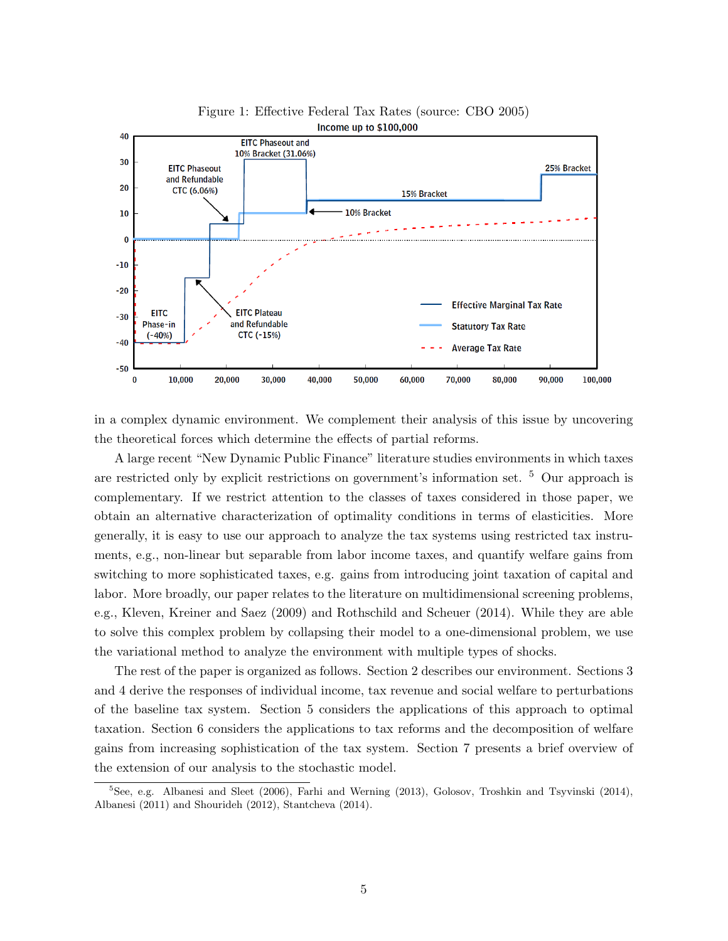

Figure 1: Effective Federal Tax Rates (source: CBO 2005)

in a complex dynamic environment. We complement their analysis of this issue by uncovering the theoretical forces which determine the effects of partial reforms.

A large recent "New Dynamic Public Finance" literature studies environments in which taxes are restricted only by explicit restrictions on government's information set.  $5$  Our approach is complementary. If we restrict attention to the classes of taxes considered in those paper, we obtain an alternative characterization of optimality conditions in terms of elasticities. More generally, it is easy to use our approach to analyze the tax systems using restricted tax instruments, e.g., non-linear but separable from labor income taxes, and quantify welfare gains from switching to more sophisticated taxes, e.g. gains from introducing joint taxation of capital and labor. More broadly, our paper relates to the literature on multidimensional screening problems, e.g., Kleven, Kreiner and Saez (2009) and Rothschild and Scheuer (2014). While they are able to solve this complex problem by collapsing their model to a one-dimensional problem, we use the variational method to analyze the environment with multiple types of shocks.

The rest of the paper is organized as follows. Section 2 describes our environment. Sections 3 and 4 derive the responses of individual income, tax revenue and social welfare to perturbations of the baseline tax system. Section 5 considers the applications of this approach to optimal taxation. Section 6 considers the applications to tax reforms and the decomposition of welfare gains from increasing sophistication of the tax system. Section 7 presents a brief overview of the extension of our analysis to the stochastic model.

 ${}^{5}$ See, e.g. Albanesi and Sleet (2006), Farhi and Werning (2013), Golosov, Troshkin and Tsyvinski (2014), Albanesi (2011) and Shourideh (2012), Stantcheva (2014).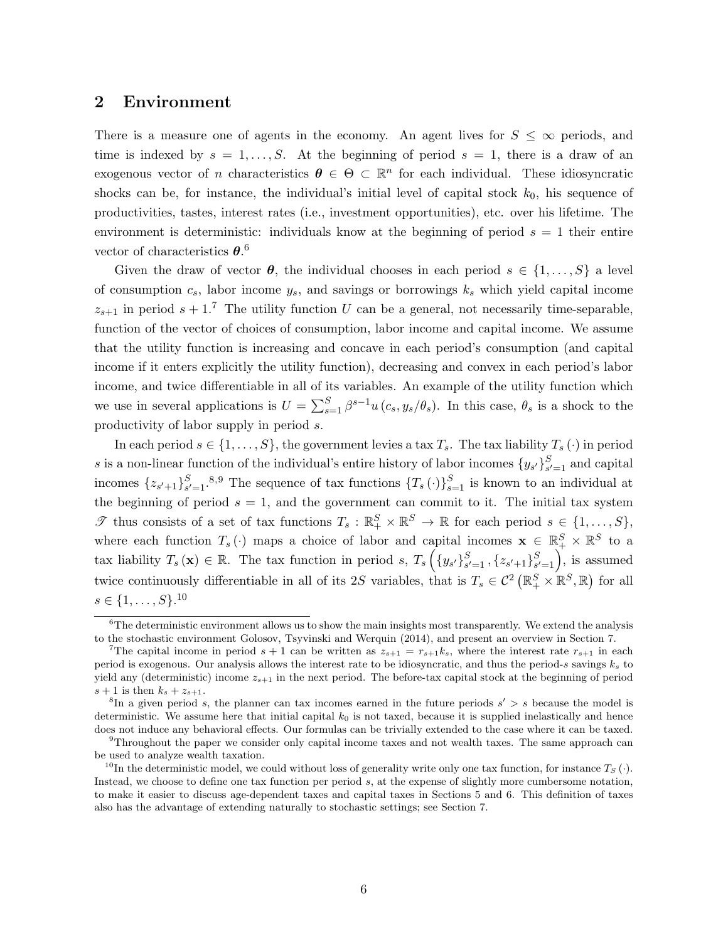## 2 Environment

There is a measure one of agents in the economy. An agent lives for  $S \leq \infty$  periods, and time is indexed by  $s = 1, \ldots, S$ . At the beginning of period  $s = 1$ , there is a draw of an exogenous vector of *n* characteristics  $\theta \in \Theta \subset \mathbb{R}^n$  for each individual. These idiosyncratic shocks can be, for instance, the individual's initial level of capital stock  $k_0$ , his sequence of productivities, tastes, interest rates (i.e., investment opportunities), etc. over his lifetime. The environment is deterministic: individuals know at the beginning of period  $s = 1$  their entire vector of characteristics  $\theta$ .<sup>6</sup>

Given the draw of vector  $\theta$ , the individual chooses in each period  $s \in \{1, \ldots, S\}$  a level of consumption  $c_s$ , labor income  $y_s$ , and savings or borrowings  $k_s$  which yield capital income  $z_{s+1}$  in period  $s + 1$ .<sup>7</sup> The utility function U can be a general, not necessarily time-separable, function of the vector of choices of consumption, labor income and capital income. We assume that the utility function is increasing and concave in each period's consumption (and capital income if it enters explicitly the utility function), decreasing and convex in each period's labor income, and twice differentiable in all of its variables. An example of the utility function which we use in several applications is  $U = \sum_{s=1}^{S} \beta^{s-1} u(c_s, y_s/\theta_s)$ . In this case,  $\theta_s$  is a shock to the productivity of labor supply in period s.

In each period  $s \in \{1, \ldots, S\}$ , the government levies a tax  $T_s$ . The tax liability  $T_s(\cdot)$  in period s is a non-linear function of the individual's entire history of labor incomes  $\{y_{s'}\}_{s'}^{S}$  $s' = 1$  and capital incomes  $\{z_{s'+1}\}_{s'}^S$  $S_{s'=1}^{S,9}$  The sequence of tax functions  $\{T_s(\cdot)\}_{s=1}^S$  is known to an individual at the beginning of period  $s = 1$ , and the government can commit to it. The initial tax system Thus consists of a set of tax functions  $T_s : \mathbb{R}_+^S \times \mathbb{R}^S \to \mathbb{R}$  for each period  $s \in \{1, ..., S\}$ , where each function  $T_s(\cdot)$  maps a choice of labor and capital incomes  $\mathbf{x} \in \mathbb{R}_+^S \times \mathbb{R}^S$  to a tax liability  $T_s(\mathbf{x}) \in \mathbb{R}$ . The tax function in period s,  $T_s \left( \{y_{s'}\}_{s'}^S \right)$  $S_{s'=1}$  ,  $\{z_{s'+1}\}_{s'}^S$  $S_{s'=1}^{S}$ , is assumed twice continuously differentiable in all of its 2S variables, that is  $T_s \in C^2 (\mathbb{R}^S_+ \times \mathbb{R}^S, \mathbb{R})$  for all  $s \in \{1, \ldots, S\}$ <sup>10</sup>

 ${}^{6}$ The deterministic environment allows us to show the main insights most transparently. We extend the analysis to the stochastic environment Golosov, Tsyvinski and Werquin (2014), and present an overview in Section 7.

<sup>&</sup>lt;sup>7</sup>The capital income in period  $s + 1$  can be written as  $z_{s+1} = r_{s+1}k_s$ , where the interest rate  $r_{s+1}$  in each period is exogenous. Our analysis allows the interest rate to be idiosyncratic, and thus the period-s savings  $k_s$  to yield any (deterministic) income  $z_{s+1}$  in the next period. The before-tax capital stock at the beginning of period  $s+1$  is then  $k_s + z_{s+1}$ .

 ${}^8$ In a given period s, the planner can tax incomes earned in the future periods  $s' > s$  because the model is deterministic. We assume here that initial capital  $k_0$  is not taxed, because it is supplied inelastically and hence does not induce any behavioral effects. Our formulas can be trivially extended to the case where it can be taxed.

<sup>9</sup>Throughout the paper we consider only capital income taxes and not wealth taxes. The same approach can be used to analyze wealth taxation.

<sup>&</sup>lt;sup>10</sup>In the deterministic model, we could without loss of generality write only one tax function, for instance  $T_S(\cdot)$ . Instead, we choose to define one tax function per period s, at the expense of slightly more cumbersome notation, to make it easier to discuss age-dependent taxes and capital taxes in Sections 5 and 6. This definition of taxes also has the advantage of extending naturally to stochastic settings; see Section 7.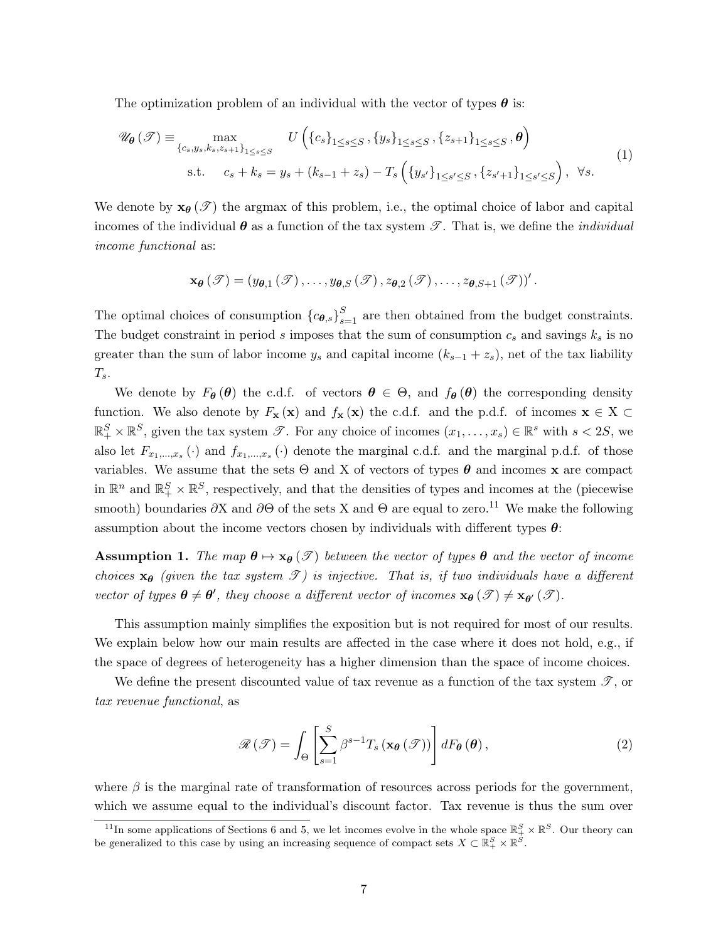The optimization problem of an individual with the vector of types  $\boldsymbol{\theta}$  is:

$$
\mathscr{U}_{\theta}(\mathscr{T}) \equiv \max_{\{c_s, y_s, k_s, z_{s+1}\}_{1 \le s \le S}} U\left(\{c_s\}_{1 \le s \le S}, \{y_s\}_{1 \le s \le S}, \{z_{s+1}\}_{1 \le s \le S}, \theta\right)
$$
  
s.t.  $c_s + k_s = y_s + (k_{s-1} + z_s) - T_s\left(\{y_{s'}\}_{1 \le s' \le S}, \{z_{s'+1}\}_{1 \le s' \le S}\right), \forall s.$  (1)

We denote by  $\mathbf{x}_{\theta}(\mathcal{I})$  the argmax of this problem, i.e., the optimal choice of labor and capital incomes of the individual  $\theta$  as a function of the tax system  $\mathscr{T}$ . That is, we define the *individual* income functional as:

$$
\mathbf{x}_{\boldsymbol{\theta}}(\mathscr{T})=(y_{\boldsymbol{\theta},1}(\mathscr{T}),\ldots,y_{\boldsymbol{\theta},S}(\mathscr{T}),z_{\boldsymbol{\theta},2}(\mathscr{T}),\ldots,z_{\boldsymbol{\theta},S+1}(\mathscr{T}))'.
$$

The optimal choices of consumption  ${c_{\theta,s}}_{s=1}^S$  are then obtained from the budget constraints. The budget constraint in period s imposes that the sum of consumption  $c_s$  and savings  $k_s$  is no greater than the sum of labor income  $y_s$  and capital income  $(k_{s-1} + z_s)$ , net of the tax liability  $T_s$ .

We denote by  $F_{\theta}(\theta)$  the c.d.f. of vectors  $\theta \in \Theta$ , and  $f_{\theta}(\theta)$  the corresponding density function. We also denote by  $F_{\mathbf{x}}(\mathbf{x})$  and  $f_{\mathbf{x}}(\mathbf{x})$  the c.d.f. and the p.d.f. of incomes  $\mathbf{x} \in X \subset$  $\mathbb{R}^S_+ \times \mathbb{R}^S$ , given the tax system  $\mathscr{T}$ . For any choice of incomes  $(x_1, \ldots, x_s) \in \mathbb{R}^s$  with  $s < 2S$ , we also let  $F_{x_1,...,x_s}(\cdot)$  and  $f_{x_1,...,x_s}(\cdot)$  denote the marginal c.d.f. and the marginal p.d.f. of those variables. We assume that the sets  $\Theta$  and X of vectors of types  $\theta$  and incomes x are compact in  $\mathbb{R}^n$  and  $\mathbb{R}^S_+ \times \mathbb{R}^S$ , respectively, and that the densities of types and incomes at the (piecewise smooth) boundaries  $\partial X$  and  $\partial \Theta$  of the sets X and  $\Theta$  are equal to zero.<sup>11</sup> We make the following assumption about the income vectors chosen by individuals with different types  $\theta$ :

**Assumption 1.** The map  $\theta \mapsto x_{\theta}(\mathscr{T})$  between the vector of types  $\theta$  and the vector of income choices  $x_{\theta}$  (given the tax system  $\mathcal{T}$ ) is injective. That is, if two individuals have a different vector of types  $\theta \neq \theta'$ , they choose a different vector of incomes  $x_{\theta}(\mathscr{T}) \neq x_{\theta'}(\mathscr{T})$ .

This assumption mainly simplifies the exposition but is not required for most of our results. We explain below how our main results are affected in the case where it does not hold, e.g., if the space of degrees of heterogeneity has a higher dimension than the space of income choices.

We define the present discounted value of tax revenue as a function of the tax system  $\mathscr{T}$ , or tax revenue functional, as

$$
\mathcal{R}(\mathcal{F}) = \int_{\Theta} \left[ \sum_{s=1}^{S} \beta^{s-1} T_s \left( \mathbf{x}_{\theta}(\mathcal{F}) \right) \right] dF_{\theta}(\theta), \qquad (2)
$$

where  $\beta$  is the marginal rate of transformation of resources across periods for the government, which we assume equal to the individual's discount factor. Tax revenue is thus the sum over

<sup>&</sup>lt;sup>11</sup>In some applications of Sections 6 and 5, we let incomes evolve in the whole space  $\mathbb{R}^S_+ \times \mathbb{R}^S$ . Our theory can be generalized to this case by using an increasing sequence of compact sets  $X \subset \mathbb{R}_+^S \times \mathbb{R}^S$ .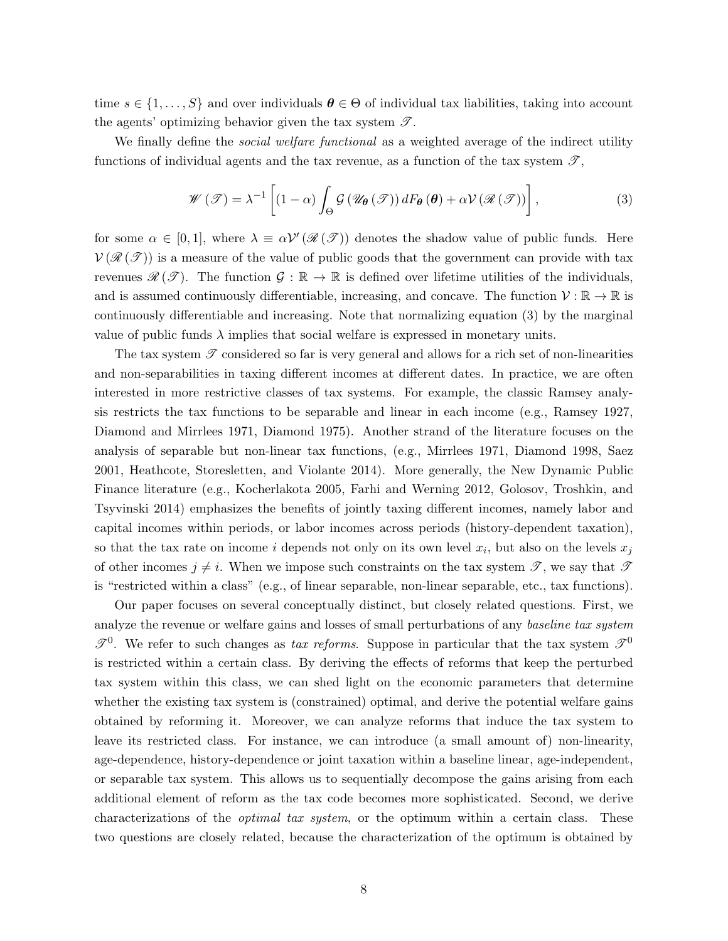time  $s \in \{1, \ldots, S\}$  and over individuals  $\boldsymbol{\theta} \in \Theta$  of individual tax liabilities, taking into account the agents' optimizing behavior given the tax system  $\mathscr{T}$ .

We finally define the *social welfare functional* as a weighted average of the indirect utility functions of individual agents and the tax revenue, as a function of the tax system  $\mathscr{T}$ ,

$$
\mathscr{W}\left(\mathscr{T}\right) = \lambda^{-1}\left[\left(1-\alpha\right)\int_{\Theta}\mathcal{G}\left(\mathscr{U}_{\theta}\left(\mathscr{T}\right)\right)dF_{\theta}\left(\theta\right) + \alpha\mathcal{V}\left(\mathscr{R}\left(\mathscr{T}\right)\right)\right],\tag{3}
$$

for some  $\alpha \in [0,1]$ , where  $\lambda \equiv \alpha \mathcal{V}'(\mathcal{R}(\mathcal{T}))$  denotes the shadow value of public funds. Here  $V(\mathcal{R}(\mathcal{T}))$  is a measure of the value of public goods that the government can provide with tax revenues  $\mathscr{R}(\mathscr{T})$ . The function  $\mathscr{G} : \mathbb{R} \to \mathbb{R}$  is defined over lifetime utilities of the individuals, and is assumed continuously differentiable, increasing, and concave. The function  $\mathcal{V} : \mathbb{R} \to \mathbb{R}$  is continuously differentiable and increasing. Note that normalizing equation (3) by the marginal value of public funds  $\lambda$  implies that social welfare is expressed in monetary units.

The tax system  $\mathscr T$  considered so far is very general and allows for a rich set of non-linearities and non-separabilities in taxing different incomes at different dates. In practice, we are often interested in more restrictive classes of tax systems. For example, the classic Ramsey analysis restricts the tax functions to be separable and linear in each income (e.g., Ramsey 1927, Diamond and Mirrlees 1971, Diamond 1975). Another strand of the literature focuses on the analysis of separable but non-linear tax functions, (e.g., Mirrlees 1971, Diamond 1998, Saez 2001, Heathcote, Storesletten, and Violante 2014). More generally, the New Dynamic Public Finance literature (e.g., Kocherlakota 2005, Farhi and Werning 2012, Golosov, Troshkin, and Tsyvinski 2014) emphasizes the benefits of jointly taxing different incomes, namely labor and capital incomes within periods, or labor incomes across periods (history-dependent taxation), so that the tax rate on income i depends not only on its own level  $x_i$ , but also on the levels  $x_j$ of other incomes  $j \neq i$ . When we impose such constraints on the tax system  $\mathscr{T}$ , we say that  $\mathscr{T}$ is "restricted within a class" (e.g., of linear separable, non-linear separable, etc., tax functions).

Our paper focuses on several conceptually distinct, but closely related questions. First, we analyze the revenue or welfare gains and losses of small perturbations of any baseline tax system  $\mathscr{T}^0$ . We refer to such changes as tax reforms. Suppose in particular that the tax system  $\mathscr{T}^0$ is restricted within a certain class. By deriving the effects of reforms that keep the perturbed tax system within this class, we can shed light on the economic parameters that determine whether the existing tax system is (constrained) optimal, and derive the potential welfare gains obtained by reforming it. Moreover, we can analyze reforms that induce the tax system to leave its restricted class. For instance, we can introduce (a small amount of) non-linearity, age-dependence, history-dependence or joint taxation within a baseline linear, age-independent, or separable tax system. This allows us to sequentially decompose the gains arising from each additional element of reform as the tax code becomes more sophisticated. Second, we derive characterizations of the *optimal tax system*, or the optimum within a certain class. These two questions are closely related, because the characterization of the optimum is obtained by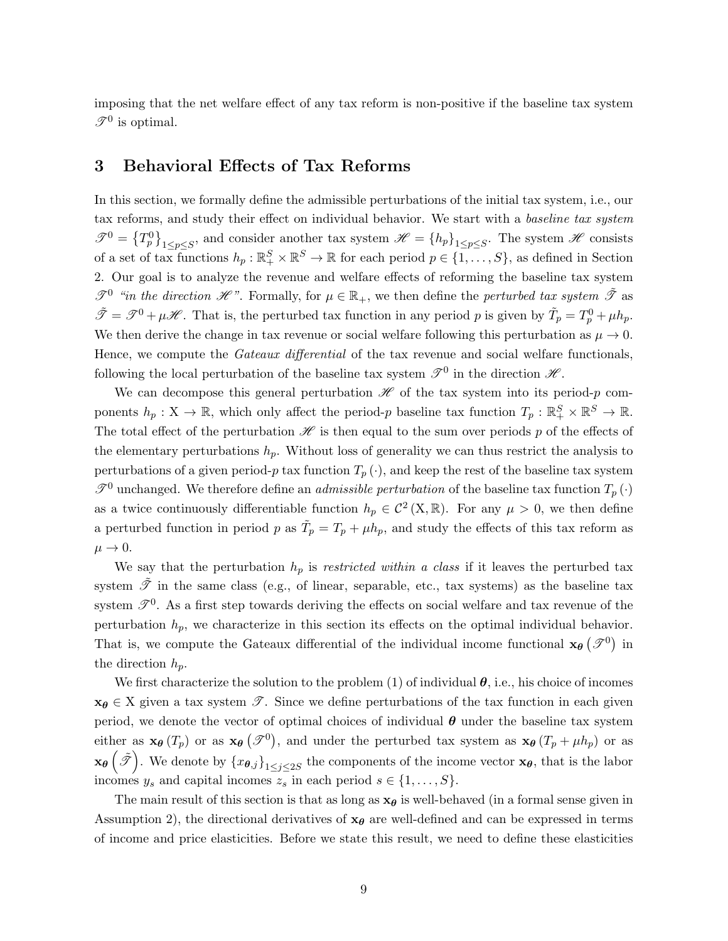imposing that the net welfare effect of any tax reform is non-positive if the baseline tax system  $\mathscr{T}^0$  is optimal.

## 3 Behavioral Effects of Tax Reforms

In this section, we formally define the admissible perturbations of the initial tax system, i.e., our tax reforms, and study their effect on individual behavior. We start with a baseline tax system  $\mathscr{T}^0 = \{T_p^0\}_{1 \leq p \leq S}$ , and consider another tax system  $\mathscr{H} = \{h_p\}_{1 \leq p \leq S}$ . The system  $\mathscr{H}$  consists of a set of tax functions  $h_p : \mathbb{R}^S_+ \times \mathbb{R}^S \to \mathbb{R}$  for each period  $p \in \{1, \ldots, S\}$ , as defined in Section 2. Our goal is to analyze the revenue and welfare effects of reforming the baseline tax system  $\mathscr{T}^0$  "in the direction  $\mathscr{H}$ ". Formally, for  $\mu \in \mathbb{R}_+$ , we then define the perturbed tax system  $\tilde{\mathscr{T}}$  as  $\tilde{\mathcal{F}} = \mathcal{F}^0 + \mu \mathcal{H}$ . That is, the perturbed tax function in any period p is given by  $\tilde{T}_p = T_p^0 + \mu h_p$ . We then derive the change in tax revenue or social welfare following this perturbation as  $\mu \to 0$ . Hence, we compute the *Gateaux differential* of the tax revenue and social welfare functionals, following the local perturbation of the baseline tax system  $\mathscr{T}^0$  in the direction  $\mathscr{H}$ .

We can decompose this general perturbation  $\mathscr H$  of the tax system into its period-p components  $h_p: X \to \mathbb{R}$ , which only affect the period-p baseline tax function  $T_p: \mathbb{R}_+^S \times \mathbb{R}^S \to \mathbb{R}$ . The total effect of the perturbation  $\mathscr H$  is then equal to the sum over periods p of the effects of the elementary perturbations  $h_p$ . Without loss of generality we can thus restrict the analysis to perturbations of a given period-p tax function  $T_p(\cdot)$ , and keep the rest of the baseline tax system  $\mathscr{T}^0$  unchanged. We therefore define an *admissible perturbation* of the baseline tax function  $T_p(\cdot)$ as a twice continuously differentiable function  $h_p \in C^2(X,\mathbb{R})$ . For any  $\mu > 0$ , we then define a perturbed function in period p as  $\tilde{T}_p = T_p + \mu h_p$ , and study the effects of this tax reform as  $\mu \rightarrow 0.$ 

We say that the perturbation  $h_p$  is *restricted within a class* if it leaves the perturbed tax system  $\tilde{\mathcal{T}}$  in the same class (e.g., of linear, separable, etc., tax systems) as the baseline tax system  $\mathscr{T}^0$ . As a first step towards deriving the effects on social welfare and tax revenue of the perturbation  $h_p$ , we characterize in this section its effects on the optimal individual behavior. That is, we compute the Gateaux differential of the individual income functional  $\mathbf{x}_{\theta}(\mathscr{T}^0)$  in the direction  $h_p$ .

We first characterize the solution to the problem (1) of individual  $\theta$ , i.e., his choice of incomes  $x_{\theta} \in X$  given a tax system  $\mathscr{T}$ . Since we define perturbations of the tax function in each given period, we denote the vector of optimal choices of individual  $\theta$  under the baseline tax system either as  $\mathbf{x}_{\theta}(T_p)$  or as  $\mathbf{x}_{\theta}(\mathcal{F}^0)$ , and under the perturbed tax system as  $\mathbf{x}_{\theta}(T_p + \mu h_p)$  or as  $\mathbf{x}_{\theta}\left(\tilde{\mathscr{T}}\right)$ . We denote by  $\{x_{\theta,j}\}_{1\leq j\leq 2S}$  the components of the income vector  $\mathbf{x}_{\theta}$ , that is the labor incomes  $y_s$  and capital incomes  $z_s$  in each period  $s \in \{1, \ldots, S\}.$ 

The main result of this section is that as long as  $x_{\theta}$  is well-behaved (in a formal sense given in Assumption 2), the directional derivatives of  $x_{\theta}$  are well-defined and can be expressed in terms of income and price elasticities. Before we state this result, we need to define these elasticities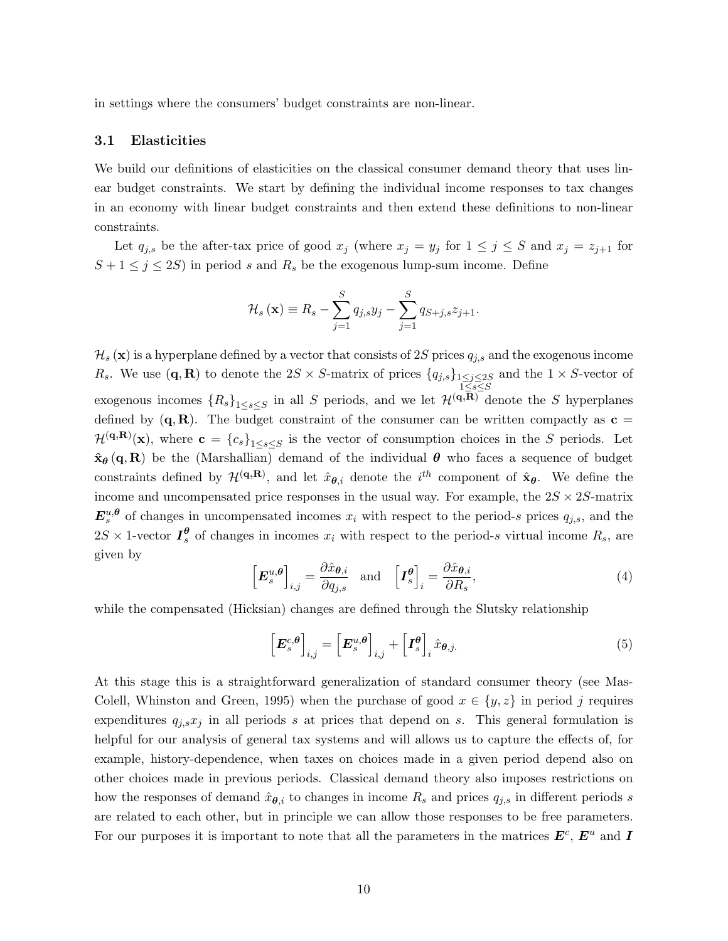in settings where the consumers' budget constraints are non-linear.

### 3.1 Elasticities

We build our definitions of elasticities on the classical consumer demand theory that uses linear budget constraints. We start by defining the individual income responses to tax changes in an economy with linear budget constraints and then extend these definitions to non-linear constraints.

Let  $q_{j,s}$  be the after-tax price of good  $x_j$  (where  $x_j = y_j$  for  $1 \leq j \leq S$  and  $x_j = z_{j+1}$  for  $S + 1 \leq j \leq 2S$  in period s and  $R_s$  be the exogenous lump-sum income. Define

$$
\mathcal{H}_s(\mathbf{x}) \equiv R_s - \sum_{j=1}^S q_{j,s} y_j - \sum_{j=1}^S q_{S+j,s} z_{j+1}.
$$

 $\mathcal{H}_s(\mathbf{x})$  is a hyperplane defined by a vector that consists of 2S prices  $q_{j,s}$  and the exogenous income R<sub>s</sub>. We use  $(\mathbf{q}, \mathbf{R})$  to denote the 2S × S-matrix of prices  $\{q_{j,s}\}_{1\leq j\leq 2S}$  and the  $1 \times S$ -vector of  $1\leq s \leq S$ exogenous incomes  ${R_s}_{1\leq s\leq S}$  in all S periods, and we let  $\mathcal{H}^{(q,\overline{R})}$  denote the S hyperplanes defined by  $(q, R)$ . The budget constraint of the consumer can be written compactly as  $c =$  $\mathcal{H}^{(q,R)}(\mathbf{x})$ , where  $\mathbf{c} = {c_s}_{1 \leq s \leq S}$  is the vector of consumption choices in the S periods. Let  $\hat{\mathbf{x}}_{\theta}(\mathbf{q},\mathbf{R})$  be the (Marshallian) demand of the individual  $\theta$  who faces a sequence of budget constraints defined by  $\mathcal{H}^{(q,R)}$ , and let  $\hat{x}_{\theta,i}$  denote the  $i^{th}$  component of  $\hat{x}_{\theta}$ . We define the income and uncompensated price responses in the usual way. For example, the  $2S \times 2S$ -matrix  $E_s^{u,\theta}$  of changes in uncompensated incomes  $x_i$  with respect to the period-s prices  $q_{j,s}$ , and the  $2S \times 1$ -vector  $I_s^{\theta}$  of changes in incomes  $x_i$  with respect to the period-s virtual income  $R_s$ , are given by

$$
\left[\boldsymbol{E}_{s}^{u,\boldsymbol{\theta}}\right]_{i,j} = \frac{\partial \hat{x}_{\boldsymbol{\theta},i}}{\partial q_{j,s}} \quad \text{and} \quad \left[\boldsymbol{I}_{s}^{\boldsymbol{\theta}}\right]_{i} = \frac{\partial \hat{x}_{\boldsymbol{\theta},i}}{\partial R_{s}},\tag{4}
$$

while the compensated (Hicksian) changes are defined through the Slutsky relationship

$$
\left[E_s^{c,\theta}\right]_{i,j} = \left[E_s^{u,\theta}\right]_{i,j} + \left[I_s^{\theta}\right]_i \hat{x}_{\theta,j}.
$$
\n(5)

At this stage this is a straightforward generalization of standard consumer theory (see Mas-Colell, Whinston and Green, 1995) when the purchase of good  $x \in \{y, z\}$  in period j requires expenditures  $q_{i,s}x_j$  in all periods s at prices that depend on s. This general formulation is helpful for our analysis of general tax systems and will allows us to capture the effects of, for example, history-dependence, when taxes on choices made in a given period depend also on other choices made in previous periods. Classical demand theory also imposes restrictions on how the responses of demand  $\hat{x}_{\theta,i}$  to changes in income  $R_s$  and prices  $q_{i,s}$  in different periods s are related to each other, but in principle we can allow those responses to be free parameters. For our purposes it is important to note that all the parameters in the matrices  $E^c$ ,  $E^u$  and I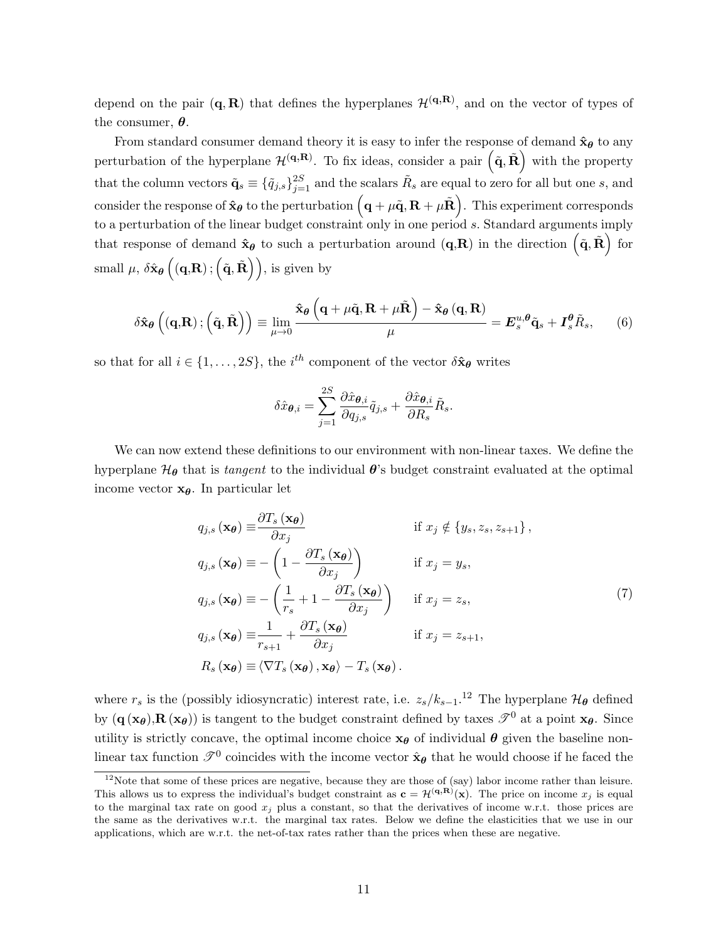depend on the pair  $(q, R)$  that defines the hyperplanes  $\mathcal{H}^{(q,R)}$ , and on the vector of types of the consumer,  $\theta$ .

From standard consumer demand theory it is easy to infer the response of demand  $\hat{\mathbf{x}}_{\theta}$  to any perturbation of the hyperplane  $\mathcal{H}^{(q,R)}$ . To fix ideas, consider a pair  $(\tilde{q}, \tilde{R})$  with the property that the column vectors  $\tilde{\mathbf{q}}_s \equiv \{\tilde{q}_{j,s}\}_{j=1}^{2S}$  and the scalars  $\tilde{R}_s$  are equal to zero for all but one s, and consider the response of  $\mathbf{\hat{x}_\theta}$  to the perturbation  $\left(\mathbf{q}+\mu\mathbf{\tilde{q}}, \mathbf{R}+\mu\mathbf{\tilde{R}}\right)$ . This experiment corresponds to a perturbation of the linear budget constraint only in one period s. Standard arguments imply that response of demand  $\hat{\mathbf{x}}_{\theta}$  to such a perturbation around  $(\mathbf{q},\mathbf{R})$  in the direction  $(\tilde{\mathbf{q}},\tilde{\mathbf{R}})$  for small  $\mu$ ,  $\delta \hat{\mathbf{x}}_{\boldsymbol{\theta}}\left( (\mathbf{q}, \mathbf{R}); (\tilde{\mathbf{q}}, \tilde{\mathbf{R}}) \right)$ , is given by

$$
\delta\hat{\mathbf{x}}_{\theta}\left((\mathbf{q},\mathbf{R});\left(\tilde{\mathbf{q}},\tilde{\mathbf{R}}\right)\right) \equiv \lim_{\mu \to 0} \frac{\hat{\mathbf{x}}_{\theta}\left(\mathbf{q} + \mu \tilde{\mathbf{q}}, \mathbf{R} + \mu \tilde{\mathbf{R}}\right) - \hat{\mathbf{x}}_{\theta}\left(\mathbf{q}, \mathbf{R}\right)}{\mu} = E_{s}^{u,\theta}\tilde{\mathbf{q}}_{s} + I_{s}^{\theta}\tilde{R}_{s},\qquad(6)
$$

so that for all  $i \in \{1, \ldots, 2S\}$ , the  $i^{th}$  component of the vector  $\delta \hat{\mathbf{x}}_{\theta}$  writes

$$
\delta \hat{x}_{\boldsymbol{\theta},i} = \sum_{j=1}^{2S} \frac{\partial \hat{x}_{\boldsymbol{\theta},i}}{\partial q_{j,s}} \tilde{q}_{j,s} + \frac{\partial \hat{x}_{\boldsymbol{\theta},i}}{\partial R_s} \tilde{R}_s.
$$

We can now extend these definitions to our environment with non-linear taxes. We define the hyperplane  $\mathcal{H}_{\theta}$  that is tangent to the individual  $\theta$ 's budget constraint evaluated at the optimal income vector  $x_{\theta}$ . In particular let

$$
q_{j,s}(\mathbf{x}_{\theta}) \equiv \frac{\partial T_s(\mathbf{x}_{\theta})}{\partial x_j} \quad \text{if } x_j \notin \{y_s, z_s, z_{s+1}\},
$$
  
\n
$$
q_{j,s}(\mathbf{x}_{\theta}) \equiv -\left(1 - \frac{\partial T_s(\mathbf{x}_{\theta})}{\partial x_j}\right) \quad \text{if } x_j = y_s,
$$
  
\n
$$
q_{j,s}(\mathbf{x}_{\theta}) \equiv -\left(\frac{1}{r_s} + 1 - \frac{\partial T_s(\mathbf{x}_{\theta})}{\partial x_j}\right) \quad \text{if } x_j = z_s,
$$
  
\n
$$
q_{j,s}(\mathbf{x}_{\theta}) \equiv \frac{1}{r_{s+1}} + \frac{\partial T_s(\mathbf{x}_{\theta})}{\partial x_j} \quad \text{if } x_j = z_{s+1},
$$
  
\n
$$
R_s(\mathbf{x}_{\theta}) \equiv \langle \nabla T_s(\mathbf{x}_{\theta}), \mathbf{x}_{\theta} \rangle - T_s(\mathbf{x}_{\theta}).
$$
\n(7)

where  $r_s$  is the (possibly idiosyncratic) interest rate, i.e.  $z_s/k_{s-1}$ .<sup>12</sup> The hyperplane  $\mathcal{H}_{\theta}$  defined by  $(q (x_{\theta}), R (x_{\theta}))$  is tangent to the budget constraint defined by taxes  $\mathscr{T}^{0}$  at a point  $x_{\theta}$ . Since utility is strictly concave, the optimal income choice  $x_{\theta}$  of individual  $\theta$  given the baseline nonlinear tax function  $\mathscr{T}^0$  coincides with the income vector  $\hat{\mathbf{x}}_{\theta}$  that he would choose if he faced the

 $\frac{12}{12}$ Note that some of these prices are negative, because they are those of (say) labor income rather than leisure. This allows us to express the individual's budget constraint as  $\mathbf{c} = \mathcal{H}^{(\mathbf{q},\mathbf{R})}(\mathbf{x})$ . The price on income  $x_j$  is equal to the marginal tax rate on good  $x_j$  plus a constant, so that the derivatives of income w.r.t. those prices are the same as the derivatives w.r.t. the marginal tax rates. Below we define the elasticities that we use in our applications, which are w.r.t. the net-of-tax rates rather than the prices when these are negative.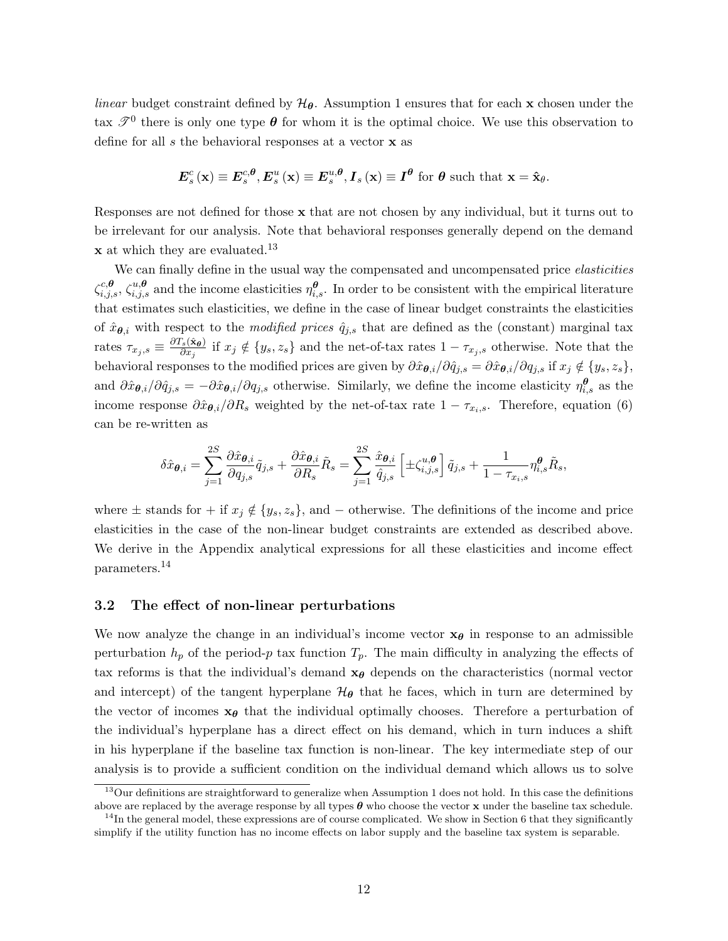*linear* budget constraint defined by  $H_{\theta}$ . Assumption 1 ensures that for each x chosen under the tax  $\mathscr{T}^0$  there is only one type  $\theta$  for whom it is the optimal choice. We use this observation to define for all s the behavioral responses at a vector **x** as

$$
\boldsymbol{E}_s^c(\mathbf{x}) \equiv \boldsymbol{E}_s^{c,\boldsymbol{\theta}}, \boldsymbol{E}_s^u(\mathbf{x}) \equiv \boldsymbol{E}_s^{u,\boldsymbol{\theta}}, \boldsymbol{I}_s(\mathbf{x}) \equiv \boldsymbol{I}^{\boldsymbol{\theta}} \text{ for } \boldsymbol{\theta} \text{ such that } \mathbf{x} = \hat{\mathbf{x}}_{\boldsymbol{\theta}}.
$$

Responses are not defined for those x that are not chosen by any individual, but it turns out to be irrelevant for our analysis. Note that behavioral responses generally depend on the demand **x** at which they are evaluated.<sup>13</sup>

We can finally define in the usual way the compensated and uncompensated price elasticities  $\zeta_{i,j,s}^{c,\theta}, \zeta_{i,j,s}^{u,\theta}$  and the income elasticities  $\eta_{i,s}^{\theta}$ . In order to be consistent with the empirical literature that estimates such elasticities, we define in the case of linear budget constraints the elasticities of  $\hat{x}_{\theta,i}$  with respect to the *modified prices*  $\hat{q}_{j,s}$  that are defined as the (constant) marginal tax rates  $\tau_{x_j,s} \equiv \frac{\partial T_s(\hat{\mathbf{x}}_{\boldsymbol{\theta}})}{\partial x_j}$  $\frac{\partial^s s(x_0)}{\partial x_j}$  if  $x_j \notin \{y_s, z_s\}$  and the net-of-tax rates  $1 - \tau_{x_j,s}$  otherwise. Note that the behavioral responses to the modified prices are given by  $\partial \hat{x}_{\theta,i}/\partial \hat{q}_{j,s} = \partial \hat{x}_{\theta,i}/\partial q_{j,s}$  if  $x_j \notin \{y_s, z_s\}$ , and  $\partial \hat{x}_{\theta,i}/\partial \hat{q}_{j,s} = -\partial \hat{x}_{\theta,i}/\partial q_{j,s}$  otherwise. Similarly, we define the income elasticity  $\eta_{i,s}^{\theta}$  as the income response  $\partial \hat{x}_{\theta,i}/\partial R_s$  weighted by the net-of-tax rate  $1 - \tau_{x_i,s}$ . Therefore, equation (6) can be re-written as

$$
\delta \hat{x}_{\boldsymbol{\theta},i} = \sum_{j=1}^{2S} \frac{\partial \hat{x}_{\boldsymbol{\theta},i}}{\partial q_{j,s}} \tilde{q}_{j,s} + \frac{\partial \hat{x}_{\boldsymbol{\theta},i}}{\partial R_s} \tilde{R}_s = \sum_{j=1}^{2S} \frac{\hat{x}_{\boldsymbol{\theta},i}}{\hat{q}_{j,s}} \left[ \pm \zeta_{i,j,s}^{u,\boldsymbol{\theta}} \right] \tilde{q}_{j,s} + \frac{1}{1 - \tau_{x_i,s}} \eta_{i,s}^{\boldsymbol{\theta}} \tilde{R}_s,
$$

where  $\pm$  stands for  $+$  if  $x_i \notin \{y_s, z_s\}$ , and  $-$  otherwise. The definitions of the income and price elasticities in the case of the non-linear budget constraints are extended as described above. We derive in the Appendix analytical expressions for all these elasticities and income effect parameters.<sup>14</sup>

#### 3.2 The effect of non-linear perturbations

We now analyze the change in an individual's income vector  $x_{\theta}$  in response to an admissible perturbation  $h_p$  of the period-p tax function  $T_p$ . The main difficulty in analyzing the effects of tax reforms is that the individual's demand  $x_{\theta}$  depends on the characteristics (normal vector and intercept) of the tangent hyperplane  $\mathcal{H}_{\theta}$  that he faces, which in turn are determined by the vector of incomes  $x_{\theta}$  that the individual optimally chooses. Therefore a perturbation of the individual's hyperplane has a direct effect on his demand, which in turn induces a shift in his hyperplane if the baseline tax function is non-linear. The key intermediate step of our analysis is to provide a sufficient condition on the individual demand which allows us to solve

<sup>&</sup>lt;sup>13</sup>Our definitions are straightforward to generalize when Assumption 1 does not hold. In this case the definitions above are replaced by the average response by all types  $\theta$  who choose the vector x under the baseline tax schedule.

 $14$ In the general model, these expressions are of course complicated. We show in Section 6 that they significantly simplify if the utility function has no income effects on labor supply and the baseline tax system is separable.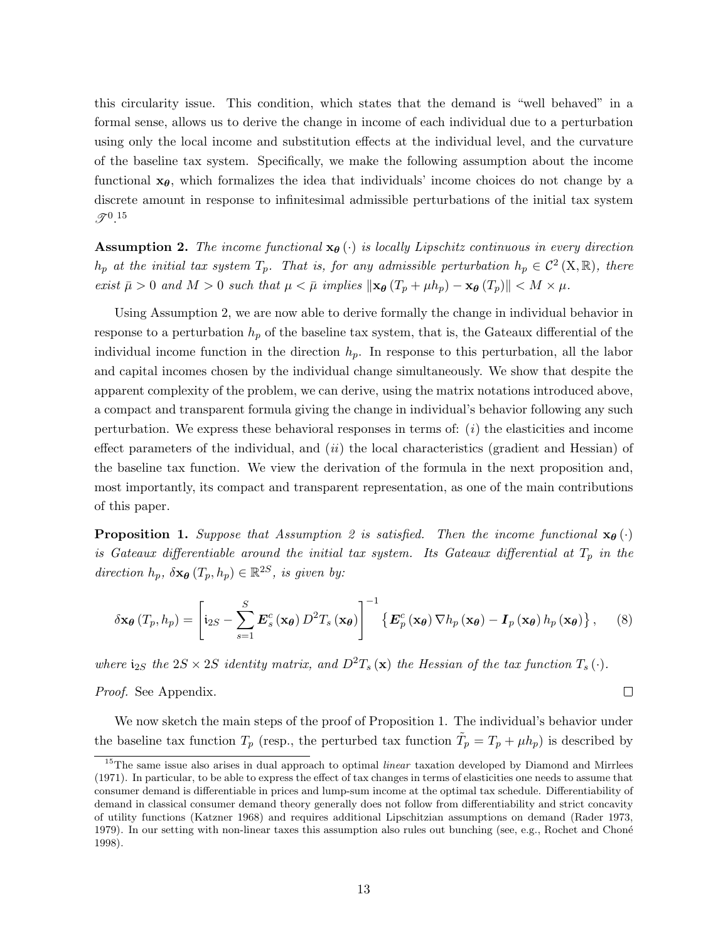this circularity issue. This condition, which states that the demand is "well behaved" in a formal sense, allows us to derive the change in income of each individual due to a perturbation using only the local income and substitution effects at the individual level, and the curvature of the baseline tax system. Specifically, we make the following assumption about the income functional  $x_{\theta}$ , which formalizes the idea that individuals' income choices do not change by a discrete amount in response to infinitesimal admissible perturbations of the initial tax system  $\mathscr{T}^{0.15}$ 

**Assumption 2.** The income functional  $\mathbf{x}_{\theta}(\cdot)$  is locally Lipschitz continuous in every direction  $h_p$  at the initial tax system  $T_p$ . That is, for any admissible perturbation  $h_p \in C^2(\mathcal{X}, \mathbb{R})$ , there exist  $\bar{\mu} > 0$  and  $M > 0$  such that  $\mu < \bar{\mu}$  implies  $\|\mathbf{x}_{\theta}\left(T_p + \mu h_p\right) - \mathbf{x}_{\theta}\left(T_p\right)\| < M \times \mu$ .

Using Assumption 2, we are now able to derive formally the change in individual behavior in response to a perturbation  $h_p$  of the baseline tax system, that is, the Gateaux differential of the individual income function in the direction  $h_p$ . In response to this perturbation, all the labor and capital incomes chosen by the individual change simultaneously. We show that despite the apparent complexity of the problem, we can derive, using the matrix notations introduced above, a compact and transparent formula giving the change in individual's behavior following any such perturbation. We express these behavioral responses in terms of:  $(i)$  the elasticities and income effect parameters of the individual, and  $(ii)$  the local characteristics (gradient and Hessian) of the baseline tax function. We view the derivation of the formula in the next proposition and, most importantly, its compact and transparent representation, as one of the main contributions of this paper.

**Proposition 1.** Suppose that Assumption 2 is satisfied. Then the income functional  $\mathbf{x}_{\theta}(\cdot)$ is Gateaux differentiable around the initial tax system. Its Gateaux differential at  $T_p$  in the direction  $h_p$ ,  $\delta \mathbf{x}_{\theta} (T_p, h_p) \in \mathbb{R}^{2S}$ , is given by:

$$
\delta \mathbf{x}_{\theta} (T_p, h_p) = \left[ \mathbf{i}_{2S} - \sum_{s=1}^{S} \mathbf{E}_s^c (\mathbf{x}_{\theta}) D^2 T_s (\mathbf{x}_{\theta}) \right]^{-1} \left\{ \mathbf{E}_p^c (\mathbf{x}_{\theta}) \nabla h_p (\mathbf{x}_{\theta}) - \mathbf{I}_p (\mathbf{x}_{\theta}) h_p (\mathbf{x}_{\theta}) \right\}, \quad (8)
$$

where  $i_{2S}$  the  $2S \times 2S$  identity matrix, and  $D^2T_s(\mathbf{x})$  the Hessian of the tax function  $T_s(\cdot)$ .

#### Proof. See Appendix.

We now sketch the main steps of the proof of Proposition 1. The individual's behavior under the baseline tax function  $T_p$  (resp., the perturbed tax function  $\tilde{T}_p = T_p + \mu h_p$ ) is described by

 $\Box$ 

 $15$ The same issue also arises in dual approach to optimal *linear* taxation developed by Diamond and Mirrlees (1971). In particular, to be able to express the effect of tax changes in terms of elasticities one needs to assume that consumer demand is differentiable in prices and lump-sum income at the optimal tax schedule. Differentiability of demand in classical consumer demand theory generally does not follow from differentiability and strict concavity of utility functions (Katzner 1968) and requires additional Lipschitzian assumptions on demand (Rader 1973, 1979). In our setting with non-linear taxes this assumption also rules out bunching (see, e.g., Rochet and Choné 1998).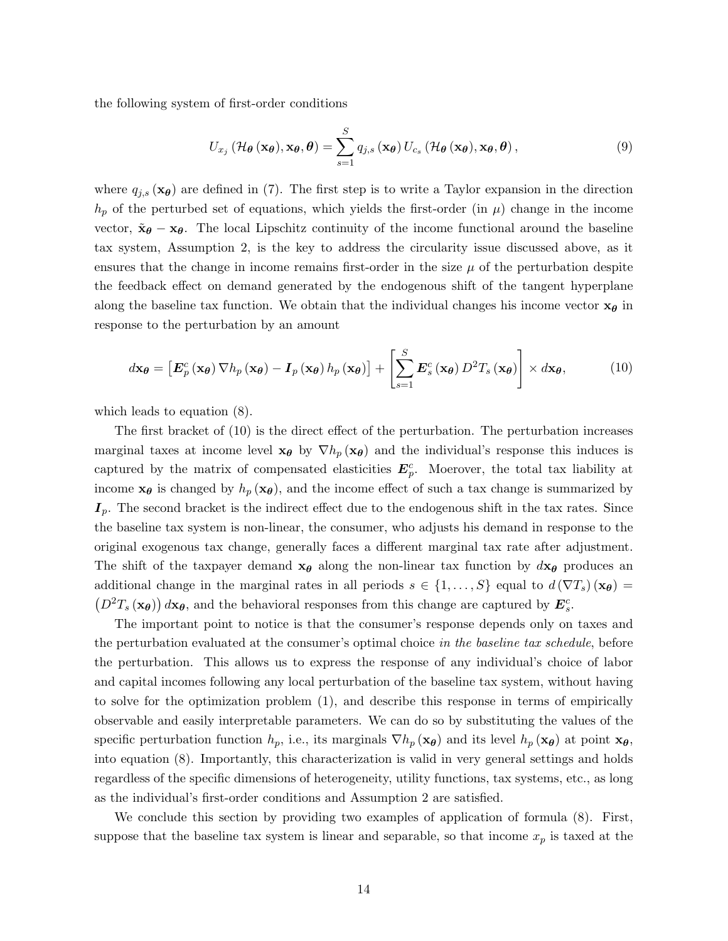the following system of first-order conditions

$$
U_{x_j}(\mathcal{H}_{\theta}(\mathbf{x}_{\theta}), \mathbf{x}_{\theta}, \theta) = \sum_{s=1}^{S} q_{j,s}(\mathbf{x}_{\theta}) U_{c_s}(\mathcal{H}_{\theta}(\mathbf{x}_{\theta}), \mathbf{x}_{\theta}, \theta), \qquad (9)
$$

where  $q_{j,s}(\mathbf{x}_{\theta})$  are defined in (7). The first step is to write a Taylor expansion in the direction  $h_p$  of the perturbed set of equations, which yields the first-order (in  $\mu$ ) change in the income vector,  $\tilde{\mathbf{x}}_{\theta} - \mathbf{x}_{\theta}$ . The local Lipschitz continuity of the income functional around the baseline tax system, Assumption 2, is the key to address the circularity issue discussed above, as it ensures that the change in income remains first-order in the size  $\mu$  of the perturbation despite the feedback effect on demand generated by the endogenous shift of the tangent hyperplane along the baseline tax function. We obtain that the individual changes his income vector  $x_{\theta}$  in response to the perturbation by an amount

$$
d\mathbf{x}_{\theta} = \left[ \boldsymbol{E}_{p}^{c} \left( \mathbf{x}_{\theta} \right) \nabla h_{p} \left( \mathbf{x}_{\theta} \right) - \boldsymbol{I}_{p} \left( \mathbf{x}_{\theta} \right) h_{p} \left( \mathbf{x}_{\theta} \right) \right] + \left[ \sum_{s=1}^{S} \boldsymbol{E}_{s}^{c} \left( \mathbf{x}_{\theta} \right) D^{2} T_{s} \left( \mathbf{x}_{\theta} \right) \right] \times d\mathbf{x}_{\theta}, \tag{10}
$$

which leads to equation (8).

The first bracket of (10) is the direct effect of the perturbation. The perturbation increases marginal taxes at income level  $x_{\theta}$  by  $\nabla h_p(x_{\theta})$  and the individual's response this induces is captured by the matrix of compensated elasticities  $E_p^c$ . Moerover, the total tax liability at income  $x_{\theta}$  is changed by  $h_p(x_{\theta})$ , and the income effect of such a tax change is summarized by  $I_p$ . The second bracket is the indirect effect due to the endogenous shift in the tax rates. Since the baseline tax system is non-linear, the consumer, who adjusts his demand in response to the original exogenous tax change, generally faces a different marginal tax rate after adjustment. The shift of the taxpayer demand  $x_{\theta}$  along the non-linear tax function by  $dx_{\theta}$  produces an additional change in the marginal rates in all periods  $s \in \{1, \ldots, S\}$  equal to  $d(\nabla T_s)(\mathbf{x}_{\theta}) =$  $(D^2T_s(\mathbf{x}_{\theta})) d\mathbf{x}_{\theta}$ , and the behavioral responses from this change are captured by  $\mathbf{E}_s^c$ .

The important point to notice is that the consumer's response depends only on taxes and the perturbation evaluated at the consumer's optimal choice in the baseline tax schedule, before the perturbation. This allows us to express the response of any individual's choice of labor and capital incomes following any local perturbation of the baseline tax system, without having to solve for the optimization problem (1), and describe this response in terms of empirically observable and easily interpretable parameters. We can do so by substituting the values of the specific perturbation function  $h_p$ , i.e., its marginals  $\nabla h_p(\mathbf{x}_{\theta})$  and its level  $h_p(\mathbf{x}_{\theta})$  at point  $\mathbf{x}_{\theta}$ , into equation (8). Importantly, this characterization is valid in very general settings and holds regardless of the specific dimensions of heterogeneity, utility functions, tax systems, etc., as long as the individual's first-order conditions and Assumption 2 are satisfied.

We conclude this section by providing two examples of application of formula (8). First, suppose that the baseline tax system is linear and separable, so that income  $x_p$  is taxed at the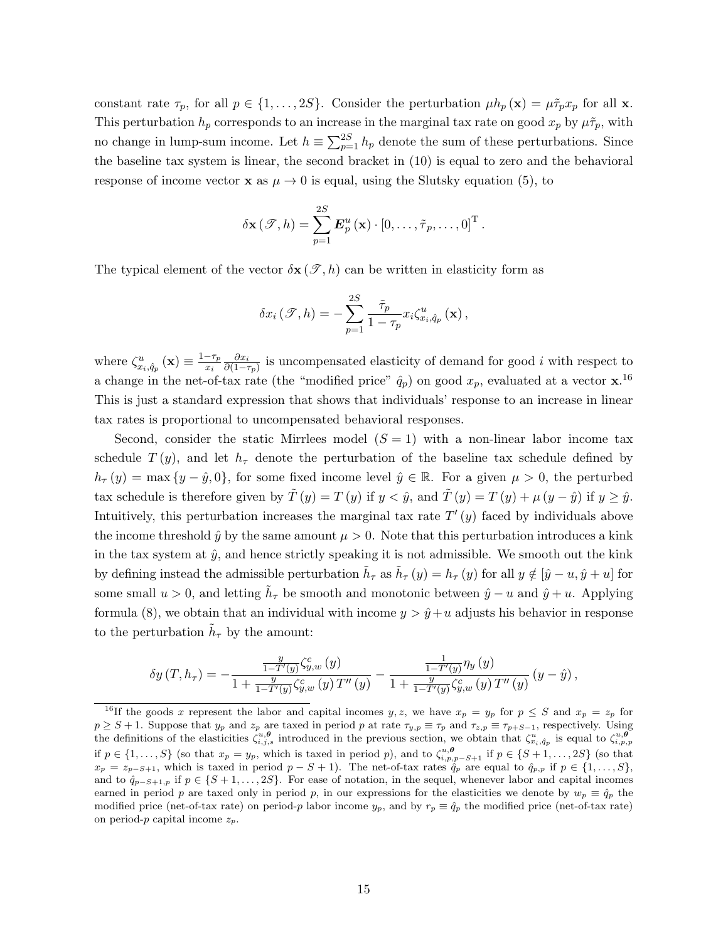constant rate  $\tau_p$ , for all  $p \in \{1, \ldots, 2S\}$ . Consider the perturbation  $\mu h_p(\mathbf{x}) = \mu \tilde{\tau}_p x_p$  for all **x**. This perturbation  $h_p$  corresponds to an increase in the marginal tax rate on good  $x_p$  by  $\mu \tilde{\tau}_p$ , with no change in lump-sum income. Let  $h \equiv \sum_{p=1}^{2S} h_p$  denote the sum of these perturbations. Since the baseline tax system is linear, the second bracket in (10) is equal to zero and the behavioral response of income vector **x** as  $\mu \to 0$  is equal, using the Slutsky equation (5), to

$$
\delta \mathbf{x} (\mathcal{T}, h) = \sum_{p=1}^{2S} \boldsymbol{E}_p^u(\mathbf{x}) \cdot [0, \dots, \tilde{\tau}_p, \dots, 0]^\mathrm{T}.
$$

The typical element of the vector  $\delta \mathbf{x}(\mathcal{T}, h)$  can be written in elasticity form as

$$
\delta x_{i}(\mathcal{F},h)=-\sum_{p=1}^{2S}\frac{\tilde{\tau}_{p}}{1-\tau_{p}}x_{i}\zeta_{x_{i},\hat{q}_{p}}^{u}(\mathbf{x}),
$$

where  $\zeta_{x_i,\hat{q}_p}^u(\mathbf{x}) \equiv \frac{1-\tau_p}{x_i}$ xi  $\partial x_i$  $\frac{\partial x_i}{\partial (1-\tau_p)}$  is uncompensated elasticity of demand for good i with respect to a change in the net-of-tax rate (the "modified price"  $\hat{q}_p$ ) on good  $x_p$ , evaluated at a vector  $\mathbf{x}$ .<sup>16</sup> This is just a standard expression that shows that individuals' response to an increase in linear tax rates is proportional to uncompensated behavioral responses.

Second, consider the static Mirrlees model  $(S = 1)$  with a non-linear labor income tax schedule  $T(y)$ , and let  $h<sub>\tau</sub>$  denote the perturbation of the baseline tax schedule defined by  $h_{\tau}(y) = \max\{y - \hat{y}, 0\}$ , for some fixed income level  $\hat{y} \in \mathbb{R}$ . For a given  $\mu > 0$ , the perturbed tax schedule is therefore given by  $\tilde{T}(y) = T(y)$  if  $y < \hat{y}$ , and  $\tilde{T}(y) = T(y) + \mu (y - \hat{y})$  if  $y \ge \hat{y}$ . Intuitively, this perturbation increases the marginal tax rate  $T'(y)$  faced by individuals above the income threshold  $\hat{y}$  by the same amount  $\mu > 0$ . Note that this perturbation introduces a kink in the tax system at  $\hat{y}$ , and hence strictly speaking it is not admissible. We smooth out the kink by defining instead the admissible perturbation  $\tilde{h}_{\tau}$  as  $\tilde{h}_{\tau}(y) = h_{\tau}(y)$  for all  $y \notin [\hat{y} - u, \hat{y} + u]$  for some small  $u > 0$ , and letting  $\tilde{h}_{\tau}$  be smooth and monotonic between  $\hat{y} - u$  and  $\hat{y} + u$ . Applying formula (8), we obtain that an individual with income  $y > \hat{y} + u$  adjusts his behavior in response to the perturbation  $\tilde{h}_{\tau}$  by the amount:

$$
\delta y\left(T,h_\tau\right)=-\frac{\frac{y}{1-T^{\prime }(y)}\zeta_{y,w}^{c}\left(y\right)}{1+\frac{y}{1-T^{\prime }(y)}\zeta_{y,w}^{c}\left(y\right)T^{\prime \prime }\left(y\right)}-\frac{\frac{1}{1-T^{\prime }(y)}\eta _{y}\left(y\right)}{1+\frac{y}{1-T^{\prime }(y)}\zeta_{y,w}^{c}\left(y\right)T^{\prime \prime }\left(y\right)}\left(y-\hat{y}\right),
$$

<sup>&</sup>lt;sup>16</sup>If the goods x represent the labor and capital incomes y, z, we have  $x_p = y_p$  for  $p \leq S$  and  $x_p = z_p$  for  $p \geq S+1$ . Suppose that  $y_p$  and  $z_p$  are taxed in period p at rate  $\tau_{y,p} \equiv \tau_p$  and  $\tau_{z,p} \equiv \tau_{p+S-1}$ , respectively. Using the definitions of the elasticities  $\zeta_{i,j,s}^{u,\theta}$  introduced in the previous section, we obtain that  $\zeta_{x_i,q_p}^u$  is equal to  $\zeta_{i,p,p}^{u,\theta}$ if  $p \in \{1, \ldots, S\}$  (so that  $x_p = y_p$ , which is taxed in period p), and to  $\zeta_{i,p,p-S+1}^{u,\theta}$  if  $p \in \{S+1, \ldots, 2S\}$  (so that  $x_p = z_{p-S+1}$ , which is taxed in period  $p-S+1$ ). The net-of-tax rates  $\hat{q}_p$  are equal to  $\hat{q}_{p,p}$  if  $p \in \{1, \ldots, S\}$ , and to  $\hat{q}_{p-S+1,p}$  if  $p \in \{S+1,\ldots,2S\}$ . For ease of notation, in the sequel, whenever labor and capital incomes earned in period p are taxed only in period p, in our expressions for the elasticities we denote by  $w_p \equiv \hat{q}_p$  the modified price (net-of-tax rate) on period-p labor income  $y_p$ , and by  $r_p \equiv \hat{q}_p$  the modified price (net-of-tax rate) on period-p capital income  $z_n$ .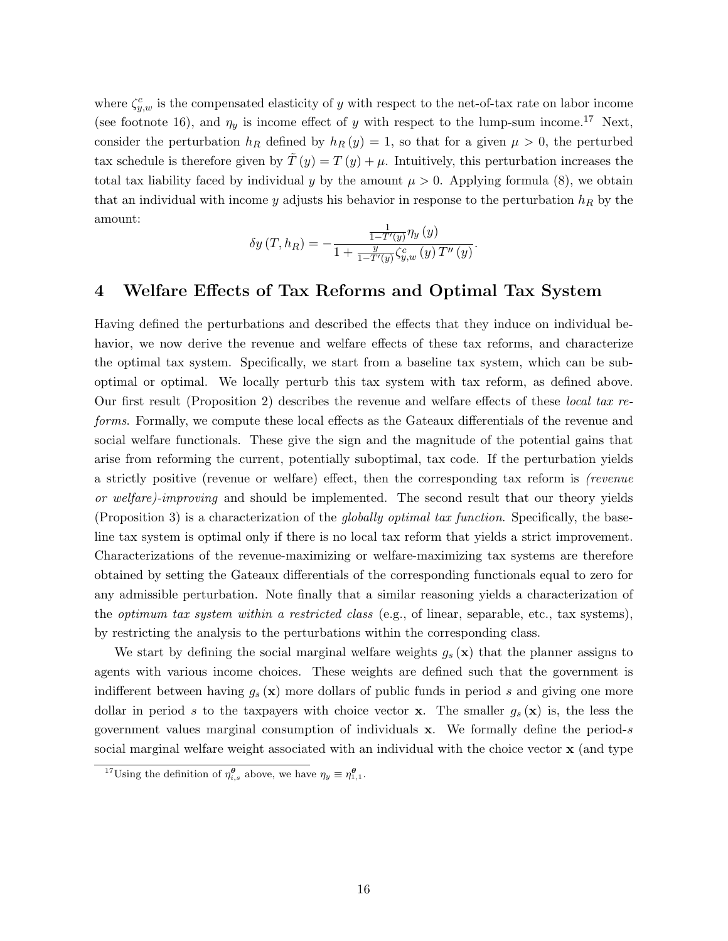where  $\zeta_{y,w}^c$  is the compensated elasticity of y with respect to the net-of-tax rate on labor income (see footnote 16), and  $\eta_y$  is income effect of y with respect to the lump-sum income.<sup>17</sup> Next, consider the perturbation  $h_R$  defined by  $h_R(y) = 1$ , so that for a given  $\mu > 0$ , the perturbed tax schedule is therefore given by  $T(y) = T(y) + \mu$ . Intuitively, this perturbation increases the total tax liability faced by individual y by the amount  $\mu > 0$ . Applying formula (8), we obtain that an individual with income y adjusts his behavior in response to the perturbation  $h_R$  by the amount:

$$
\delta y(T, h_R) = -\frac{\frac{1}{1 - T'(y)} \eta_y(y)}{1 + \frac{y}{1 - T'(y)} \zeta_{y,w}^c(y) T''(y)}.
$$

## 4 Welfare Effects of Tax Reforms and Optimal Tax System

Having defined the perturbations and described the effects that they induce on individual behavior, we now derive the revenue and welfare effects of these tax reforms, and characterize the optimal tax system. Specifically, we start from a baseline tax system, which can be suboptimal or optimal. We locally perturb this tax system with tax reform, as defined above. Our first result (Proposition 2) describes the revenue and welfare effects of these local tax reforms. Formally, we compute these local effects as the Gateaux differentials of the revenue and social welfare functionals. These give the sign and the magnitude of the potential gains that arise from reforming the current, potentially suboptimal, tax code. If the perturbation yields a strictly positive (revenue or welfare) effect, then the corresponding tax reform is (revenue or welfare)-improving and should be implemented. The second result that our theory yields (Proposition 3) is a characterization of the *globally optimal tax function*. Specifically, the baseline tax system is optimal only if there is no local tax reform that yields a strict improvement. Characterizations of the revenue-maximizing or welfare-maximizing tax systems are therefore obtained by setting the Gateaux differentials of the corresponding functionals equal to zero for any admissible perturbation. Note finally that a similar reasoning yields a characterization of the *optimum tax system within a restricted class* (e.g., of linear, separable, etc., tax systems), by restricting the analysis to the perturbations within the corresponding class.

We start by defining the social marginal welfare weights  $g_s(\mathbf{x})$  that the planner assigns to agents with various income choices. These weights are defined such that the government is indifferent between having  $g_s(\mathbf{x})$  more dollars of public funds in period s and giving one more dollar in period s to the taxpayers with choice vector **x**. The smaller  $g_s(\mathbf{x})$  is, the less the government values marginal consumption of individuals x. We formally define the period-s social marginal welfare weight associated with an individual with the choice vector  $\bf{x}$  (and type

<sup>&</sup>lt;sup>17</sup>Using the definition of  $\eta_{i,s}^{\theta}$  above, we have  $\eta_y \equiv \eta_{1,1}^{\theta}$ .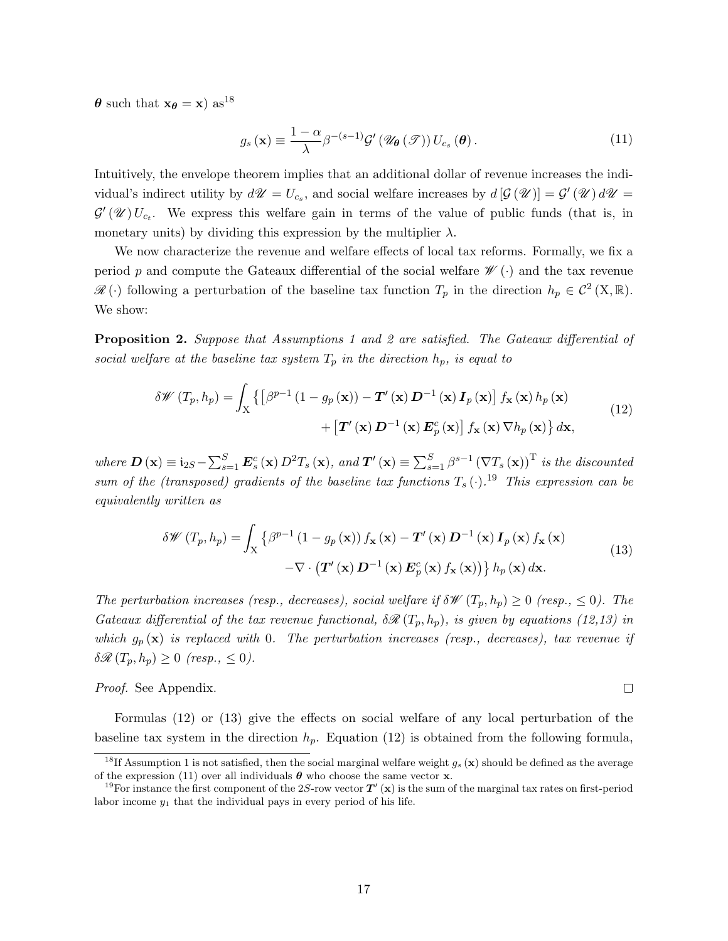$\theta$  such that  $x_{\theta} = x$ ) as<sup>18</sup>

$$
g_s(\mathbf{x}) \equiv \frac{1-\alpha}{\lambda} \beta^{-(s-1)} \mathcal{G}'\left(\mathcal{U}_{\theta}(\mathcal{F})\right) U_{c_s}(\theta). \tag{11}
$$

Intuitively, the envelope theorem implies that an additional dollar of revenue increases the individual's indirect utility by  $d\mathscr{U} = U_{c_s}$ , and social welfare increases by  $d[\mathcal{G}(\mathscr{U})] = \mathcal{G}'(\mathscr{U}) d\mathscr{U} =$  $\mathcal{G}'(\mathcal{U})U_{c_t}$ . We express this welfare gain in terms of the value of public funds (that is, in monetary units) by dividing this expression by the multiplier  $\lambda$ .

We now characterize the revenue and welfare effects of local tax reforms. Formally, we fix a period p and compute the Gateaux differential of the social welfare  $\mathscr{W}(\cdot)$  and the tax revenue  $\mathscr{R}(\cdot)$  following a perturbation of the baseline tax function  $T_p$  in the direction  $h_p \in C^2(X,\mathbb{R})$ . We show:

Proposition 2. Suppose that Assumptions 1 and 2 are satisfied. The Gateaux differential of social welfare at the baseline tax system  $T_p$  in the direction  $h_p$ , is equal to

$$
\delta \mathscr{W} (T_p, h_p) = \int_{\mathbf{X}} \left\{ \left[ \beta^{p-1} \left( 1 - g_p \left( \mathbf{x} \right) \right) - \mathbf{T}' \left( \mathbf{x} \right) \mathbf{D}^{-1} \left( \mathbf{x} \right) \mathbf{I}_p \left( \mathbf{x} \right) \right] f_{\mathbf{x}} \left( \mathbf{x} \right) h_p \left( \mathbf{x} \right) \right. \\ \left. + \left[ \mathbf{T}' \left( \mathbf{x} \right) \mathbf{D}^{-1} \left( \mathbf{x} \right) \mathbf{E}_p^c \left( \mathbf{x} \right) \right] f_{\mathbf{x}} \left( \mathbf{x} \right) \nabla h_p \left( \mathbf{x} \right) \right\} d\mathbf{x}, \tag{12}
$$

where  $\mathbf{D}(\mathbf{x}) \equiv \mathbf{i}_{2S} - \sum_{s=1}^{S} \mathbf{E}_s^c(\mathbf{x}) D^2 T_s(\mathbf{x})$ , and  $\mathbf{T}'(\mathbf{x}) \equiv \sum_{s=1}^{S} \beta^{s-1} (\nabla T_s(\mathbf{x}))^T$  is the discounted sum of the (transposed) gradients of the baseline tax functions  $T_s(\cdot)$ .<sup>19</sup> This expression can be equivalently written as

$$
\delta \mathscr{W} (T_p, h_p) = \int_{\mathbf{X}} \left\{ \beta^{p-1} \left( 1 - g_p \left( \mathbf{x} \right) \right) f_{\mathbf{x}} \left( \mathbf{x} \right) - \mathbf{T}' \left( \mathbf{x} \right) \mathbf{D}^{-1} \left( \mathbf{x} \right) \mathbf{I}_p \left( \mathbf{x} \right) f_{\mathbf{x}} \left( \mathbf{x} \right) \right. \\ \left. - \nabla \cdot \left( \mathbf{T}' \left( \mathbf{x} \right) \mathbf{D}^{-1} \left( \mathbf{x} \right) \mathbf{E}_p^c \left( \mathbf{x} \right) f_{\mathbf{x}} \left( \mathbf{x} \right) \right) \right\} h_p \left( \mathbf{x} \right) d\mathbf{x} . \tag{13}
$$

 $\Box$ 

The perturbation increases (resp., decreases), social welfare if  $\delta \mathscr{W}(T_p, h_p) \geq 0$  (resp.,  $\leq 0$ ). The Gateaux differential of the tax revenue functional,  $\delta \mathscr{R}(T_p,h_p)$ , is given by equations (12,13) in which  $g_p(\mathbf{x})$  is replaced with 0. The perturbation increases (resp., decreases), tax revenue if  $\delta \mathscr{R}(T_p, h_p) \geq 0$  (resp.,  $\leq 0$ ).

Proof. See Appendix.

Formulas (12) or (13) give the effects on social welfare of any local perturbation of the baseline tax system in the direction  $h_p$ . Equation (12) is obtained from the following formula,

<sup>&</sup>lt;sup>18</sup>If Assumption 1 is not satisfied, then the social marginal welfare weight  $g_s(\mathbf{x})$  should be defined as the average of the expression (11) over all individuals  $\theta$  who choose the same vector **x**.

<sup>&</sup>lt;sup>19</sup>For instance the first component of the 2S-row vector  $T'(x)$  is the sum of the marginal tax rates on first-period labor income  $y_1$  that the individual pays in every period of his life.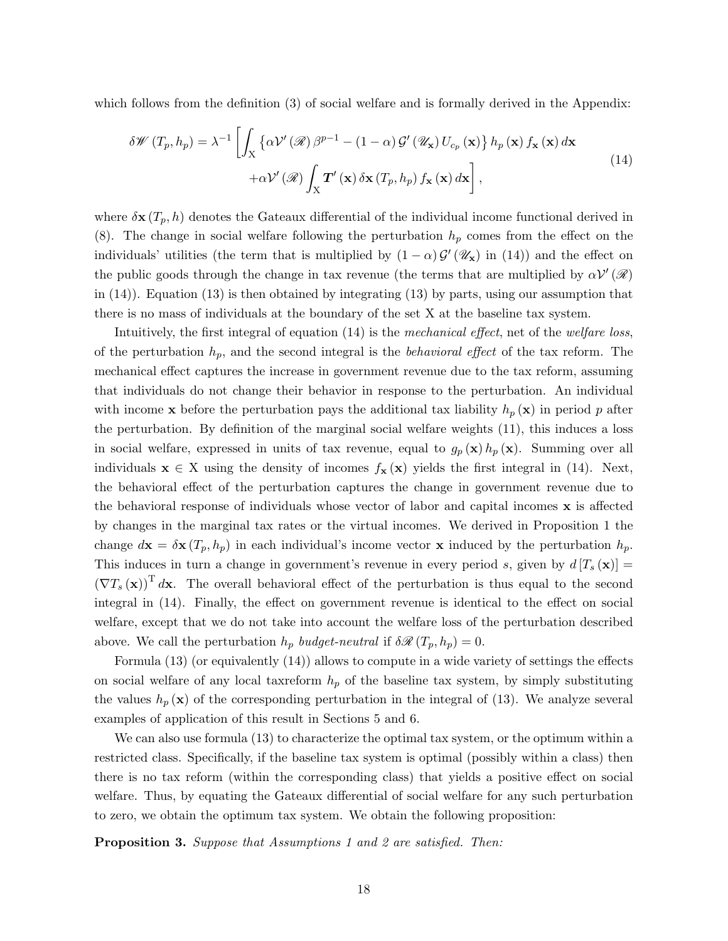which follows from the definition (3) of social welfare and is formally derived in the Appendix:

$$
\delta \mathscr{W} (T_p, h_p) = \lambda^{-1} \left[ \int_X \left\{ \alpha \mathcal{V}' (\mathscr{R}) \beta^{p-1} - (1 - \alpha) \mathcal{G}' (\mathscr{U}_\mathbf{x}) U_{c_p} (\mathbf{x}) \right\} h_p (\mathbf{x}) f_\mathbf{x} (\mathbf{x}) d\mathbf{x} \right. \\ \left. + \alpha \mathcal{V}' (\mathscr{R}) \int_X \mathbf{T}' (\mathbf{x}) \delta \mathbf{x} (T_p, h_p) f_\mathbf{x} (\mathbf{x}) d\mathbf{x} \right], \tag{14}
$$

where  $\delta \mathbf{x} (T_p, h)$  denotes the Gateaux differential of the individual income functional derived in (8). The change in social welfare following the perturbation  $h_p$  comes from the effect on the individuals' utilities (the term that is multiplied by  $(1 - \alpha) \mathcal{G}'(\mathscr{U}_x)$  in (14)) and the effect on the public goods through the change in tax revenue (the terms that are multiplied by  $\alpha V'(\mathscr{R})$ in (14)). Equation (13) is then obtained by integrating (13) by parts, using our assumption that there is no mass of individuals at the boundary of the set X at the baseline tax system.

Intuitively, the first integral of equation (14) is the mechanical effect, net of the welfare loss, of the perturbation  $h_p$ , and the second integral is the *behavioral effect* of the tax reform. The mechanical effect captures the increase in government revenue due to the tax reform, assuming that individuals do not change their behavior in response to the perturbation. An individual with income **x** before the perturbation pays the additional tax liability  $h_p(\mathbf{x})$  in period p after the perturbation. By definition of the marginal social welfare weights (11), this induces a loss in social welfare, expressed in units of tax revenue, equal to  $g_p(\mathbf{x}) h_p(\mathbf{x})$ . Summing over all individuals  $\mathbf{x} \in X$  using the density of incomes  $f_{\mathbf{x}}(\mathbf{x})$  yields the first integral in (14). Next, the behavioral effect of the perturbation captures the change in government revenue due to the behavioral response of individuals whose vector of labor and capital incomes  $\bf{x}$  is affected by changes in the marginal tax rates or the virtual incomes. We derived in Proposition 1 the change  $d\mathbf{x} = \delta \mathbf{x} (T_p, h_p)$  in each individual's income vector x induced by the perturbation  $h_p$ . This induces in turn a change in government's revenue in every period s, given by  $d[T_s(\mathbf{x})] =$  $(\nabla T_s(\mathbf{x}))^T d\mathbf{x}$ . The overall behavioral effect of the perturbation is thus equal to the second integral in (14). Finally, the effect on government revenue is identical to the effect on social welfare, except that we do not take into account the welfare loss of the perturbation described above. We call the perturbation  $h_p$  budget-neutral if  $\delta \mathscr{R}(T_p, h_p) = 0$ .

Formula (13) (or equivalently (14)) allows to compute in a wide variety of settings the effects on social welfare of any local taxreform  $h_p$  of the baseline tax system, by simply substituting the values  $h_p(\mathbf{x})$  of the corresponding perturbation in the integral of (13). We analyze several examples of application of this result in Sections 5 and 6.

We can also use formula (13) to characterize the optimal tax system, or the optimum within a restricted class. Specifically, if the baseline tax system is optimal (possibly within a class) then there is no tax reform (within the corresponding class) that yields a positive effect on social welfare. Thus, by equating the Gateaux differential of social welfare for any such perturbation to zero, we obtain the optimum tax system. We obtain the following proposition:

Proposition 3. Suppose that Assumptions 1 and 2 are satisfied. Then: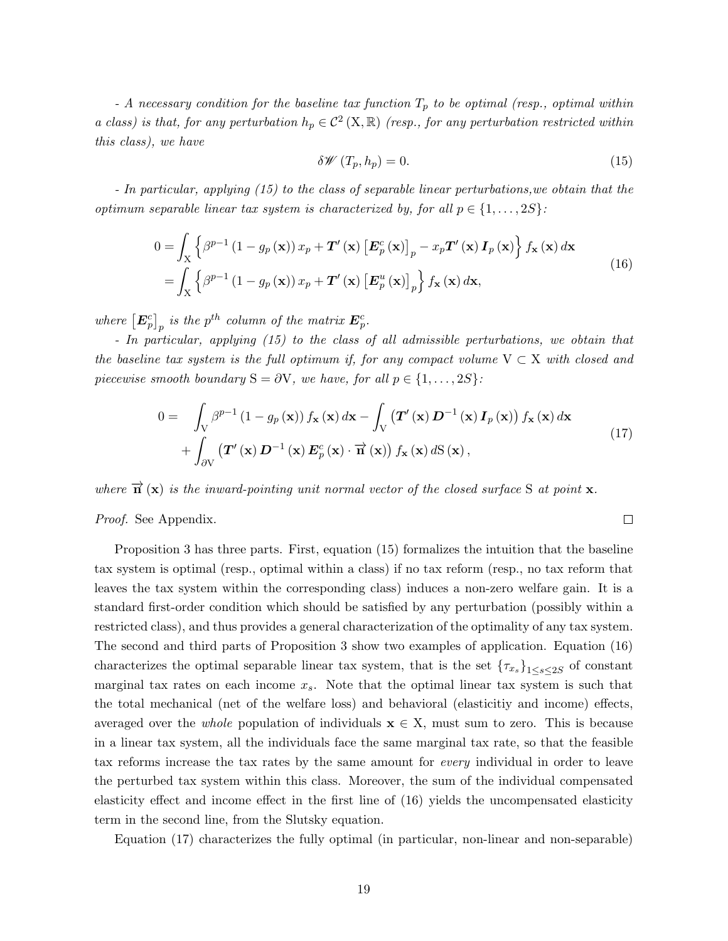- A necessary condition for the baseline tax function  $T_p$  to be optimal (resp., optimal within a class) is that, for any perturbation  $h_p \in C^2(X, \mathbb{R})$  (resp., for any perturbation restricted within this class), we have

$$
\delta \mathscr{W}\left(T_p, h_p\right) = 0. \tag{15}
$$

 $\Box$ 

- In particular, applying (15) to the class of separable linear perturbations,we obtain that the optimum separable linear tax system is characterized by, for all  $p \in \{1, \ldots, 2S\}$ :

$$
0 = \int_{X} \left\{ \beta^{p-1} \left( 1 - g_p(\mathbf{x}) \right) x_p + \mathbf{T}'(\mathbf{x}) \left[ \mathbf{E}_p^c(\mathbf{x}) \right]_p - x_p \mathbf{T}'(\mathbf{x}) \mathbf{I}_p(\mathbf{x}) \right\} f_{\mathbf{x}}(\mathbf{x}) d\mathbf{x}
$$
  
= 
$$
\int_{X} \left\{ \beta^{p-1} \left( 1 - g_p(\mathbf{x}) \right) x_p + \mathbf{T}'(\mathbf{x}) \left[ \mathbf{E}_p^u(\mathbf{x}) \right]_p \right\} f_{\mathbf{x}}(\mathbf{x}) d\mathbf{x},
$$
(16)

where  $\left[\bm{E}_p^c\right]_p$  is the  $p^{th}$  column of the matrix  $\bm{E}_p^c$ .

- In particular, applying (15) to the class of all admissible perturbations, we obtain that the baseline tax system is the full optimum if, for any compact volume  $V \subset X$  with closed and piecewise smooth boundary  $S = \partial V$ , we have, for all  $p \in \{1, \ldots, 2S\}$ :

$$
0 = \int_{V} \beta^{p-1} (1 - g_p(\mathbf{x})) f_{\mathbf{x}}(\mathbf{x}) d\mathbf{x} - \int_{V} (\mathbf{T}'(\mathbf{x}) \mathbf{D}^{-1}(\mathbf{x}) \mathbf{I}_p(\mathbf{x})) f_{\mathbf{x}}(\mathbf{x}) d\mathbf{x} + \int_{\partial V} (\mathbf{T}'(\mathbf{x}) \mathbf{D}^{-1}(\mathbf{x}) \mathbf{E}_p^c(\mathbf{x}) \cdot \overrightarrow{\mathbf{n}}(\mathbf{x})) f_{\mathbf{x}}(\mathbf{x}) dS(\mathbf{x}),
$$
\n(17)

where  $\vec{n}$  (x) is the inward-pointing unit normal vector of the closed surface S at point x.

Proof. See Appendix.

Proposition 3 has three parts. First, equation (15) formalizes the intuition that the baseline tax system is optimal (resp., optimal within a class) if no tax reform (resp., no tax reform that leaves the tax system within the corresponding class) induces a non-zero welfare gain. It is a standard first-order condition which should be satisfied by any perturbation (possibly within a restricted class), and thus provides a general characterization of the optimality of any tax system. The second and third parts of Proposition 3 show two examples of application. Equation (16) characterizes the optimal separable linear tax system, that is the set  ${\lbrace \tau_{x_s} \rbrace}_{1 \leq s \leq 2S}$  of constant marginal tax rates on each income  $x_s$ . Note that the optimal linear tax system is such that the total mechanical (net of the welfare loss) and behavioral (elasticitiy and income) effects, averaged over the *whole* population of individuals  $x \in X$ , must sum to zero. This is because in a linear tax system, all the individuals face the same marginal tax rate, so that the feasible tax reforms increase the tax rates by the same amount for every individual in order to leave the perturbed tax system within this class. Moreover, the sum of the individual compensated elasticity effect and income effect in the first line of (16) yields the uncompensated elasticity term in the second line, from the Slutsky equation.

Equation (17) characterizes the fully optimal (in particular, non-linear and non-separable)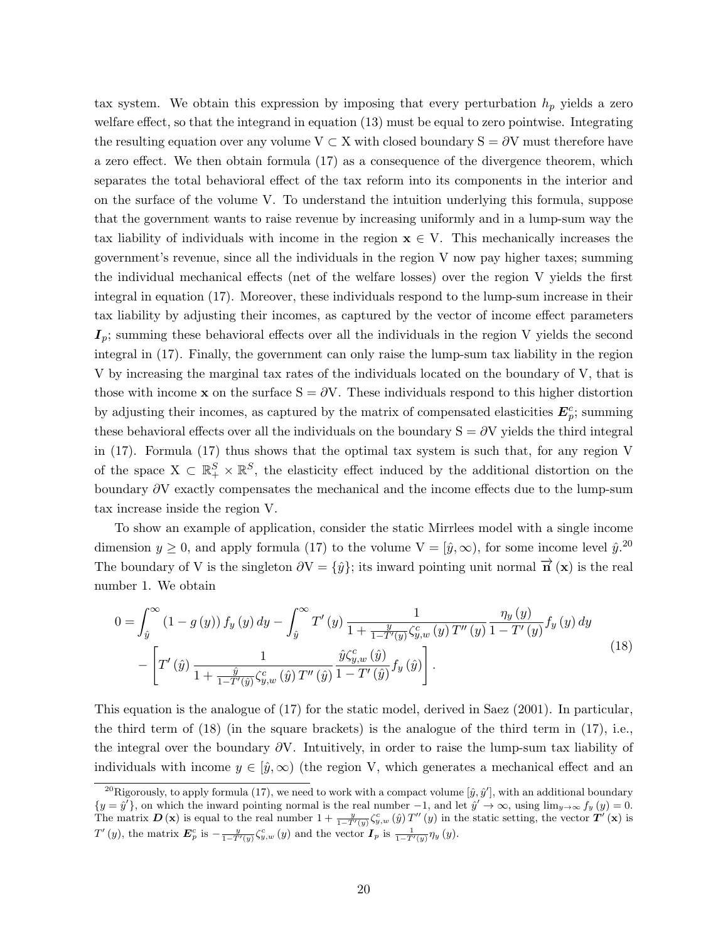tax system. We obtain this expression by imposing that every perturbation  $h_p$  yields a zero welfare effect, so that the integrand in equation (13) must be equal to zero pointwise. Integrating the resulting equation over any volume  $V \subset X$  with closed boundary  $S = \partial V$  must therefore have a zero effect. We then obtain formula (17) as a consequence of the divergence theorem, which separates the total behavioral effect of the tax reform into its components in the interior and on the surface of the volume V. To understand the intuition underlying this formula, suppose that the government wants to raise revenue by increasing uniformly and in a lump-sum way the tax liability of individuals with income in the region  $x \in V$ . This mechanically increases the government's revenue, since all the individuals in the region V now pay higher taxes; summing the individual mechanical effects (net of the welfare losses) over the region V yields the first integral in equation (17). Moreover, these individuals respond to the lump-sum increase in their tax liability by adjusting their incomes, as captured by the vector of income effect parameters  $I_p$ ; summing these behavioral effects over all the individuals in the region V yields the second integral in (17). Finally, the government can only raise the lump-sum tax liability in the region V by increasing the marginal tax rates of the individuals located on the boundary of V, that is those with income x on the surface  $S = \partial V$ . These individuals respond to this higher distortion by adjusting their incomes, as captured by the matrix of compensated elasticities  $E_p^c$ ; summing these behavioral effects over all the individuals on the boundary  $S = \partial V$  yields the third integral in (17). Formula (17) thus shows that the optimal tax system is such that, for any region V of the space  $X \subset \mathbb{R}^S_+ \times \mathbb{R}^S$ , the elasticity effect induced by the additional distortion on the boundary ∂V exactly compensates the mechanical and the income effects due to the lump-sum tax increase inside the region V.

To show an example of application, consider the static Mirrlees model with a single income dimension  $y \ge 0$ , and apply formula (17) to the volume  $V = [\hat{y}, \infty)$ , for some income level  $\hat{y}^{20}$ . The boundary of V is the singleton  $\partial V = \{\hat{y}\}\$ ; its inward pointing unit normal  $\vec{\mathbf{n}}(\mathbf{x})$  is the real number 1. We obtain

$$
0 = \int_{\hat{y}}^{\infty} (1 - g(y)) f_y(y) dy - \int_{\hat{y}}^{\infty} T'(y) \frac{1}{1 + \frac{y}{1 - T'(y)} \zeta_{y,w}^c(y) T''(y)} \frac{\eta_y(y)}{1 - T'(y)} f_y(y) dy - \left[ T'(y) \frac{1}{1 + \frac{\hat{y}}{1 - T'(y)} \zeta_{y,w}^c(\hat{y})} \frac{\hat{y}\zeta_{y,w}^c(\hat{y})}{1 - T'(y)} f_y(\hat{y}) \right].
$$
\n(18)

This equation is the analogue of (17) for the static model, derived in Saez (2001). In particular, the third term of  $(18)$  (in the square brackets) is the analogue of the third term in  $(17)$ , i.e., the integral over the boundary  $\partial V$ . Intuitively, in order to raise the lump-sum tax liability of individuals with income  $y \in [\hat{y}, \infty)$  (the region V, which generates a mechanical effect and an

<sup>&</sup>lt;sup>20</sup>Rigorously, to apply formula (17), we need to work with a compact volume  $[\hat{y}, \hat{y}']$ , with an additional boundary  ${y = \hat{y}'},$  on which the inward pointing normal is the real number  $-1$ , and let  $\hat{y}' \to \infty$ , using  $\lim_{y \to \infty} f_y(y) = 0$ . The matrix  $\mathbf{D}(\mathbf{x})$  is equal to the real number  $1+\frac{y}{1-T'(y)}\zeta_{y,w}^c(\hat{y})T''(y)$  in the static setting, the vector  $\mathbf{T}'(\mathbf{x})$  is  $T'(y)$ , the matrix  $\mathbf{E}_p^c$  is  $-\frac{y}{1-T'(y)}\zeta_{y,w}^c(y)$  and the vector  $\mathbf{I}_p$  is  $\frac{1}{1-T'(y)}\eta_y(y)$ .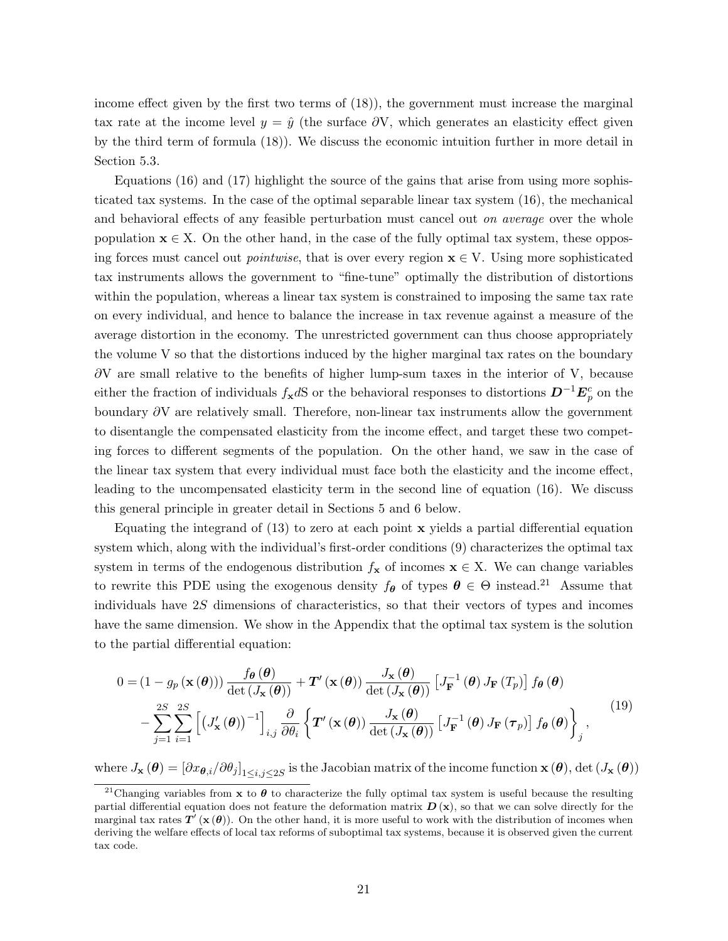income effect given by the first two terms of (18)), the government must increase the marginal tax rate at the income level  $y = \hat{y}$  (the surface  $\partial V$ , which generates an elasticity effect given by the third term of formula (18)). We discuss the economic intuition further in more detail in Section 5.3.

Equations (16) and (17) highlight the source of the gains that arise from using more sophisticated tax systems. In the case of the optimal separable linear tax system (16), the mechanical and behavioral effects of any feasible perturbation must cancel out on average over the whole population  $\mathbf{x} \in X$ . On the other hand, in the case of the fully optimal tax system, these opposing forces must cancel out *pointwise*, that is over every region  $\mathbf{x} \in V$ . Using more sophisticated tax instruments allows the government to "fine-tune" optimally the distribution of distortions within the population, whereas a linear tax system is constrained to imposing the same tax rate on every individual, and hence to balance the increase in tax revenue against a measure of the average distortion in the economy. The unrestricted government can thus choose appropriately the volume V so that the distortions induced by the higher marginal tax rates on the boundary  $\partial V$  are small relative to the benefits of higher lump-sum taxes in the interior of V, because either the fraction of individuals  $f_{\bf x}$ dS or the behavioral responses to distortions  $D^{-1}E_p^c$  on the boundary ∂V are relatively small. Therefore, non-linear tax instruments allow the government to disentangle the compensated elasticity from the income effect, and target these two competing forces to different segments of the population. On the other hand, we saw in the case of the linear tax system that every individual must face both the elasticity and the income effect, leading to the uncompensated elasticity term in the second line of equation (16). We discuss this general principle in greater detail in Sections 5 and 6 below.

Equating the integrand of  $(13)$  to zero at each point **x** yields a partial differential equation system which, along with the individual's first-order conditions (9) characterizes the optimal tax system in terms of the endogenous distribution  $f_{\mathbf{x}}$  of incomes  $\mathbf{x} \in X$ . We can change variables to rewrite this PDE using the exogenous density  $f_{\theta}$  of types  $\theta \in \Theta$  instead.<sup>21</sup> Assume that individuals have 2S dimensions of characteristics, so that their vectors of types and incomes have the same dimension. We show in the Appendix that the optimal tax system is the solution to the partial differential equation:

$$
0 = (1 - g_p(\mathbf{x}(\boldsymbol{\theta}))) \frac{f_{\boldsymbol{\theta}}(\boldsymbol{\theta})}{\det(J_{\mathbf{x}}(\boldsymbol{\theta}))} + \mathbf{T}'(\mathbf{x}(\boldsymbol{\theta})) \frac{J_{\mathbf{x}}(\boldsymbol{\theta})}{\det(J_{\mathbf{x}}(\boldsymbol{\theta}))} [J_{\mathbf{F}}^{-1}(\boldsymbol{\theta}) J_{\mathbf{F}}(T_p)] f_{\boldsymbol{\theta}}(\boldsymbol{\theta}) - \sum_{j=1}^{2S} \sum_{i=1}^{2S} \left[ (J'_{\mathbf{x}}(\boldsymbol{\theta}))^{-1} \right]_{i,j} \frac{\partial}{\partial \theta_i} \left\{ \mathbf{T}'(\mathbf{x}(\boldsymbol{\theta})) \frac{J_{\mathbf{x}}(\boldsymbol{\theta})}{\det(J_{\mathbf{x}}(\boldsymbol{\theta}))} [J_{\mathbf{F}}^{-1}(\boldsymbol{\theta}) J_{\mathbf{F}}(\boldsymbol{\tau}_p)] f_{\boldsymbol{\theta}}(\boldsymbol{\theta}) \right\}_j,
$$
(19)

where  $J_{\mathbf{x}}(\boldsymbol{\theta}) = [\partial x_{\boldsymbol{\theta},i} / \partial \theta_j]_{1 \leq i,j \leq 2S}$  is the Jacobian matrix of the income function  $\mathbf{x}(\boldsymbol{\theta}),$  det  $(J_{\mathbf{x}}(\boldsymbol{\theta}))$ 

<sup>&</sup>lt;sup>21</sup>Changing variables from **x** to  $\theta$  to characterize the fully optimal tax system is useful because the resulting partial differential equation does not feature the deformation matrix  $D(x)$ , so that we can solve directly for the marginal tax rates  $T'(\mathbf{x}(\theta))$ . On the other hand, it is more useful to work with the distribution of incomes when deriving the welfare effects of local tax reforms of suboptimal tax systems, because it is observed given the current tax code.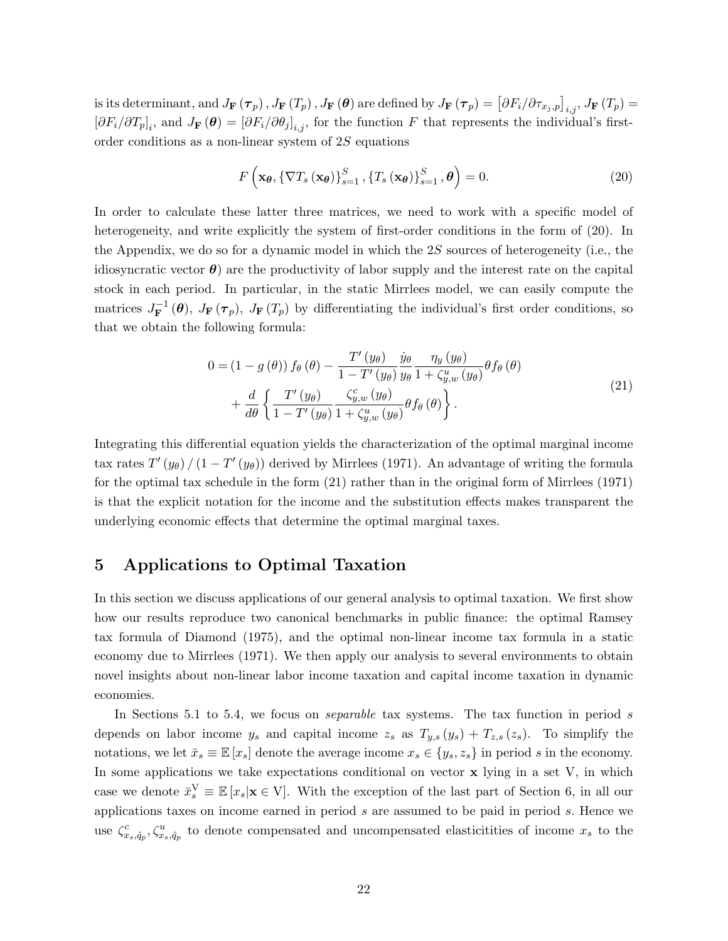is its determinant, and  $J_{\mathbf{F}}\left(\boldsymbol{\tau}_{p}\right), J_{\mathbf{F}}\left(T_{p}\right), J_{\mathbf{F}}\left(\boldsymbol{\theta}\right)$  are defined by  $J_{\mathbf{F}}\left(\boldsymbol{\tau}_{p}\right)=\left[\partial F_{i}/\partial\tau_{x_{j},p}\right]_{i,j}, J_{\mathbf{F}}\left(T_{p}\right)=$  $[\partial F_i/\partial T_p]_i$ , and  $J_{\mathbf{F}}(\boldsymbol{\theta}) = [\partial F_i/\partial \theta_j]_{i,j}$ , for the function F that represents the individual's firstorder conditions as a non-linear system of 2S equations

$$
F\left(\mathbf{x}_{\theta}, \left\{\nabla T_s\left(\mathbf{x}_{\theta}\right)\right\}_{s=1}^S, \left\{T_s\left(\mathbf{x}_{\theta}\right)\right\}_{s=1}^S, \theta\right) = 0. \tag{20}
$$

In order to calculate these latter three matrices, we need to work with a specific model of heterogeneity, and write explicitly the system of first-order conditions in the form of (20). In the Appendix, we do so for a dynamic model in which the  $2S$  sources of heterogeneity (i.e., the idiosyncratic vector  $\boldsymbol{\theta}$ ) are the productivity of labor supply and the interest rate on the capital stock in each period. In particular, in the static Mirrlees model, we can easily compute the matrices  $J_{\mathbf{F}}^{-1}$  $\mathbf{F}^{-1}(\boldsymbol{\theta}), J_{\mathbf{F}}(\boldsymbol{\tau}_p), J_{\mathbf{F}}(T_p)$  by differentiating the individual's first order conditions, so that we obtain the following formula:

$$
0 = (1 - g(\theta)) f_{\theta}(\theta) - \frac{T'(y_{\theta})}{1 - T'(y_{\theta})} \frac{\dot{y}_{\theta}}{y_{\theta}} \frac{\eta_{y}(y_{\theta})}{1 + \zeta_{y,w}^{u}(y_{\theta})} \theta f_{\theta}(\theta) + \frac{d}{d\theta} \left\{ \frac{T'(y_{\theta})}{1 - T'(y_{\theta})} \frac{\zeta_{y,w}^{c}(y_{\theta})}{1 + \zeta_{y,w}^{u}(y_{\theta})} \theta f_{\theta}(\theta) \right\}.
$$
\n(21)

Integrating this differential equation yields the characterization of the optimal marginal income tax rates  $T'(y_\theta) / (1 - T'(y_\theta))$  derived by Mirrlees (1971). An advantage of writing the formula for the optimal tax schedule in the form (21) rather than in the original form of Mirrlees (1971) is that the explicit notation for the income and the substitution effects makes transparent the underlying economic effects that determine the optimal marginal taxes.

## 5 Applications to Optimal Taxation

In this section we discuss applications of our general analysis to optimal taxation. We first show how our results reproduce two canonical benchmarks in public finance: the optimal Ramsey tax formula of Diamond (1975), and the optimal non-linear income tax formula in a static economy due to Mirrlees (1971). We then apply our analysis to several environments to obtain novel insights about non-linear labor income taxation and capital income taxation in dynamic economies.

In Sections 5.1 to 5.4, we focus on *separable* tax systems. The tax function in period s depends on labor income  $y_s$  and capital income  $z_s$  as  $T_{y,s}(y_s) + T_{z,s}(z_s)$ . To simplify the notations, we let  $\bar{x}_s \equiv \mathbb{E}[x_s]$  denote the average income  $x_s \in \{y_s, z_s\}$  in period s in the economy. In some applications we take expectations conditional on vector  $x$  lying in a set  $V$ , in which case we denote  $\bar{x}_s^V \equiv \mathbb{E}[x_s | \mathbf{x} \in V]$ . With the exception of the last part of Section 6, in all our applications taxes on income earned in period s are assumed to be paid in period s. Hence we use  $\zeta_{x_s,\hat{q}_p}^c, \zeta_{x_s,\hat{q}_p}^u$  to denote compensated and uncompensated elasticitities of income  $x_s$  to the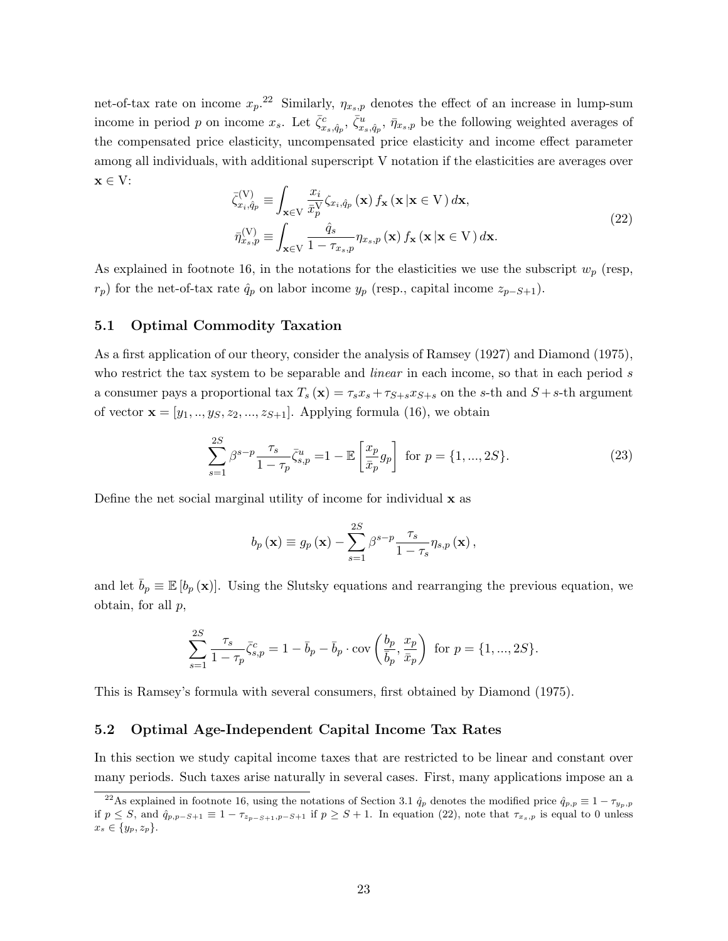net-of-tax rate on income  $x_p$ .<sup>22</sup> Similarly,  $\eta_{x_s,p}$  denotes the effect of an increase in lump-sum income in period p on income  $x_s$ . Let  $\bar{\zeta}_{x_s,\hat{q}_p}^c$ ,  $\bar{\zeta}_{x_s,\hat{q}_p}^u$ ,  $\bar{\eta}_{x_s,p}$  be the following weighted averages of the compensated price elasticity, uncompensated price elasticity and income effect parameter among all individuals, with additional superscript V notation if the elasticities are averages over  $\mathbf{x} \in V$ :

$$
\bar{\zeta}_{x_i, \hat{q}_p}^{(V)} \equiv \int_{\mathbf{x} \in V} \frac{x_i}{\bar{x}_p^V} \zeta_{x_i, \hat{q}_p}(\mathbf{x}) f_{\mathbf{x}}(\mathbf{x} | \mathbf{x} \in V) d\mathbf{x}, \n\bar{\eta}_{x_s, p}^{(V)} \equiv \int_{\mathbf{x} \in V} \frac{\hat{q}_s}{1 - \tau_{x_s, p}} \eta_{x_s, p}(\mathbf{x}) f_{\mathbf{x}}(\mathbf{x} | \mathbf{x} \in V) d\mathbf{x}.
$$
\n(22)

As explained in footnote 16, in the notations for the elasticities we use the subscript  $w_p$  (resp,  $r_p$ ) for the net-of-tax rate  $\hat{q}_p$  on labor income  $y_p$  (resp., capital income  $z_{p-S+1}$ ).

## 5.1 Optimal Commodity Taxation

As a first application of our theory, consider the analysis of Ramsey (1927) and Diamond (1975), who restrict the tax system to be separable and *linear* in each income, so that in each period s a consumer pays a proportional tax  $T_s(\mathbf{x}) = \tau_s x_s + \tau_{S+s} x_{S+s}$  on the s-th and  $S + s$ -th argument of vector  $\mathbf{x} = [y_1, ..., y_S, z_2, ..., z_{S+1}]$ . Applying formula (16), we obtain

$$
\sum_{s=1}^{2S} \beta^{s-p} \frac{\tau_s}{1 - \tau_p} \bar{\zeta}_{s,p}^u = 1 - \mathbb{E}\left[\frac{x_p}{\bar{x}_p} g_p\right] \text{ for } p = \{1, ..., 2S\}. \tag{23}
$$

Define the net social marginal utility of income for individual x as

$$
b_p(\mathbf{x}) \equiv g_p(\mathbf{x}) - \sum_{s=1}^{2S} \beta^{s-p} \frac{\tau_s}{1 - \tau_s} \eta_{s,p}(\mathbf{x}),
$$

and let  $\bar{b}_p \equiv \mathbb{E}[b_p(\mathbf{x})]$ . Using the Slutsky equations and rearranging the previous equation, we obtain, for all  $p$ ,

$$
\sum_{s=1}^{2S} \frac{\tau_s}{1 - \tau_p} \bar{\zeta}_{s,p}^c = 1 - \bar{b}_p - \bar{b}_p \cdot \text{cov}\left(\frac{b_p}{\bar{b}_p}, \frac{x_p}{\bar{x}_p}\right) \text{ for } p = \{1, ..., 2S\}.
$$

This is Ramsey's formula with several consumers, first obtained by Diamond (1975).

#### 5.2 Optimal Age-Independent Capital Income Tax Rates

In this section we study capital income taxes that are restricted to be linear and constant over many periods. Such taxes arise naturally in several cases. First, many applications impose an a

<sup>&</sup>lt;sup>22</sup>As explained in footnote 16, using the notations of Section 3.1  $\hat{q}_p$  denotes the modified price  $\hat{q}_{p,p} \equiv 1 - \tau_{y_p,p}$ if  $p \leq S$ , and  $\hat{q}_{p,p-S+1} \equiv 1 - \tau_{z_{p-S+1},p-S+1}$  if  $p \geq S+1$ . In equation (22), note that  $\tau_{x_s,p}$  is equal to 0 unless  $x_s \in \{y_p, z_p\}.$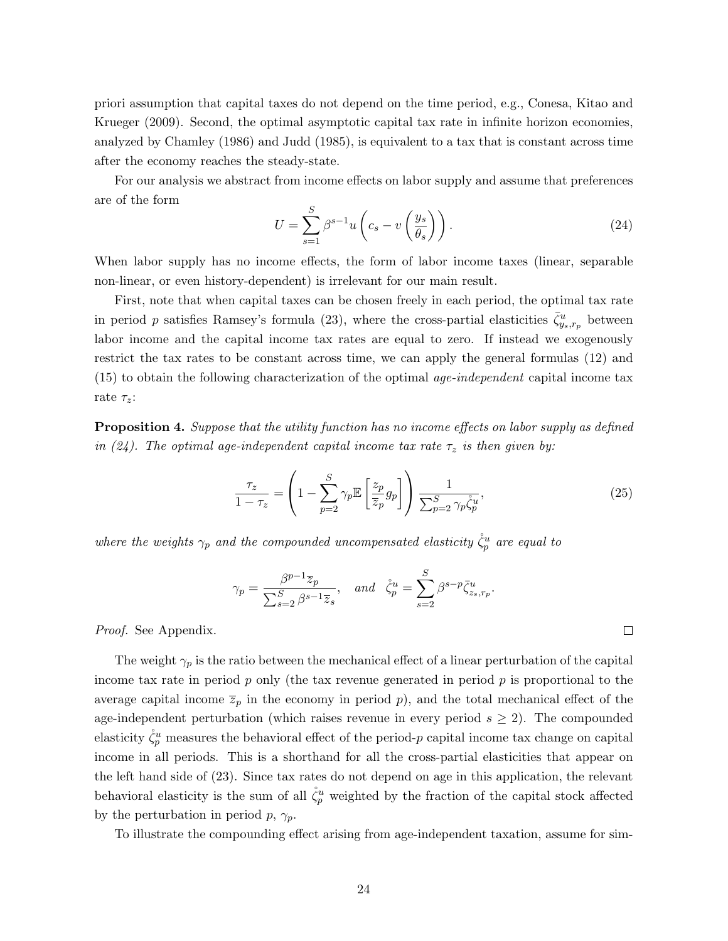priori assumption that capital taxes do not depend on the time period, e.g., Conesa, Kitao and Krueger (2009). Second, the optimal asymptotic capital tax rate in infinite horizon economies, analyzed by Chamley (1986) and Judd (1985), is equivalent to a tax that is constant across time after the economy reaches the steady-state.

For our analysis we abstract from income effects on labor supply and assume that preferences are of the form

$$
U = \sum_{s=1}^{S} \beta^{s-1} u \left( c_s - v \left( \frac{y_s}{\theta_s} \right) \right). \tag{24}
$$

When labor supply has no income effects, the form of labor income taxes (linear, separable non-linear, or even history-dependent) is irrelevant for our main result.

First, note that when capital taxes can be chosen freely in each period, the optimal tax rate in period p satisfies Ramsey's formula (23), where the cross-partial elasticities  $\bar{\zeta}_{y_s,r_p}^u$  between labor income and the capital income tax rates are equal to zero. If instead we exogenously restrict the tax rates to be constant across time, we can apply the general formulas (12) and  $(15)$  to obtain the following characterization of the optimal *age-independent* capital income tax rate  $\tau_z$ :

**Proposition 4.** Suppose that the utility function has no income effects on labor supply as defined in (24). The optimal age-independent capital income tax rate  $\tau_z$  is then given by:

$$
\frac{\tau_z}{1-\tau_z} = \left(1 - \sum_{p=2}^{S} \gamma_p \mathbb{E}\left[\frac{z_p}{\overline{z}_p} g_p\right]\right) \frac{1}{\sum_{p=2}^{S} \gamma_p \dot{\zeta}_p^{u}},\tag{25}
$$

 $\Box$ 

where the weights  $\gamma_p$  and the compounded uncompensated elasticity  $\mathring{\zeta}_p^u$  are equal to

$$
\gamma_p = \frac{\beta^{p-1} \overline{z}_p}{\sum_{s=2}^S \beta^{s-1} \overline{z}_s}, \quad and \quad \mathring{\zeta}_p^u = \sum_{s=2}^S \beta^{s-p} \overline{\zeta}_{z_s, r_p}^u.
$$

Proof. See Appendix.

The weight  $\gamma_p$  is the ratio between the mechanical effect of a linear perturbation of the capital income tax rate in period  $p$  only (the tax revenue generated in period  $p$  is proportional to the average capital income  $\overline{z}_p$  in the economy in period p), and the total mechanical effect of the age-independent perturbation (which raises revenue in every period  $s \geq 2$ ). The compounded elasticity  $\mathring{\zeta}_p^u$  measures the behavioral effect of the period-p capital income tax change on capital income in all periods. This is a shorthand for all the cross-partial elasticities that appear on the left hand side of (23). Since tax rates do not depend on age in this application, the relevant behavioral elasticity is the sum of all  $\overset{\circ}{\zeta_p}$  weighted by the fraction of the capital stock affected by the perturbation in period  $p, \gamma_p$ .

To illustrate the compounding effect arising from age-independent taxation, assume for sim-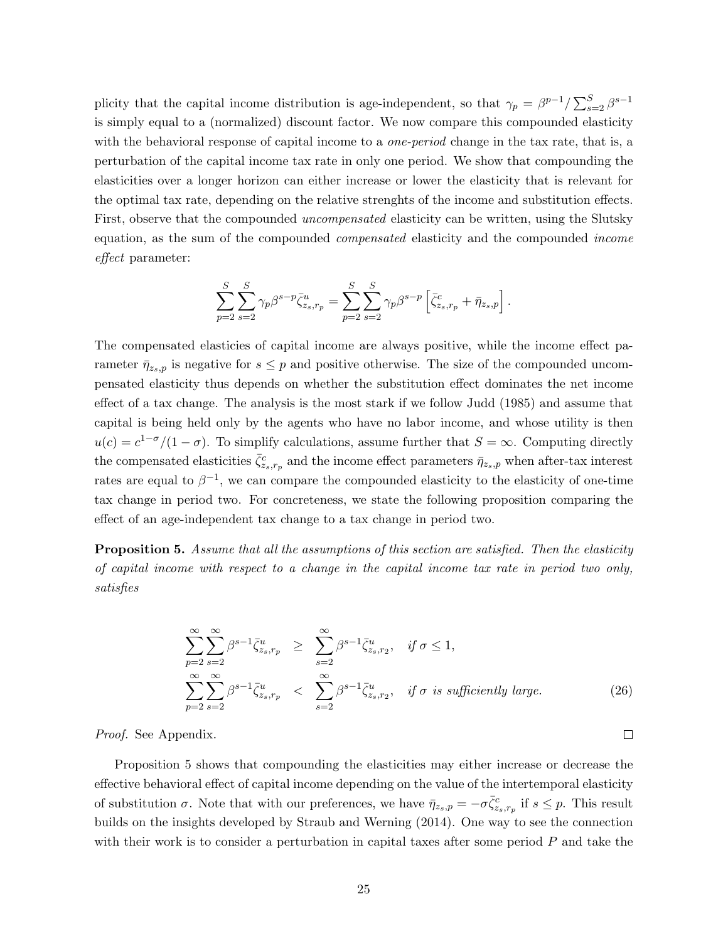plicity that the capital income distribution is age-independent, so that  $\gamma_p = \beta^{p-1}/\sum_{s=2}^{S} \beta^{s-1}$ is simply equal to a (normalized) discount factor. We now compare this compounded elasticity with the behavioral response of capital income to a *one-period* change in the tax rate, that is, a perturbation of the capital income tax rate in only one period. We show that compounding the elasticities over a longer horizon can either increase or lower the elasticity that is relevant for the optimal tax rate, depending on the relative strenghts of the income and substitution effects. First, observe that the compounded *uncompensated* elasticity can be written, using the Slutsky equation, as the sum of the compounded *compensated* elasticity and the compounded *income* effect parameter:

$$
\sum_{p=2}^{S} \sum_{s=2}^{S} \gamma_p \beta^{s-p} \bar{\zeta}_{z_s, r_p}^u = \sum_{p=2}^{S} \sum_{s=2}^{S} \gamma_p \beta^{s-p} \left[ \bar{\zeta}_{z_s, r_p}^c + \bar{\eta}_{z_s, p} \right].
$$

The compensated elasticies of capital income are always positive, while the income effect parameter  $\bar{\eta}_{z_s,p}$  is negative for  $s \leq p$  and positive otherwise. The size of the compounded uncompensated elasticity thus depends on whether the substitution effect dominates the net income effect of a tax change. The analysis is the most stark if we follow Judd (1985) and assume that capital is being held only by the agents who have no labor income, and whose utility is then  $u(c) = c^{1-\sigma}/(1-\sigma)$ . To simplify calculations, assume further that  $S = \infty$ . Computing directly the compensated elasticities  $\bar{\zeta}_{z_s,r_p}^c$  and the income effect parameters  $\bar{\eta}_{z_s,p}$  when after-tax interest rates are equal to  $\beta^{-1}$ , we can compare the compounded elasticity to the elasticity of one-time tax change in period two. For concreteness, we state the following proposition comparing the effect of an age-independent tax change to a tax change in period two.

**Proposition 5.** Assume that all the assumptions of this section are satisfied. Then the elasticity of capital income with respect to a change in the capital income tax rate in period two only, satisfies

$$
\sum_{p=2}^{\infty} \sum_{s=2}^{\infty} \beta^{s-1} \overline{\zeta}_{z_s, r_p}^u \ge \sum_{s=2}^{\infty} \beta^{s-1} \overline{\zeta}_{z_s, r_2}^u, \quad \text{if } \sigma \le 1,
$$
\n
$$
\sum_{p=2}^{\infty} \sum_{s=2}^{\infty} \beta^{s-1} \overline{\zeta}_{z_s, r_p}^u < \sum_{s=2}^{\infty} \beta^{s-1} \overline{\zeta}_{z_s, r_2}^u, \quad \text{if } \sigma \text{ is sufficiently large.}
$$
\n(26)

 $\Box$ 

Proof. See Appendix.

Proposition 5 shows that compounding the elasticities may either increase or decrease the effective behavioral effect of capital income depending on the value of the intertemporal elasticity of substitution  $\sigma$ . Note that with our preferences, we have  $\bar{\eta}_{z_s,p} = -\sigma \bar{\zeta}_{z_s,r_p}^c$  if  $s \leq p$ . This result builds on the insights developed by Straub and Werning (2014). One way to see the connection with their work is to consider a perturbation in capital taxes after some period  $P$  and take the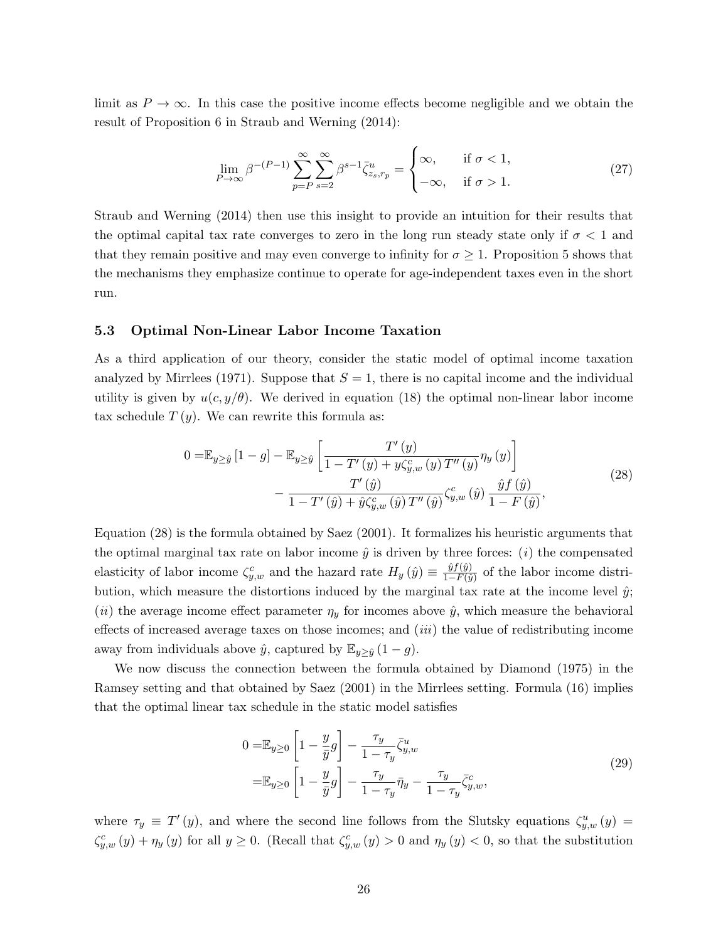limit as  $P \to \infty$ . In this case the positive income effects become negligible and we obtain the result of Proposition 6 in Straub and Werning (2014):

$$
\lim_{P \to \infty} \beta^{-(P-1)} \sum_{p=P}^{\infty} \sum_{s=2}^{\infty} \beta^{s-1} \overline{\zeta}_{z_s, r_p}^u = \begin{cases} \infty, & \text{if } \sigma < 1, \\ -\infty, & \text{if } \sigma > 1. \end{cases} \tag{27}
$$

Straub and Werning (2014) then use this insight to provide an intuition for their results that the optimal capital tax rate converges to zero in the long run steady state only if  $\sigma < 1$  and that they remain positive and may even converge to infinity for  $\sigma \geq 1$ . Proposition 5 shows that the mechanisms they emphasize continue to operate for age-independent taxes even in the short run.

### 5.3 Optimal Non-Linear Labor Income Taxation

As a third application of our theory, consider the static model of optimal income taxation analyzed by Mirrlees (1971). Suppose that  $S = 1$ , there is no capital income and the individual utility is given by  $u(c, y/\theta)$ . We derived in equation (18) the optimal non-linear labor income tax schedule  $T(y)$ . We can rewrite this formula as:

$$
0 = \mathbb{E}_{y \ge \hat{y}} [1 - g] - \mathbb{E}_{y \ge \hat{y}} \left[ \frac{T'(y)}{1 - T'(y) + y\zeta_{y,w}^c(y) T''(y)} \eta_y(y) \right] - \frac{T'(\hat{y})}{1 - T'(\hat{y}) + \hat{y}\zeta_{y,w}^c(\hat{y}) T''(\hat{y})} \zeta_{y,w}^c(\hat{y}) \frac{\hat{y}f(\hat{y})}{1 - F(\hat{y})},
$$
\n(28)

Equation (28) is the formula obtained by Saez (2001). It formalizes his heuristic arguments that the optimal marginal tax rate on labor income  $\hat{y}$  is driven by three forces: (*i*) the compensated elasticity of labor income  $\zeta_{y,w}^c$  and the hazard rate  $H_y(\hat{y}) \equiv \frac{\hat{y}f(\hat{y})}{1-F(\hat{y})}$  $\frac{y_j(y)}{1-F(\hat{y})}$  of the labor income distribution, which measure the distortions induced by the marginal tax rate at the income level  $\hat{y}$ ; (*ii*) the average income effect parameter  $\eta_y$  for incomes above  $\hat{y}$ , which measure the behavioral effects of increased average taxes on those incomes; and *(iii)* the value of redistributing income away from individuals above  $\hat{y}$ , captured by  $\mathbb{E}_{y \geq \hat{y}}(1-g)$ .

We now discuss the connection between the formula obtained by Diamond (1975) in the Ramsey setting and that obtained by Saez (2001) in the Mirrlees setting. Formula (16) implies that the optimal linear tax schedule in the static model satisfies

$$
0 = \mathbb{E}_{y \ge 0} \left[ 1 - \frac{y}{\bar{y}} g \right] - \frac{\tau_y}{1 - \tau_y} \bar{\zeta}_{y,w}^u
$$
  

$$
= \mathbb{E}_{y \ge 0} \left[ 1 - \frac{y}{\bar{y}} g \right] - \frac{\tau_y}{1 - \tau_y} \bar{\eta}_y - \frac{\tau_y}{1 - \tau_y} \bar{\zeta}_{y,w}^c,
$$
 (29)

where  $\tau_y \equiv T'(y)$ , and where the second line follows from the Slutsky equations  $\zeta_{y,w}^u(y) =$  $\zeta_{y,w}^c(y) + \eta_y(y)$  for all  $y \ge 0$ . (Recall that  $\zeta_{y,w}^c(y) > 0$  and  $\eta_y(y) < 0$ , so that the substitution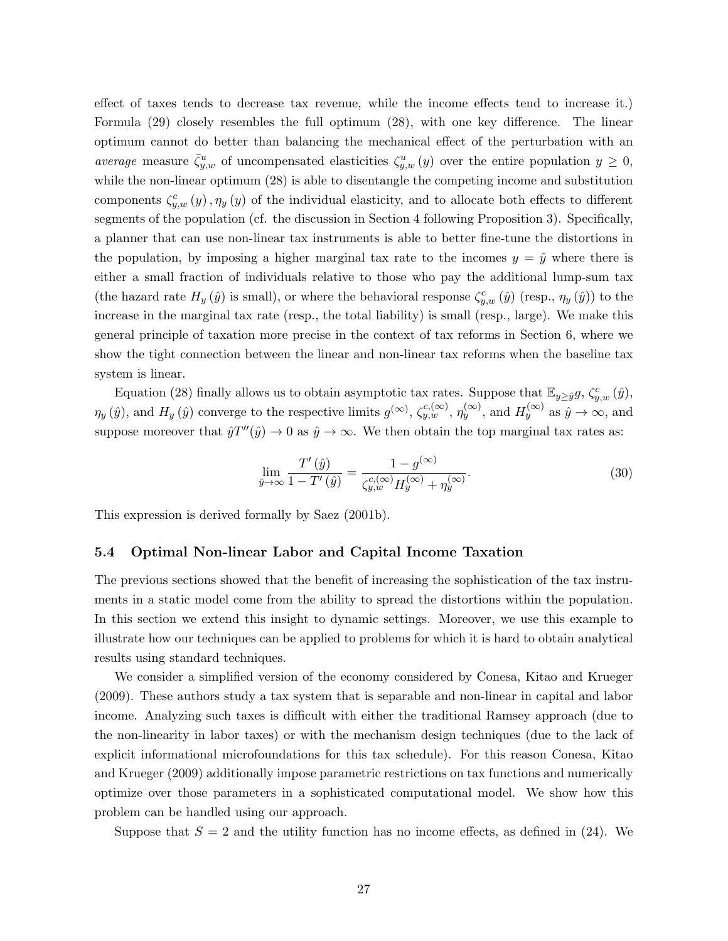effect of taxes tends to decrease tax revenue, while the income effects tend to increase it.) Formula (29) closely resembles the full optimum (28), with one key difference. The linear optimum cannot do better than balancing the mechanical effect of the perturbation with an average measure  $\bar{\zeta}_{y,w}^u$  of uncompensated elasticities  $\zeta_{y,w}^u(y)$  over the entire population  $y \geq 0$ , while the non-linear optimum (28) is able to disentangle the competing income and substitution components  $\zeta_{y,w}^c(y)$ ,  $\eta_y(y)$  of the individual elasticity, and to allocate both effects to different segments of the population (cf. the discussion in Section 4 following Proposition 3). Specifically, a planner that can use non-linear tax instruments is able to better fine-tune the distortions in the population, by imposing a higher marginal tax rate to the incomes  $y = \hat{y}$  where there is either a small fraction of individuals relative to those who pay the additional lump-sum tax (the hazard rate  $H_y(\hat{y})$  is small), or where the behavioral response  $\zeta_{y,w}^c(\hat{y})$  (resp.,  $\eta_y(\hat{y})$ ) to the increase in the marginal tax rate (resp., the total liability) is small (resp., large). We make this general principle of taxation more precise in the context of tax reforms in Section 6, where we show the tight connection between the linear and non-linear tax reforms when the baseline tax system is linear.

Equation (28) finally allows us to obtain asymptotic tax rates. Suppose that  $\mathbb{E}_{y\geq \hat{y}}g$ ,  $\zeta_{y,w}^c(\hat{y})$ ,  $\eta_y(\hat{y})$ , and  $H_y(\hat{y})$  converge to the respective limits  $g^{(\infty)}$ ,  $\zeta_{y,w}^{c,(\infty)}$ ,  $\eta_y^{(\infty)}$ , and  $H_y^{(\infty)}$  as  $\hat{y} \to \infty$ , and suppose moreover that  $\hat{y}T''(\hat{y}) \to 0$  as  $\hat{y} \to \infty$ . We then obtain the top marginal tax rates as:

$$
\lim_{\hat{y}\to\infty} \frac{T'(\hat{y})}{1 - T'(\hat{y})} = \frac{1 - g^{(\infty)}}{\zeta_{y,w}^{c,(\infty)} H_y^{(\infty)} + \eta_y^{(\infty)}}.
$$
\n(30)

This expression is derived formally by Saez (2001b).

## 5.4 Optimal Non-linear Labor and Capital Income Taxation

The previous sections showed that the benefit of increasing the sophistication of the tax instruments in a static model come from the ability to spread the distortions within the population. In this section we extend this insight to dynamic settings. Moreover, we use this example to illustrate how our techniques can be applied to problems for which it is hard to obtain analytical results using standard techniques.

We consider a simplified version of the economy considered by Conesa, Kitao and Krueger (2009). These authors study a tax system that is separable and non-linear in capital and labor income. Analyzing such taxes is difficult with either the traditional Ramsey approach (due to the non-linearity in labor taxes) or with the mechanism design techniques (due to the lack of explicit informational microfoundations for this tax schedule). For this reason Conesa, Kitao and Krueger (2009) additionally impose parametric restrictions on tax functions and numerically optimize over those parameters in a sophisticated computational model. We show how this problem can be handled using our approach.

Suppose that  $S = 2$  and the utility function has no income effects, as defined in (24). We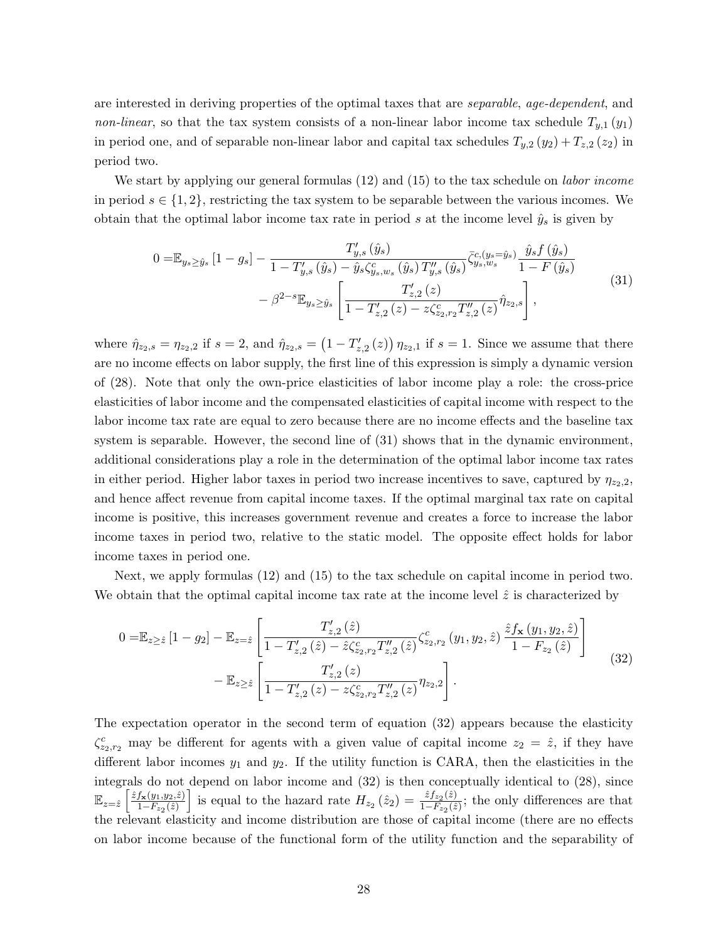are interested in deriving properties of the optimal taxes that are *separable*, age-dependent, and non-linear, so that the tax system consists of a non-linear labor income tax schedule  $T_{y,1}(y_1)$ in period one, and of separable non-linear labor and capital tax schedules  $T_{y,2}(y_2) + T_{z,2}(z_2)$  in period two.

We start by applying our general formulas  $(12)$  and  $(15)$  to the tax schedule on *labor income* in period  $s \in \{1,2\}$ , restricting the tax system to be separable between the various incomes. We obtain that the optimal labor income tax rate in period s at the income level  $\hat{y}_s$  is given by

$$
0 = \mathbb{E}_{y_s \ge \hat{y}_s} \left[ 1 - g_s \right] - \frac{T'_{y,s} \left( \hat{y}_s \right)}{1 - T'_{y,s} \left( \hat{y}_s \right) - \hat{y}_s \zeta_{y_s,w_s}^c \left( \hat{y}_s \right) T''_{y,s} \left( \hat{y}_s \right)} \bar{\zeta}_{y_s,w_s}^{c,(y_s = \hat{y}_s)} \frac{\hat{y}_s f \left( \hat{y}_s \right)}{1 - F \left( \hat{y}_s \right)} -\beta^{2-s} \mathbb{E}_{y_s \ge \hat{y}_s} \left[ \frac{T'_{z,2}(z)}{1 - T'_{z,2}(z) - z \zeta_{z_s,r_2}^c T''_{z,2}(z)} \hat{\eta}_{z_2,s} \right],
$$
\n
$$
(31)
$$

where  $\hat{\eta}_{z_2,s} = \eta_{z_2,2}$  if  $s = 2$ , and  $\hat{\eta}_{z_2,s} = (1 - T'_{z,2}(z)) \eta_{z_2,1}$  if  $s = 1$ . Since we assume that there are no income effects on labor supply, the first line of this expression is simply a dynamic version of (28). Note that only the own-price elasticities of labor income play a role: the cross-price elasticities of labor income and the compensated elasticities of capital income with respect to the labor income tax rate are equal to zero because there are no income effects and the baseline tax system is separable. However, the second line of (31) shows that in the dynamic environment, additional considerations play a role in the determination of the optimal labor income tax rates in either period. Higher labor taxes in period two increase incentives to save, captured by  $\eta_{z_2,2}$ , and hence affect revenue from capital income taxes. If the optimal marginal tax rate on capital income is positive, this increases government revenue and creates a force to increase the labor income taxes in period two, relative to the static model. The opposite effect holds for labor income taxes in period one.

Next, we apply formulas (12) and (15) to the tax schedule on capital income in period two. We obtain that the optimal capital income tax rate at the income level  $\hat{z}$  is characterized by

$$
0 = \mathbb{E}_{z \geq \hat{z}} [1 - g_2] - \mathbb{E}_{z = \hat{z}} \left[ \frac{T'_{z,2}(\hat{z})}{1 - T'_{z,2}(\hat{z}) - \hat{z} \zeta_{z_2, r_2}^c T''_{z,2}(\hat{z})} \zeta_{z_2, r_2}^c (y_1, y_2, \hat{z}) \frac{\hat{z} f_{\mathbf{x}}(y_1, y_2, \hat{z})}{1 - F_{z_2}(\hat{z})} \right] - \mathbb{E}_{z \geq \hat{z}} \left[ \frac{T'_{z,2}(z)}{1 - T'_{z,2}(z) - z \zeta_{z_2, r_2}^c T''_{z,2}(z)} \eta_{z_2, z} \right].
$$
\n(32)

The expectation operator in the second term of equation (32) appears because the elasticity  $\zeta_{z_2,r_2}^c$  may be different for agents with a given value of capital income  $z_2 = \hat{z}$ , if they have different labor incomes  $y_1$  and  $y_2$ . If the utility function is CARA, then the elasticities in the integrals do not depend on labor income and (32) is then conceptually identical to (28), since  $\mathbb{E}_{z=\hat{z}}\left[\frac{\hat{z}f_{\mathbf{x}}(y_1,y_2,\hat{z})}{1-F_{z_2}(\hat{z})}\right]$  $\frac{f_{\mathbf{x}}(y_1,y_2,\hat{z})}{1-F_{z_2}(\hat{z})}$  is equal to the hazard rate  $H_{z_2}(\hat{z}_2) = \frac{\hat{z}f_{z_2}(\hat{z})}{1-F_{z_2}(\hat{z})}$  $\frac{z_j z_2(z_j)}{1-F_{z_2}(\tilde{z})}$ ; the only differences are that the relevant elasticity and income distribution are those of capital income (there are no effects on labor income because of the functional form of the utility function and the separability of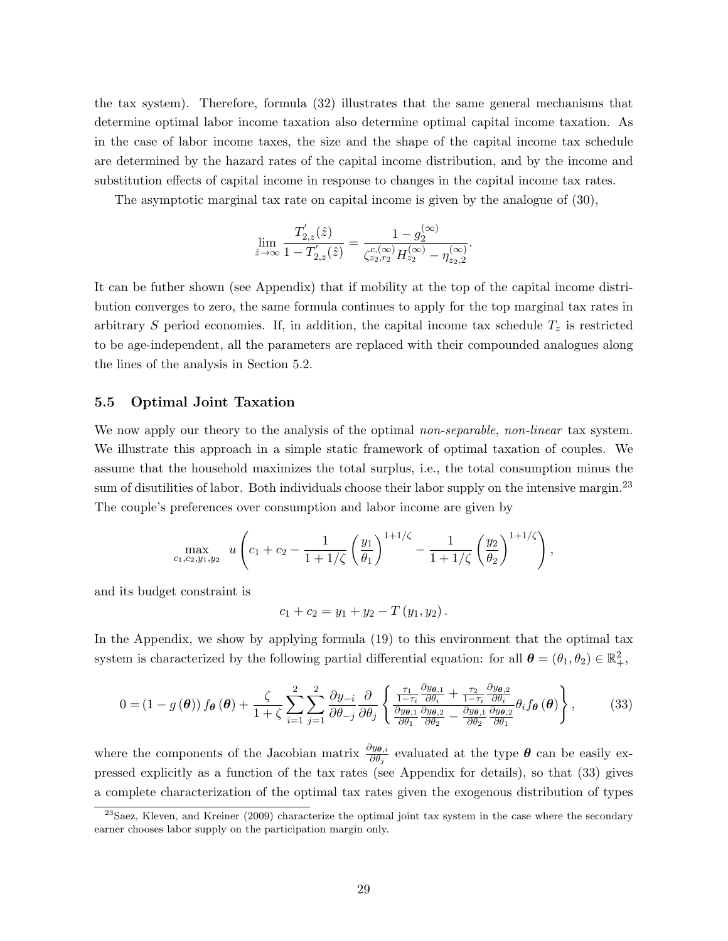the tax system). Therefore, formula (32) illustrates that the same general mechanisms that determine optimal labor income taxation also determine optimal capital income taxation. As in the case of labor income taxes, the size and the shape of the capital income tax schedule are determined by the hazard rates of the capital income distribution, and by the income and substitution effects of capital income in response to changes in the capital income tax rates.

The asymptotic marginal tax rate on capital income is given by the analogue of (30),

$$
\lim_{\hat{z}\to\infty}\frac{T_{2,z}'(\hat{z})}{1-T_{2,z}'(\hat{z})}=\frac{1-g_2^{(\infty)}}{\zeta_{z_2,r_2}^{c,(\infty)}H_{z_2}^{(\infty)}-\eta_{z_2,2}^{(\infty)}}.
$$

It can be futher shown (see Appendix) that if mobility at the top of the capital income distribution converges to zero, the same formula continues to apply for the top marginal tax rates in arbitrary S period economies. If, in addition, the capital income tax schedule  $T<sub>z</sub>$  is restricted to be age-independent, all the parameters are replaced with their compounded analogues along the lines of the analysis in Section 5.2.

## 5.5 Optimal Joint Taxation

We now apply our theory to the analysis of the optimal non-separable, non-linear tax system. We illustrate this approach in a simple static framework of optimal taxation of couples. We assume that the household maximizes the total surplus, i.e., the total consumption minus the sum of disutilities of labor. Both individuals choose their labor supply on the intensive margin.<sup>23</sup> The couple's preferences over consumption and labor income are given by

$$
\max_{c_1, c_2, y_1, y_2} u \left( c_1 + c_2 - \frac{1}{1 + 1/\zeta} \left( \frac{y_1}{\theta_1} \right)^{1 + 1/\zeta} - \frac{1}{1 + 1/\zeta} \left( \frac{y_2}{\theta_2} \right)^{1 + 1/\zeta} \right),
$$

and its budget constraint is

$$
c_1 + c_2 = y_1 + y_2 - T(y_1, y_2).
$$

In the Appendix, we show by applying formula (19) to this environment that the optimal tax system is characterized by the following partial differential equation: for all  $\boldsymbol{\theta} = (\theta_1, \theta_2) \in \mathbb{R}^2_+$ ,

$$
0 = (1 - g(\boldsymbol{\theta})) f_{\boldsymbol{\theta}}(\boldsymbol{\theta}) + \frac{\zeta}{1 + \zeta} \sum_{i=1}^{2} \sum_{j=1}^{2} \frac{\partial y_{-i}}{\partial \theta_{-j}} \frac{\partial}{\partial \theta_{j}} \left\{ \frac{\frac{\tau_{1}}{1 - \tau_{i}} \frac{\partial y_{\boldsymbol{\theta},1}}{\partial \theta_{i}} + \frac{\tau_{2}}{1 - \tau_{i}} \frac{\partial y_{\boldsymbol{\theta},2}}{\partial \theta_{i}}}{\frac{\partial y_{\boldsymbol{\theta},1}}{\partial \theta_{1}} \frac{\partial y_{\boldsymbol{\theta},2}}{\partial \theta_{2}} - \frac{\partial y_{\boldsymbol{\theta},1}}{\partial \theta_{2}} \frac{\partial y_{\boldsymbol{\theta},2}}{\partial \theta_{1}} \theta_{i} f_{\boldsymbol{\theta}}(\boldsymbol{\theta}) \right\},
$$
(33)

where the components of the Jacobian matrix  $\frac{\partial y_{\theta,i}}{\partial \theta_j}$  evaluated at the type  $\theta$  can be easily expressed explicitly as a function of the tax rates (see Appendix for details), so that (33) gives a complete characterization of the optimal tax rates given the exogenous distribution of types

<sup>&</sup>lt;sup>23</sup>Saez, Kleven, and Kreiner (2009) characterize the optimal joint tax system in the case where the secondary earner chooses labor supply on the participation margin only.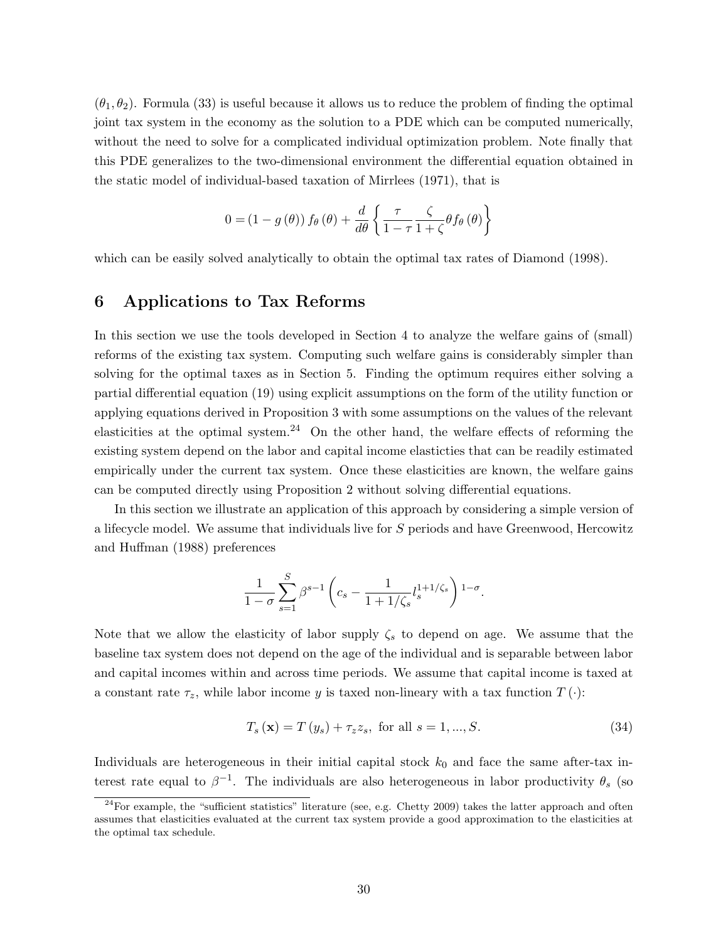$(\theta_1, \theta_2)$ . Formula (33) is useful because it allows us to reduce the problem of finding the optimal joint tax system in the economy as the solution to a PDE which can be computed numerically, without the need to solve for a complicated individual optimization problem. Note finally that this PDE generalizes to the two-dimensional environment the differential equation obtained in the static model of individual-based taxation of Mirrlees (1971), that is

$$
0 = (1 - g(\theta)) f_{\theta}(\theta) + \frac{d}{d\theta} \left\{ \frac{\tau}{1 - \tau} \frac{\zeta}{1 + \zeta} \theta f_{\theta}(\theta) \right\}
$$

which can be easily solved analytically to obtain the optimal tax rates of Diamond (1998).

## 6 Applications to Tax Reforms

In this section we use the tools developed in Section 4 to analyze the welfare gains of (small) reforms of the existing tax system. Computing such welfare gains is considerably simpler than solving for the optimal taxes as in Section 5. Finding the optimum requires either solving a partial differential equation (19) using explicit assumptions on the form of the utility function or applying equations derived in Proposition 3 with some assumptions on the values of the relevant elasticities at the optimal system.<sup>24</sup> On the other hand, the welfare effects of reforming the existing system depend on the labor and capital income elasticties that can be readily estimated empirically under the current tax system. Once these elasticities are known, the welfare gains can be computed directly using Proposition 2 without solving differential equations.

In this section we illustrate an application of this approach by considering a simple version of a lifecycle model. We assume that individuals live for S periods and have Greenwood, Hercowitz and Huffman (1988) preferences

$$
\frac{1}{1-\sigma} \sum_{s=1}^{S} \beta^{s-1} \left( c_s - \frac{1}{1+1/\zeta_s} l_s^{1+1/\zeta_s} \right) ^{1-\sigma}.
$$

Note that we allow the elasticity of labor supply  $\zeta_s$  to depend on age. We assume that the baseline tax system does not depend on the age of the individual and is separable between labor and capital incomes within and across time periods. We assume that capital income is taxed at a constant rate  $\tau_z$ , while labor income y is taxed non-lineary with a tax function  $T(\cdot)$ :

$$
T_s(\mathbf{x}) = T(y_s) + \tau_z z_s, \text{ for all } s = 1, \dots, S. \tag{34}
$$

Individuals are heterogeneous in their initial capital stock  $k_0$  and face the same after-tax interest rate equal to  $\beta^{-1}$ . The individuals are also heterogeneous in labor productivity  $\theta_s$  (so

 $^{24}$ For example, the "sufficient statistics" literature (see, e.g. Chetty 2009) takes the latter approach and often assumes that elasticities evaluated at the current tax system provide a good approximation to the elasticities at the optimal tax schedule.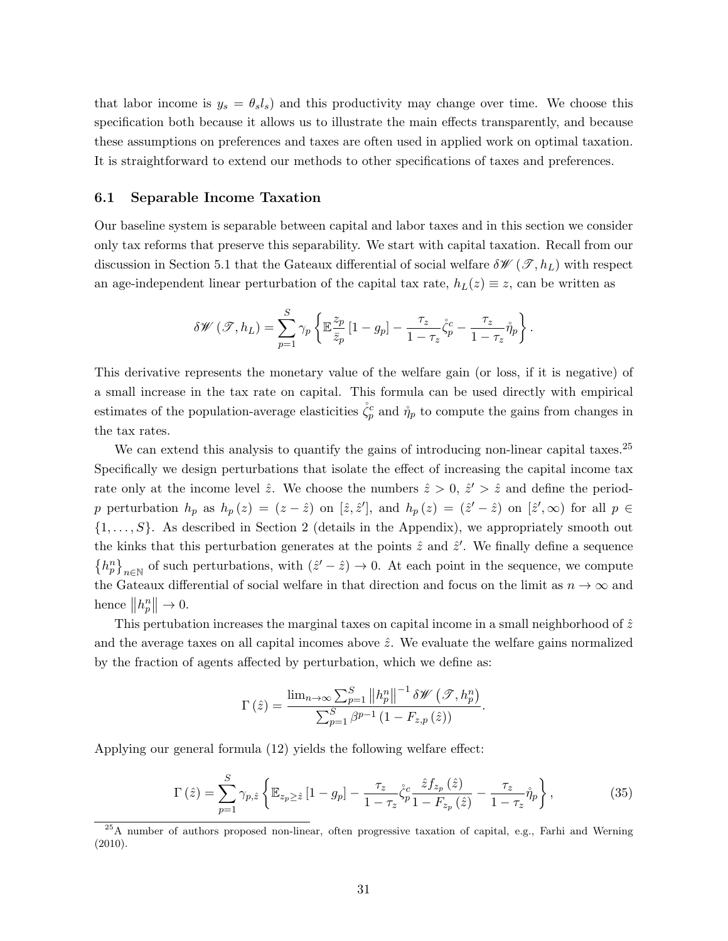that labor income is  $y_s = \theta_s l_s$ ) and this productivity may change over time. We choose this specification both because it allows us to illustrate the main effects transparently, and because these assumptions on preferences and taxes are often used in applied work on optimal taxation. It is straightforward to extend our methods to other specifications of taxes and preferences.

### 6.1 Separable Income Taxation

Our baseline system is separable between capital and labor taxes and in this section we consider only tax reforms that preserve this separability. We start with capital taxation. Recall from our discussion in Section 5.1 that the Gateaux differential of social welfare  $\delta \mathscr{W}(\mathscr{T}, h_L)$  with respect an age-independent linear perturbation of the capital tax rate,  $h_L(z) \equiv z$ , can be written as

$$
\delta \mathscr{W}(\mathscr{T},h_L) = \sum_{p=1}^{S} \gamma_p \left\{ \mathbb{E} \frac{z_p}{\bar{z}_p} \left[ 1 - g_p \right] - \frac{\tau_z}{1 - \tau_z} \dot{\zeta}_p^c - \frac{\tau_z}{1 - \tau_z} \mathring{\eta}_p \right\}.
$$

This derivative represents the monetary value of the welfare gain (or loss, if it is negative) of a small increase in the tax rate on capital. This formula can be used directly with empirical estimates of the population-average elasticities  $\zeta_p^c$  and  $\eta_p$  to compute the gains from changes in the tax rates.

We can extend this analysis to quantify the gains of introducing non-linear capital taxes.<sup>25</sup> Specifically we design perturbations that isolate the effect of increasing the capital income tax rate only at the income level  $\hat{z}$ . We choose the numbers  $\hat{z} > 0$ ,  $\hat{z}' > \hat{z}$  and define the periodp perturbation  $h_p$  as  $h_p(z) = (z - \hat{z})$  on  $[\hat{z}, \hat{z}']$ , and  $h_p(z) = (\hat{z}' - \hat{z})$  on  $[\hat{z}', \infty)$  for all  $p \in$  $\{1, \ldots, S\}$ . As described in Section 2 (details in the Appendix), we appropriately smooth out the kinks that this perturbation generates at the points  $\hat{z}$  and  $\hat{z}'$ . We finally define a sequence  $\{h_p^n\}_{n\in\mathbb{N}}$  of such perturbations, with  $(\hat{z}'-\hat{z})\to 0$ . At each point in the sequence, we compute the Gateaux differential of social welfare in that direction and focus on the limit as  $n \to \infty$  and hence  $||h_p^n|| \to 0$ .

This pertubation increases the marginal taxes on capital income in a small neighborhood of  $\hat{z}$ and the average taxes on all capital incomes above  $\hat{z}$ . We evaluate the welfare gains normalized by the fraction of agents affected by perturbation, which we define as:

$$
\Gamma\left(\hat{z}\right) = \frac{\lim_{n \to \infty} \sum_{p=1}^{S} \left\|h_p^n\right\|^{-1} \delta \mathscr{W}\left(\mathscr{T}, h_p^n\right)}{\sum_{p=1}^{S} \beta^{p-1} \left(1 - F_{z,p}\left(\hat{z}\right)\right)}
$$

Applying our general formula (12) yields the following welfare effect:

$$
\Gamma\left(\hat{z}\right) = \sum_{p=1}^{S} \gamma_{p,\hat{z}} \left\{ \mathbb{E}_{z_p \geq \hat{z}} \left[1 - g_p\right] - \frac{\tau_z}{1 - \tau_z} \dot{\zeta}_p^c \frac{\hat{z} f_{z_p}\left(\hat{z}\right)}{1 - F_{z_p}\left(\hat{z}\right)} - \frac{\tau_z}{1 - \tau_z} \dot{\eta}_p \right\},\tag{35}
$$

.

<sup>&</sup>lt;sup>25</sup>A number of authors proposed non-linear, often progressive taxation of capital, e.g., Farhi and Werning (2010).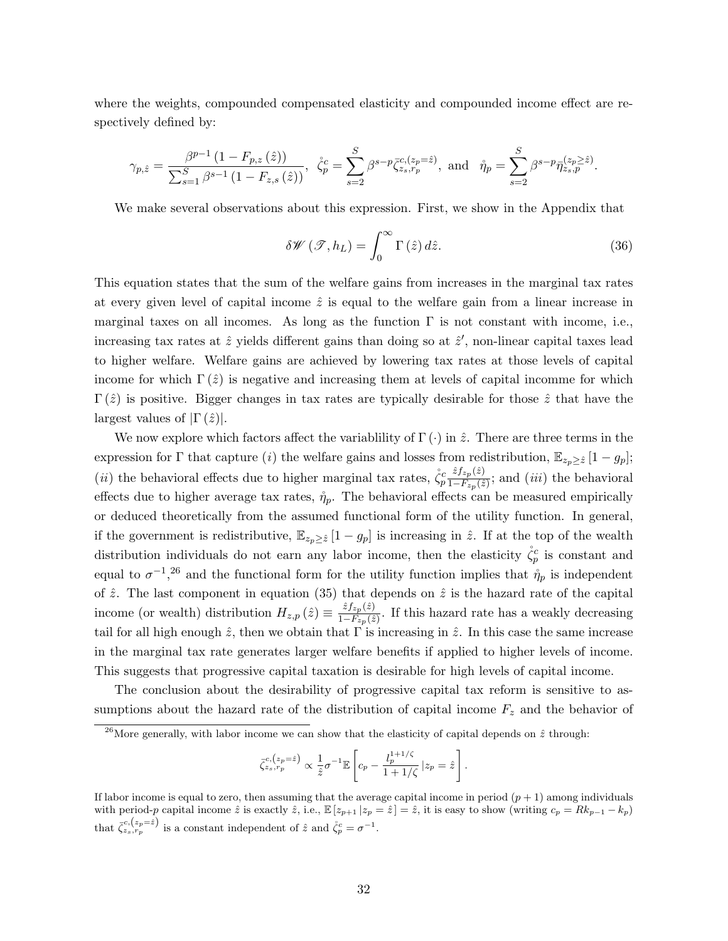where the weights, compounded compensated elasticity and compounded income effect are respectively defined by:

$$
\gamma_{p,\hat{z}} = \frac{\beta^{p-1} (1 - F_{p,z}(\hat{z}))}{\sum_{s=1}^S \beta^{s-1} (1 - F_{z,s}(\hat{z}))}, \quad \zeta_p^c = \sum_{s=2}^S \beta^{s-p} \bar{\zeta}_{z_s, r_p}^{c, (z_p = \hat{z})}, \text{ and } \quad \mathring{\eta}_p = \sum_{s=2}^S \beta^{s-p} \bar{\eta}_{z_s, p}^{(z_p \geq \hat{z})}.
$$

We make several observations about this expression. First, we show in the Appendix that

$$
\delta \mathscr{W}(\mathscr{T}, h_L) = \int_0^\infty \Gamma(\hat{z}) \, d\hat{z}.\tag{36}
$$

This equation states that the sum of the welfare gains from increases in the marginal tax rates at every given level of capital income  $\hat{z}$  is equal to the welfare gain from a linear increase in marginal taxes on all incomes. As long as the function  $\Gamma$  is not constant with income, i.e., increasing tax rates at  $\hat{z}$  yields different gains than doing so at  $\hat{z}'$ , non-linear capital taxes lead to higher welfare. Welfare gains are achieved by lowering tax rates at those levels of capital income for which  $\Gamma(\hat{z})$  is negative and increasing them at levels of capital incomme for which  $\Gamma(\hat{z})$  is positive. Bigger changes in tax rates are typically desirable for those  $\hat{z}$  that have the largest values of  $|\Gamma(\hat{z})|$ .

We now explore which factors affect the variablility of  $\Gamma(\cdot)$  in  $\hat{z}$ . There are three terms in the expression for Γ that capture (i) the welfare gains and losses from redistribution,  $\mathbb{E}_{z_p\geq \hat{z}}[1-g_p];$ (*ii*) the behavioral effects due to higher marginal tax rates,  $\zeta_p^c \frac{\hat{z} f_{zp}(\hat{z})}{1-F_{z_n}(\hat{z})}$  $\frac{z_j z_p(z)}{1-F_{z_p}(\hat{z})}$ ; and  $(iii)$  the behavioral effects due to higher average tax rates,  $\mathring{\eta}_p$ . The behavioral effects can be measured empirically or deduced theoretically from the assumed functional form of the utility function. In general, if the government is redistributive,  $\mathbb{E}_{z_p\geq \hat{z}}[1-g_p]$  is increasing in  $\hat{z}$ . If at the top of the wealth distribution individuals do not earn any labor income, then the elasticity  $\dot{\zeta}_p^c$  is constant and equal to  $\sigma^{-1}$ ,<sup>26</sup> and the functional form for the utility function implies that  $\mathring{\eta}_p$  is independent of  $\hat{z}$ . The last component in equation (35) that depends on  $\hat{z}$  is the hazard rate of the capital income (or wealth) distribution  $H_{z,p}(\hat{z}) \equiv \frac{\hat{z} f_{z,p}(\hat{z})}{1-F_z(\hat{z})}$  $\frac{z_j z_p(z)}{1-F_{z_p}(\hat{z})}$ . If this hazard rate has a weakly decreasing tail for all high enough  $\hat{z}$ , then we obtain that  $\Gamma$  is increasing in  $\hat{z}$ . In this case the same increase in the marginal tax rate generates larger welfare benefits if applied to higher levels of income. This suggests that progressive capital taxation is desirable for high levels of capital income.

The conclusion about the desirability of progressive capital tax reform is sensitive to assumptions about the hazard rate of the distribution of capital income  $F<sub>z</sub>$  and the behavior of

$$
\bar{\zeta}_{z_s,r_p}^{c,(z_p=\hat{z})} \propto \frac{1}{\hat{z}} \sigma^{-1} \mathbb{E}\left[c_p - \frac{l_p^{1+1/\zeta}}{1+1/\zeta} \, | z_p = \hat{z}\right].
$$

<sup>&</sup>lt;sup>26</sup>More generally, with labor income we can show that the elasticity of capital depends on  $\hat{z}$  through:

If labor income is equal to zero, then assuming that the average capital income in period  $(p + 1)$  among individuals with period-p capital income  $\hat{z}$  is exactly  $\hat{z}$ , i.e.,  $\mathbb{E}[z_{p+1} | z_p = \hat{z}] = \hat{z}$ , it is easy to show (writing  $c_p = Rk_{p-1} - k_p$ ) that  $\bar{\zeta}_{z_s,r_p}^{c,(z_p=z)}$  is a constant independent of  $\hat{z}$  and  $\dot{\zeta}_p^c = \sigma^{-1}$ .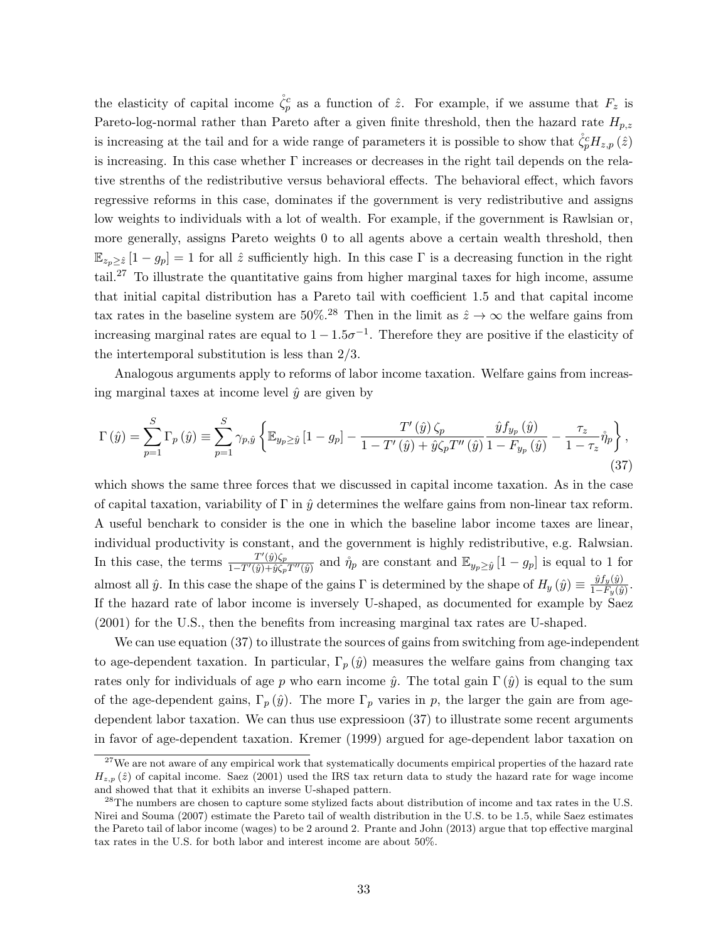the elasticity of capital income  $\zeta_p^c$  as a function of  $\hat{z}$ . For example, if we assume that  $F_z$  is Pareto-log-normal rather than Pareto after a given finite threshold, then the hazard rate  $H_{p,z}$ is increasing at the tail and for a wide range of parameters it is possible to show that  $\mathring{\zeta}_p^c H_{z,p}(\hat{z})$ is increasing. In this case whether  $\Gamma$  increases or decreases in the right tail depends on the relative strenths of the redistributive versus behavioral effects. The behavioral effect, which favors regressive reforms in this case, dominates if the government is very redistributive and assigns low weights to individuals with a lot of wealth. For example, if the government is Rawlsian or, more generally, assigns Pareto weights 0 to all agents above a certain wealth threshold, then  $\mathbb{E}_{z_p\geq \hat{z}}[1-g_p]=1$  for all  $\hat{z}$  sufficiently high. In this case  $\Gamma$  is a decreasing function in the right tail.<sup>27</sup> To illustrate the quantitative gains from higher marginal taxes for high income, assume that initial capital distribution has a Pareto tail with coefficient 1.5 and that capital income tax rates in the baseline system are 50%.<sup>28</sup> Then in the limit as  $\hat{z} \to \infty$  the welfare gains from increasing marginal rates are equal to  $1-1.5\sigma^{-1}$ . Therefore they are positive if the elasticity of the intertemporal substitution is less than 2/3.

Analogous arguments apply to reforms of labor income taxation. Welfare gains from increasing marginal taxes at income level  $\hat{y}$  are given by

$$
\Gamma\left(\hat{y}\right) = \sum_{p=1}^{S} \Gamma_p\left(\hat{y}\right) \equiv \sum_{p=1}^{S} \gamma_{p,\hat{y}} \left\{ \mathbb{E}_{y_p \ge \hat{y}} \left[1 - g_p\right] - \frac{T'\left(\hat{y}\right)\zeta_p}{1 - T'\left(\hat{y}\right) + \hat{y}\zeta_p T''\left(\hat{y}\right)} \frac{\hat{y}f_{y_p}\left(\hat{y}\right)}{1 - F_{y_p}\left(\hat{y}\right)} - \frac{\tau_z}{1 - \tau_z} \mathring{\eta}_p \right\},\tag{37}
$$

which shows the same three forces that we discussed in capital income taxation. As in the case of capital taxation, variability of  $\Gamma$  in  $\hat{y}$  determines the welfare gains from non-linear tax reform. A useful benchark to consider is the one in which the baseline labor income taxes are linear, individual productivity is constant, and the government is highly redistributive, e.g. Ralwsian. In this case, the terms  $\frac{T'(\hat{y})\zeta_p}{1-T'(\hat{y})+\hat{y}\zeta}$  $\frac{T'(\hat{y})\zeta_p}{1-T'(\hat{y})+\hat{y}\zeta_pT''(\hat{y})}$  and  $\mathring{\eta}_p$  are constant and  $\mathbb{E}_{y_p\geq \hat{y}}[1-g_p]$  is equal to 1 for almost all  $\hat{y}$ . In this case the shape of the gains Γ is determined by the shape of  $H_y(\hat{y}) \equiv \frac{\hat{y}f_y(\hat{y})}{1-F_y(\hat{y})}$  $\frac{y_{Jy}(y)}{1-F_y(\hat{y})}$ . If the hazard rate of labor income is inversely U-shaped, as documented for example by Saez (2001) for the U.S., then the benefits from increasing marginal tax rates are U-shaped.

We can use equation (37) to illustrate the sources of gains from switching from age-independent to age-dependent taxation. In particular,  $\Gamma_p(\hat{y})$  measures the welfare gains from changing tax rates only for individuals of age p who earn income  $\hat{y}$ . The total gain  $\Gamma(\hat{y})$  is equal to the sum of the age-dependent gains,  $\Gamma_p(\hat{y})$ . The more  $\Gamma_p$  varies in p, the larger the gain are from agedependent labor taxation. We can thus use expressioon (37) to illustrate some recent arguments in favor of age-dependent taxation. Kremer (1999) argued for age-dependent labor taxation on

<sup>&</sup>lt;sup>27</sup>We are not aware of any empirical work that systematically documents empirical properties of the hazard rate  $H_{z,p}(\hat{z})$  of capital income. Saez (2001) used the IRS tax return data to study the hazard rate for wage income and showed that that it exhibits an inverse U-shaped pattern.

<sup>&</sup>lt;sup>28</sup>The numbers are chosen to capture some stylized facts about distribution of income and tax rates in the U.S. Nirei and Souma (2007) estimate the Pareto tail of wealth distribution in the U.S. to be 1.5, while Saez estimates the Pareto tail of labor income (wages) to be 2 around 2. Prante and John (2013) argue that top effective marginal tax rates in the U.S. for both labor and interest income are about 50%.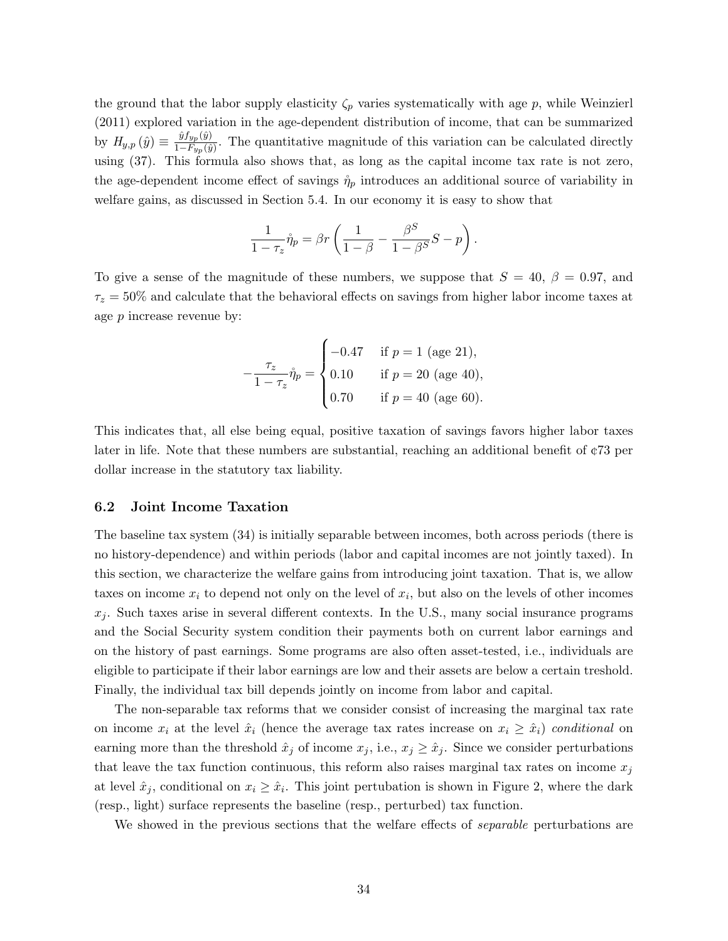the ground that the labor supply elasticity  $\zeta_p$  varies systematically with age p, while Weinzierl (2011) explored variation in the age-dependent distribution of income, that can be summarized by  $H_{y,p}(\hat{y}) \equiv \frac{\hat{y}f_{y,p}(\hat{y})}{1-F_{y,p}(\hat{y})}$  $\frac{g_{Jyp}(g)}{1-F_{yp}(\hat{g})}$ . The quantitative magnitude of this variation can be calculated directly using (37). This formula also shows that, as long as the capital income tax rate is not zero, the age-dependent income effect of savings  $\eta_p$  introduces an additional source of variability in welfare gains, as discussed in Section 5.4. In our economy it is easy to show that

$$
\frac{1}{1-\tau_z}\mathring{\eta}_p = \beta r \left( \frac{1}{1-\beta} - \frac{\beta^S}{1-\beta^S}S - p \right).
$$

To give a sense of the magnitude of these numbers, we suppose that  $S = 40, \beta = 0.97,$  and  $\tau_z = 50\%$  and calculate that the behavioral effects on savings from higher labor income taxes at age p increase revenue by:

$$
-\frac{\tau_z}{1-\tau_z}\mathring{\eta}_p = \begin{cases}\n-0.47 & \text{if } p = 1 \text{ (age 21)}, \\
0.10 & \text{if } p = 20 \text{ (age 40)}, \\
0.70 & \text{if } p = 40 \text{ (age 60)}.\n\end{cases}
$$

This indicates that, all else being equal, positive taxation of savings favors higher labor taxes later in life. Note that these numbers are substantial, reaching an additional benefit of ¢73 per dollar increase in the statutory tax liability.

### 6.2 Joint Income Taxation

The baseline tax system (34) is initially separable between incomes, both across periods (there is no history-dependence) and within periods (labor and capital incomes are not jointly taxed). In this section, we characterize the welfare gains from introducing joint taxation. That is, we allow taxes on income  $x_i$  to depend not only on the level of  $x_i$ , but also on the levels of other incomes  $x_i$ . Such taxes arise in several different contexts. In the U.S., many social insurance programs and the Social Security system condition their payments both on current labor earnings and on the history of past earnings. Some programs are also often asset-tested, i.e., individuals are eligible to participate if their labor earnings are low and their assets are below a certain treshold. Finally, the individual tax bill depends jointly on income from labor and capital.

The non-separable tax reforms that we consider consist of increasing the marginal tax rate on income  $x_i$  at the level  $\hat{x}_i$  (hence the average tax rates increase on  $x_i \geq \hat{x}_i$ ) conditional on earning more than the threshold  $\hat{x}_j$  of income  $x_j$ , i.e.,  $x_j \geq \hat{x}_j$ . Since we consider perturbations that leave the tax function continuous, this reform also raises marginal tax rates on income  $x_j$ at level  $\hat{x}_j$ , conditional on  $x_i \geq \hat{x}_i$ . This joint pertubation is shown in Figure 2, where the dark (resp., light) surface represents the baseline (resp., perturbed) tax function.

We showed in the previous sections that the welfare effects of *separable* perturbations are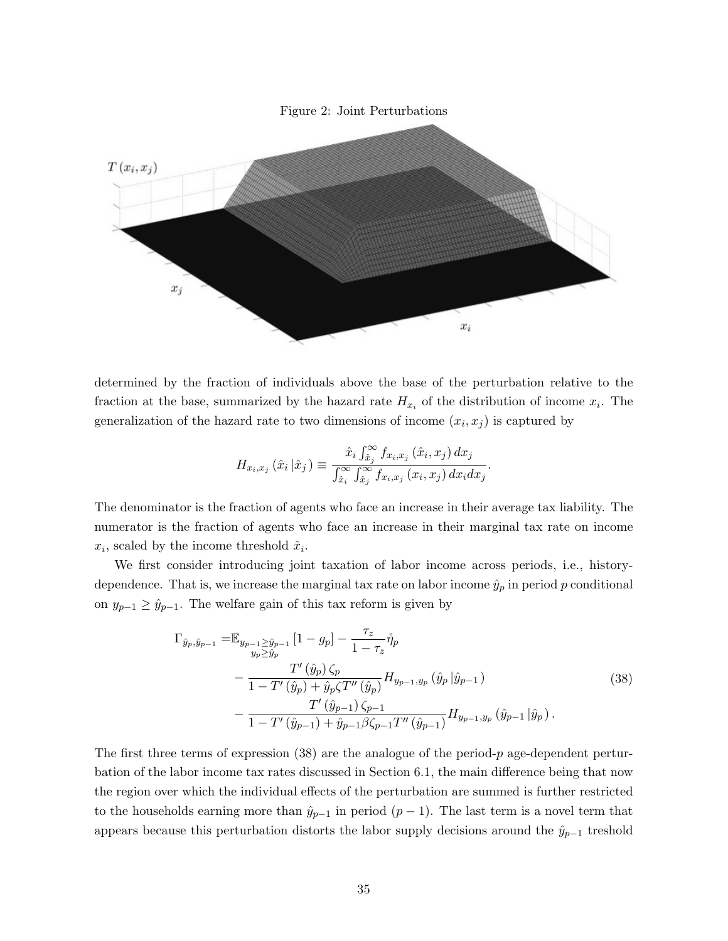



determined by the fraction of individuals above the base of the perturbation relative to the fraction at the base, summarized by the hazard rate  $H_{x_i}$  of the distribution of income  $x_i$ . The generalization of the hazard rate to two dimensions of income  $(x_i, x_j)$  is captured by

$$
H_{x_i,x_j}\left(\hat{x}_i\left|\hat{x}_j\right.\right) \equiv \frac{\hat{x}_i \int_{\hat{x}_j}^{\infty} f_{x_i,x_j}\left(\hat{x}_i,x_j\right) dx_j}{\int_{\hat{x}_i}^{\infty} \int_{\hat{x}_j}^{\infty} f_{x_i,x_j}\left(x_i,x_j\right) dx_i dx_j}.
$$

The denominator is the fraction of agents who face an increase in their average tax liability. The numerator is the fraction of agents who face an increase in their marginal tax rate on income  $x_i$ , scaled by the income threshold  $\hat{x}_i$ .

We first consider introducing joint taxation of labor income across periods, i.e., historydependence. That is, we increase the marginal tax rate on labor income  $\hat{y}_p$  in period p conditional on  $y_{p-1} \geq \hat{y}_{p-1}$ . The welfare gain of this tax reform is given by

$$
\Gamma_{\hat{y}_p, \hat{y}_{p-1}} = \mathbb{E}_{y_{p-1} \ge \hat{y}_{p-1}} [1 - g_p] - \frac{\tau_z}{1 - \tau_z} \mathring{\eta}_p \n- \frac{T'(\hat{y}_p) \zeta_p}{1 - T'(\hat{y}_p) + \hat{y}_p \zeta T''(\hat{y}_p)} H_{y_{p-1}, y_p}(\hat{y}_p | \hat{y}_{p-1}) \n- \frac{T'(\hat{y}_{p-1}) \zeta_{p-1}}{1 - T'(\hat{y}_{p-1}) + \hat{y}_{p-1} \beta \zeta_{p-1} T''(\hat{y}_{p-1})} H_{y_{p-1}, y_p}(\hat{y}_{p-1} | \hat{y}_p).
$$
\n(38)

The first three terms of expression  $(38)$  are the analogue of the period-p age-dependent perturbation of the labor income tax rates discussed in Section 6.1, the main difference being that now the region over which the individual effects of the perturbation are summed is further restricted to the households earning more than  $\hat{y}_{p-1}$  in period  $(p-1)$ . The last term is a novel term that appears because this perturbation distorts the labor supply decisions around the  $\hat{y}_{p-1}$  treshold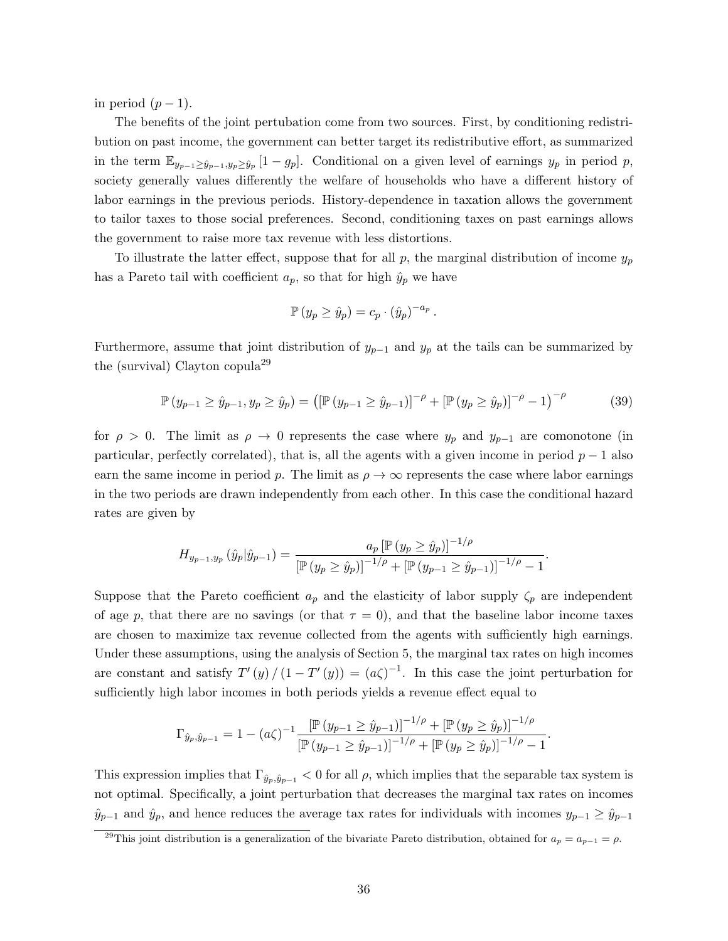in period  $(p-1)$ .

The benefits of the joint pertubation come from two sources. First, by conditioning redistribution on past income, the government can better target its redistributive effort, as summarized in the term  $\mathbb{E}_{y_{p-1}\geq \hat{y}_{p-1},y_p\geq \hat{y}_p}[1-g_p]$ . Conditional on a given level of earnings  $y_p$  in period p, society generally values differently the welfare of households who have a different history of labor earnings in the previous periods. History-dependence in taxation allows the government to tailor taxes to those social preferences. Second, conditioning taxes on past earnings allows the government to raise more tax revenue with less distortions.

To illustrate the latter effect, suppose that for all p, the marginal distribution of income  $y_p$ has a Pareto tail with coefficient  $a_p$ , so that for high  $\hat{y}_p$  we have

$$
\mathbb{P}\left(y_p \geq \hat{y}_p\right) = c_p \cdot \left(\hat{y}_p\right)^{-a_p}
$$

Furthermore, assume that joint distribution of  $y_{p-1}$  and  $y_p$  at the tails can be summarized by the (survival) Clayton copula<sup>29</sup>

$$
\mathbb{P}(y_{p-1} \ge \hat{y}_{p-1}, y_p \ge \hat{y}_p) = \left( \left[ \mathbb{P}(y_{p-1} \ge \hat{y}_{p-1}) \right]^{-\rho} + \left[ \mathbb{P}(y_p \ge \hat{y}_p) \right]^{-\rho} - 1 \right)^{-\rho} \tag{39}
$$

.

for  $\rho > 0$ . The limit as  $\rho \to 0$  represents the case where  $y_p$  and  $y_{p-1}$  are comonotone (in particular, perfectly correlated), that is, all the agents with a given income in period  $p-1$  also earn the same income in period p. The limit as  $\rho \to \infty$  represents the case where labor earnings in the two periods are drawn independently from each other. In this case the conditional hazard rates are given by

$$
H_{y_{p-1},y_p}(\hat{y}_p|\hat{y}_{p-1}) = \frac{a_p [\mathbb{P}(y_p \ge \hat{y}_p)]^{-1/\rho}}{[\mathbb{P}(y_p \ge \hat{y}_p)]^{-1/\rho} + [\mathbb{P}(y_{p-1} \ge \hat{y}_{p-1})]^{-1/\rho} - 1}.
$$

Suppose that the Pareto coefficient  $a_p$  and the elasticity of labor supply  $\zeta_p$  are independent of age p, that there are no savings (or that  $\tau = 0$ ), and that the baseline labor income taxes are chosen to maximize tax revenue collected from the agents with sufficiently high earnings. Under these assumptions, using the analysis of Section 5, the marginal tax rates on high incomes are constant and satisfy  $T'(y)/(1-T'(y)) = (a\zeta)^{-1}$ . In this case the joint perturbation for sufficiently high labor incomes in both periods yields a revenue effect equal to

$$
\Gamma_{\hat{y}_p, \hat{y}_{p-1}} = 1 - (a\zeta)^{-1} \frac{\left[ \mathbb{P}\left(y_{p-1} \ge \hat{y}_{p-1}\right) \right]^{-1/\rho} + \left[ \mathbb{P}\left(y_p \ge \hat{y}_p\right) \right]^{-1/\rho}}{\left[ \mathbb{P}\left(y_{p-1} \ge \hat{y}_{p-1}\right) \right]^{-1/\rho} + \left[ \mathbb{P}\left(y_p \ge \hat{y}_p\right) \right]^{-1/\rho} - 1}.
$$

This expression implies that  $\Gamma_{\hat{y}_p, \hat{y}_{p-1}} < 0$  for all  $\rho$ , which implies that the separable tax system is not optimal. Specifically, a joint perturbation that decreases the marginal tax rates on incomes  $\hat{y}_{p-1}$  and  $\hat{y}_p$ , and hence reduces the average tax rates for individuals with incomes  $y_{p-1} \geq \hat{y}_{p-1}$ 

<sup>&</sup>lt;sup>29</sup>This joint distribution is a generalization of the bivariate Pareto distribution, obtained for  $a_p = a_{p-1} = \rho$ .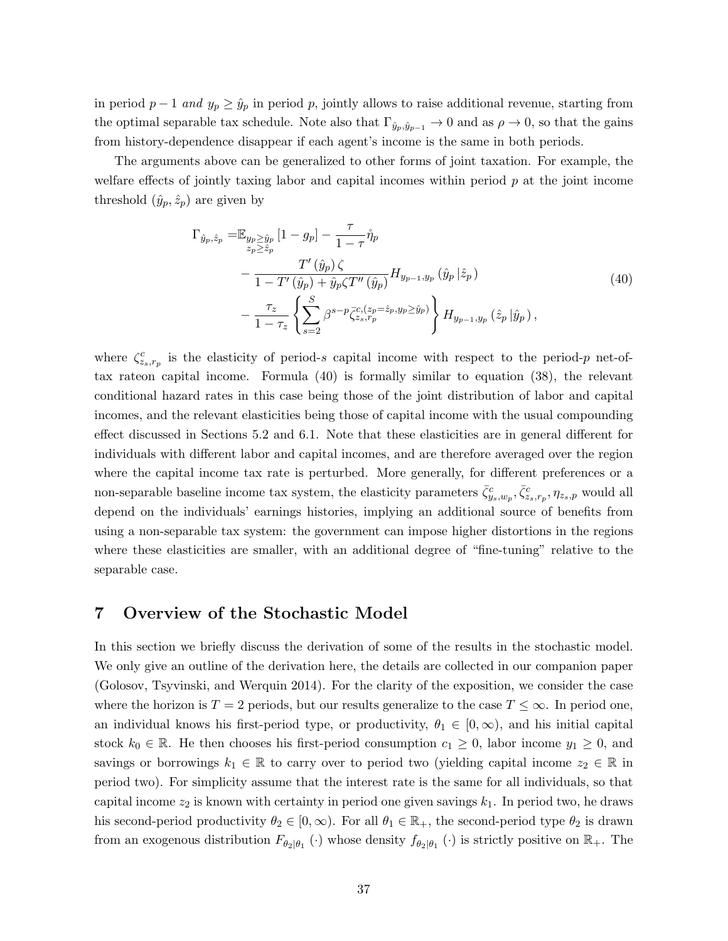in period  $p-1$  and  $y_p \geq \hat{y}_p$  in period p, jointly allows to raise additional revenue, starting from the optimal separable tax schedule. Note also that  $\Gamma_{\hat{y}_p,\hat{y}_{p-1}} \to 0$  and as  $\rho \to 0$ , so that the gains from history-dependence disappear if each agent's income is the same in both periods.

The arguments above can be generalized to other forms of joint taxation. For example, the welfare effects of jointly taxing labor and capital incomes within period  $p$  at the joint income threshold  $(\hat{y}_p, \hat{z}_p)$  are given by

$$
\Gamma_{\hat{y}_p, \hat{z}_p} = \mathbb{E}_{\substack{y_p \ge \hat{y}_p \\ z_p \ge \hat{z}_p}} \left[ 1 - g_p \right] - \frac{\tau}{1 - \tau} \mathring{\eta}_p \n- \frac{T'(\hat{y}_p) \zeta}{1 - T'(\hat{y}_p) + \hat{y}_p \zeta T''(\hat{y}_p)} H_{y_{p-1}, y_p}(\hat{y}_p | \hat{z}_p) \n- \frac{\tau_z}{1 - \tau_z} \left\{ \sum_{s=2}^S \beta^{s-p} \bar{\zeta}_{z_s, r_p}^{c,(z_p = \hat{z}_p, y_p \ge \hat{y}_p)} \right\} H_{y_{p-1}, y_p}(\hat{z}_p | \hat{y}_p),
$$
\n(40)

where  $\zeta_{z_s,r_p}^c$  is the elasticity of period-s capital income with respect to the period-p net-oftax rateon capital income. Formula (40) is formally similar to equation (38), the relevant conditional hazard rates in this case being those of the joint distribution of labor and capital incomes, and the relevant elasticities being those of capital income with the usual compounding effect discussed in Sections 5.2 and 6.1. Note that these elasticities are in general different for individuals with different labor and capital incomes, and are therefore averaged over the region where the capital income tax rate is perturbed. More generally, for different preferences or a non-separable baseline income tax system, the elasticity parameters  $\bar{\zeta}_{y_s,w_p}^c, \bar{\zeta}_{z_s,r_p}^c, \eta_{z_s,p}$  would all depend on the individuals' earnings histories, implying an additional source of benefits from using a non-separable tax system: the government can impose higher distortions in the regions where these elasticities are smaller, with an additional degree of "fine-tuning" relative to the separable case.

## 7 Overview of the Stochastic Model

In this section we briefly discuss the derivation of some of the results in the stochastic model. We only give an outline of the derivation here, the details are collected in our companion paper (Golosov, Tsyvinski, and Werquin 2014). For the clarity of the exposition, we consider the case where the horizon is  $T = 2$  periods, but our results generalize to the case  $T \leq \infty$ . In period one, an individual knows his first-period type, or productivity,  $\theta_1 \in [0, \infty)$ , and his initial capital stock  $k_0 \in \mathbb{R}$ . He then chooses his first-period consumption  $c_1 \geq 0$ , labor income  $y_1 \geq 0$ , and savings or borrowings  $k_1 \in \mathbb{R}$  to carry over to period two (yielding capital income  $z_2 \in \mathbb{R}$  in period two). For simplicity assume that the interest rate is the same for all individuals, so that capital income  $z_2$  is known with certainty in period one given savings  $k_1$ . In period two, he draws his second-period productivity  $\theta_2 \in [0,\infty)$ . For all  $\theta_1 \in \mathbb{R}_+$ , the second-period type  $\theta_2$  is drawn from an exogenous distribution  $F_{\theta_2|\theta_1}(\cdot)$  whose density  $f_{\theta_2|\theta_1}(\cdot)$  is strictly positive on  $\mathbb{R}_+$ . The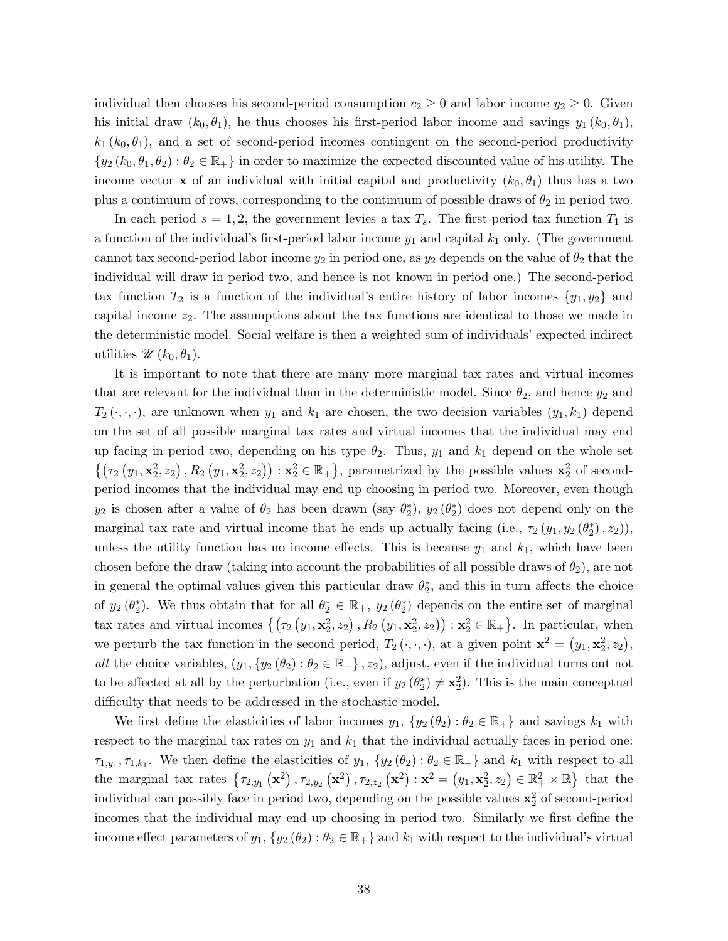individual then chooses his second-period consumption  $c_2 \geq 0$  and labor income  $y_2 \geq 0$ . Given his initial draw  $(k_0, \theta_1)$ , he thus chooses his first-period labor income and savings  $y_1 (k_0, \theta_1)$ ,  $k_1 (k_0, \theta_1)$ , and a set of second-period incomes contingent on the second-period productivity  $\{y_2 (k_0, \theta_1, \theta_2) : \theta_2 \in \mathbb{R}_+\}$  in order to maximize the expected discounted value of his utility. The income vector **x** of an individual with initial capital and productivity  $(k_0, \theta_1)$  thus has a two plus a continuum of rows, corresponding to the continuum of possible draws of  $\theta_2$  in period two.

In each period  $s = 1, 2$ , the government levies a tax  $T_s$ . The first-period tax function  $T_1$  is a function of the individual's first-period labor income  $y_1$  and capital  $k_1$  only. (The government cannot tax second-period labor income  $y_2$  in period one, as  $y_2$  depends on the value of  $\theta_2$  that the individual will draw in period two, and hence is not known in period one.) The second-period tax function  $T_2$  is a function of the individual's entire history of labor incomes  $\{y_1, y_2\}$  and capital income  $z_2$ . The assumptions about the tax functions are identical to those we made in the deterministic model. Social welfare is then a weighted sum of individuals' expected indirect utilities  $\mathscr{U}(k_0, \theta_1)$ .

It is important to note that there are many more marginal tax rates and virtual incomes that are relevant for the individual than in the deterministic model. Since  $\theta_2$ , and hence  $y_2$  and  $T_2(\cdot,\cdot,\cdot)$ , are unknown when  $y_1$  and  $k_1$  are chosen, the two decision variables  $(y_1, k_1)$  depend on the set of all possible marginal tax rates and virtual incomes that the individual may end up facing in period two, depending on his type  $\theta_2$ . Thus,  $y_1$  and  $k_1$  depend on the whole set  $\{(\tau_2(y_1, \mathbf{x}_2^2, z_2), R_2(y_1, \mathbf{x}_2^2, z_2)) : \mathbf{x}_2^2 \in \mathbb{R}_+\},$  parametrized by the possible values  $\mathbf{x}_2^2$  of secondperiod incomes that the individual may end up choosing in period two. Moreover, even though  $y_2$  is chosen after a value of  $\theta_2$  has been drawn (say  $\theta_2^*$ ),  $y_2(\theta_2^*)$  does not depend only on the marginal tax rate and virtual income that he ends up actually facing (i.e.,  $\tau_2(y_1, y_2(\theta_2^*), z_2)$ ), unless the utility function has no income effects. This is because  $y_1$  and  $k_1$ , which have been chosen before the draw (taking into account the probabilities of all possible draws of  $\theta_2$ ), are not in general the optimal values given this particular draw  $\theta_2^*$ , and this in turn affects the choice of  $y_2(\theta_2^*)$ . We thus obtain that for all  $\theta_2^* \in \mathbb{R}_+$ ,  $y_2(\theta_2^*)$  depends on the entire set of marginal tax rates and virtual incomes  $\{(\tau_2(y_1, \mathbf{x}_2^2, z_2), R_2(y_1, \mathbf{x}_2^2, z_2)) : \mathbf{x}_2^2 \in \mathbb{R}_+\}.$  In particular, when we perturb the tax function in the second period,  $T_2(\cdot, \cdot, \cdot)$ , at a given point  $\mathbf{x}^2 = (y_1, \mathbf{x}_2^2, z_2)$ , all the choice variables,  $(y_1, \{y_2(\theta_2) : \theta_2 \in \mathbb{R}_+\}, z_2)$ , adjust, even if the individual turns out not to be affected at all by the perturbation (i.e., even if  $y_2(\theta_2^*) \neq \mathbf{x}_2^2$ ). This is the main conceptual difficulty that needs to be addressed in the stochastic model.

We first define the elasticities of labor incomes  $y_1, \{y_2(\theta_2) : \theta_2 \in \mathbb{R}_+\}$  and savings  $k_1$  with respect to the marginal tax rates on  $y_1$  and  $k_1$  that the individual actually faces in period one:  $\tau_{1,y_1},\tau_{1,k_1}$ . We then define the elasticities of  $y_1, \{y_2(\theta_2) : \theta_2 \in \mathbb{R}_+\}$  and  $k_1$  with respect to all the marginal tax rates  $\{\tau_{2,y_1}(\mathbf{x}^2), \tau_{2,y_2}(\mathbf{x}^2), \tau_{2,z_2}(\mathbf{x}^2): \mathbf{x}^2 = (y_1, \mathbf{x}_2^2, z_2) \in \mathbb{R}_+^2 \times \mathbb{R} \}$  that the individual can possibly face in period two, depending on the possible values  $x_2^2$  of second-period incomes that the individual may end up choosing in period two. Similarly we first define the income effect parameters of  $y_1, \{y_2(\theta_2) : \theta_2 \in \mathbb{R}_+\}$  and  $k_1$  with respect to the individual's virtual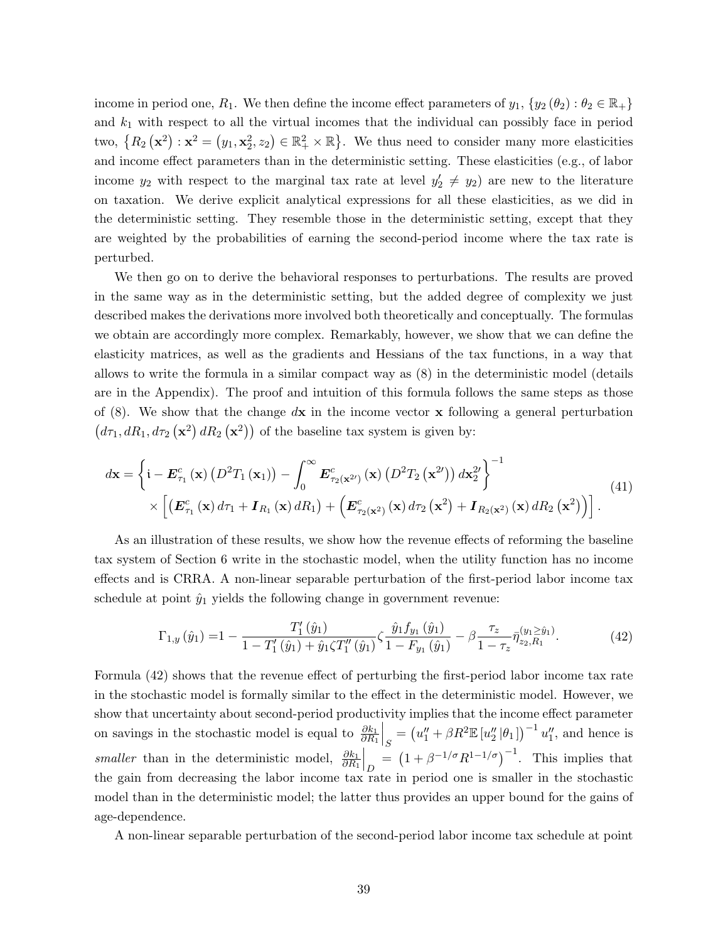income in period one,  $R_1$ . We then define the income effect parameters of  $y_1, \{y_2(\theta_2) : \theta_2 \in \mathbb{R}_+\}\$ and  $k_1$  with respect to all the virtual incomes that the individual can possibly face in period two,  $\{R_2(\mathbf{x}^2): \mathbf{x}^2 = (y_1, \mathbf{x}_2^2, z_2) \in \mathbb{R}_+^2 \times \mathbb{R}\}$ . We thus need to consider many more elasticities and income effect parameters than in the deterministic setting. These elasticities (e.g., of labor income  $y_2$  with respect to the marginal tax rate at level  $y_2' \neq y_2$  are new to the literature on taxation. We derive explicit analytical expressions for all these elasticities, as we did in the deterministic setting. They resemble those in the deterministic setting, except that they are weighted by the probabilities of earning the second-period income where the tax rate is perturbed.

We then go on to derive the behavioral responses to perturbations. The results are proved in the same way as in the deterministic setting, but the added degree of complexity we just described makes the derivations more involved both theoretically and conceptually. The formulas we obtain are accordingly more complex. Remarkably, however, we show that we can define the elasticity matrices, as well as the gradients and Hessians of the tax functions, in a way that allows to write the formula in a similar compact way as (8) in the deterministic model (details are in the Appendix). The proof and intuition of this formula follows the same steps as those of  $(8)$ . We show that the change  $d\mathbf{x}$  in the income vector x following a general perturbation  $(d\tau_1, dR_1, d\tau_2(\mathbf{x}^2) dR_2(\mathbf{x}^2))$  of the baseline tax system is given by:

$$
d\mathbf{x} = \left\{ \mathbf{i} - \boldsymbol{E}_{\tau_1}^c(\mathbf{x}) \left( D^2 T_1(\mathbf{x}_1) \right) - \int_0^\infty \boldsymbol{E}_{\tau_2(\mathbf{x}^{2\prime})}^c(\mathbf{x}) \left( D^2 T_2(\mathbf{x}^{2\prime}) \right) d\mathbf{x}_2^{2\prime} \right\}^{-1} \times \left[ \left( \boldsymbol{E}_{\tau_1}^c(\mathbf{x}) d\tau_1 + \boldsymbol{I}_{R_1}(\mathbf{x}) dR_1 \right) + \left( \boldsymbol{E}_{\tau_2(\mathbf{x}^2)}^c(\mathbf{x}) d\tau_2(\mathbf{x}^2) + \boldsymbol{I}_{R_2(\mathbf{x}^2)}(\mathbf{x}) dR_2(\mathbf{x}^2) \right) \right]. \tag{41}
$$

As an illustration of these results, we show how the revenue effects of reforming the baseline tax system of Section 6 write in the stochastic model, when the utility function has no income effects and is CRRA. A non-linear separable perturbation of the first-period labor income tax schedule at point  $\hat{y}_1$  yields the following change in government revenue:

$$
\Gamma_{1,y}(\hat{y}_1) = 1 - \frac{T_1'(\hat{y}_1)}{1 - T_1'(\hat{y}_1) + \hat{y}_1 \zeta T_1''(\hat{y}_1)} \zeta \frac{\hat{y}_1 f_{y_1}(\hat{y}_1)}{1 - F_{y_1}(\hat{y}_1)} - \beta \frac{\tau_z}{1 - \tau_z} \bar{\eta}_{z_2, R_1}^{(y_1 \ge \hat{y}_1)}.
$$
(42)

Formula (42) shows that the revenue effect of perturbing the first-period labor income tax rate in the stochastic model is formally similar to the effect in the deterministic model. However, we show that uncertainty about second-period productivity implies that the income effect parameter on savings in the stochastic model is equal to  $\frac{\partial k_1}{\partial R_1}$  $S = (u''_1 + \beta R^2 \mathbb{E}[u''_2 | \theta_1])^{-1} u''_1$ , and hence is *smaller* than in the deterministic model,  $\frac{\partial k_1}{\partial R_1}$  $\Big|_D = \left(1 + \beta^{-1/\sigma} R^{1-1/\sigma}\right)^{-1}$ . This implies that the gain from decreasing the labor income tax rate in period one is smaller in the stochastic model than in the deterministic model; the latter thus provides an upper bound for the gains of age-dependence.

A non-linear separable perturbation of the second-period labor income tax schedule at point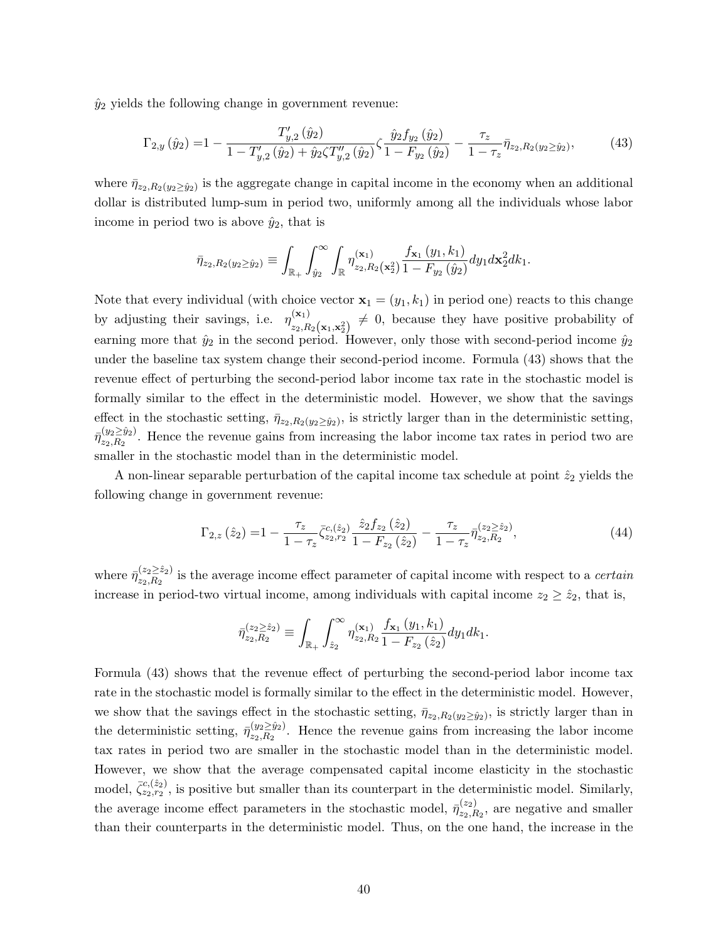$\hat{y}_2$  yields the following change in government revenue:

$$
\Gamma_{2,y}(\hat{y}_2) = 1 - \frac{T'_{y,2}(\hat{y}_2)}{1 - T'_{y,2}(\hat{y}_2) + \hat{y}_2 \zeta T''_{y,2}(\hat{y}_2)} \zeta \frac{\hat{y}_2 f_{y_2}(\hat{y}_2)}{1 - F_{y_2}(\hat{y}_2)} - \frac{\tau_z}{1 - \tau_z} \bar{\eta}_{z_2, R_2(y_2 \ge \hat{y}_2)},
$$
(43)

where  $\bar{\eta}_{z_2,R_2(y_2\geq\hat{y}_2)}$  is the aggregate change in capital income in the economy when an additional dollar is distributed lump-sum in period two, uniformly among all the individuals whose labor income in period two is above  $\hat{y}_2$ , that is

$$
\bar{\eta}_{z_2,R_2(y_2 \ge \hat{y}_2)} \equiv \int_{\mathbb{R}_+} \int_{\hat{y}_2}^{\infty} \int_{\mathbb{R}} \eta_{z_2,R_2}^{(\mathbf{x}_1)}(\mathbf{x}_2) \frac{f_{\mathbf{x}_1}(y_1,k_1)}{1 - F_{y_2}(\hat{y}_2)} dy_1 d\mathbf{x}_2^2 dk_1.
$$

Note that every individual (with choice vector  $\mathbf{x}_1 = (y_1, k_1)$  in period one) reacts to this change by adjusting their savings, i.e.  $\eta_{n}^{(\mathbf{x}_1)}$  $\sum_{z_2,R_2(\mathbf{x}_1,\mathbf{x}_2^2)}^{(\mathbf{x}_1)} \neq 0$ , because they have positive probability of earning more that  $\hat{y}_2$  in the second period. However, only those with second-period income  $\hat{y}_2$ under the baseline tax system change their second-period income. Formula (43) shows that the revenue effect of perturbing the second-period labor income tax rate in the stochastic model is formally similar to the effect in the deterministic model. However, we show that the savings effect in the stochastic setting,  $\bar{\eta}_{z_2,R_2(y_2\geq \hat{y}_2)}$ , is strictly larger than in the deterministic setting,  $\bar{\eta}^{(y_2 \geq \hat{y}_2)}_{z_2, B_2}$  $\frac{(\mathcal{Y}_2 \leq \mathcal{Y}_2)}{(\mathcal{Z}_2, R_2)}$ . Hence the revenue gains from increasing the labor income tax rates in period two are smaller in the stochastic model than in the deterministic model.

A non-linear separable perturbation of the capital income tax schedule at point  $\hat{z}_2$  yields the following change in government revenue:

$$
\Gamma_{2,z}(\hat{z}_2) = 1 - \frac{\tau_z}{1 - \tau_z} \bar{\zeta}_{z_2, r_2}^{c, (\hat{z}_2)} \frac{\hat{z}_2 f_{z_2}(\hat{z}_2)}{1 - F_{z_2}(\hat{z}_2)} - \frac{\tau_z}{1 - \tau_z} \bar{\eta}_{z_2, R_2}^{(z_2 \geq \hat{z}_2)},\tag{44}
$$

where  $\bar{\eta}_{z_2}^{(z_2 \geq \hat{z}_2)}$  $\frac{z_2 z_2}{z_2, R_2}$  is the average income effect parameter of capital income with respect to a *certain* increase in period-two virtual income, among individuals with capital income  $z_2 \geq \hat{z}_2$ , that is,

$$
\bar{\eta}_{z_2,R_2}^{(z_2 \geq \hat{z}_2)} \equiv \int_{\mathbb{R}_+} \int_{\hat{z}_2}^{\infty} \eta_{z_2,R_2}^{(\mathbf{x}_1)} \frac{f_{\mathbf{x}_1}(y_1, k_1)}{1 - F_{z_2}(\hat{z}_2)} dy_1 dk_1.
$$

Formula (43) shows that the revenue effect of perturbing the second-period labor income tax rate in the stochastic model is formally similar to the effect in the deterministic model. However, we show that the savings effect in the stochastic setting,  $\bar{\eta}_{z_2,R_2(y_2\geq \hat{y}_2)}$ , is strictly larger than in the deterministic setting,  $\bar{\eta}_{z_0}^{(y_2 \geq \hat{y}_2)}$  $\frac{\sqrt{y_2}}{z_2, R_2}$ . Hence the revenue gains from increasing the labor income tax rates in period two are smaller in the stochastic model than in the deterministic model. However, we show that the average compensated capital income elasticity in the stochastic model,  $\bar{\zeta}_{z_2,r_2}^{c,(\hat{z}_2)}$ , is positive but smaller than its counterpart in the deterministic model. Similarly, the average income effect parameters in the stochastic model,  $\bar{\eta}_{z_0}^{(z_2)}$  $z_{2,R_2}^{(z_2)}$ , are negative and smaller than their counterparts in the deterministic model. Thus, on the one hand, the increase in the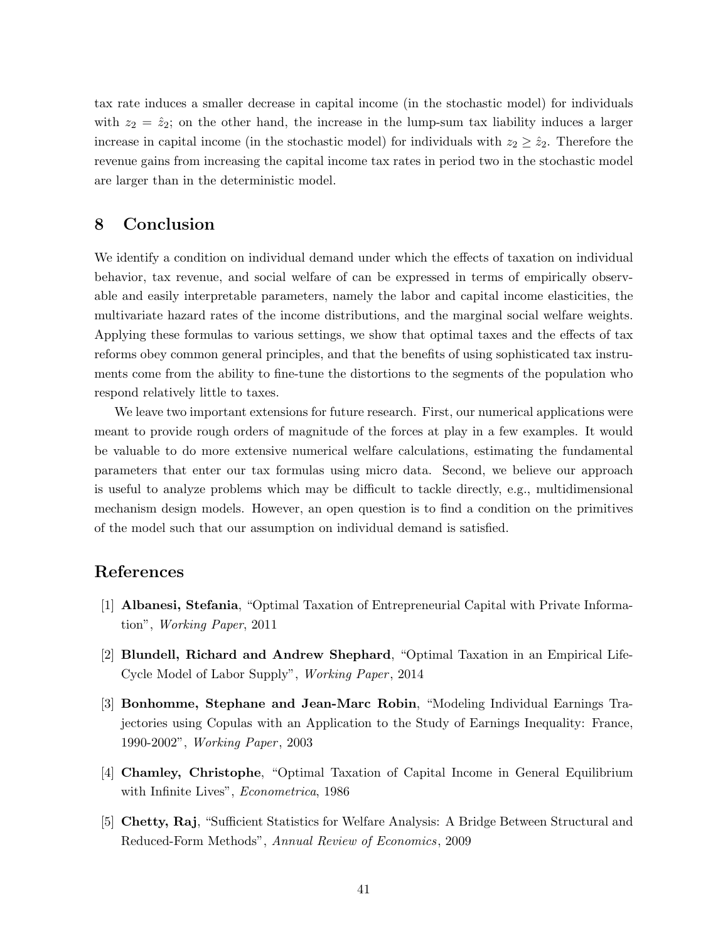tax rate induces a smaller decrease in capital income (in the stochastic model) for individuals with  $z_2 = \hat{z}_2$ ; on the other hand, the increase in the lump-sum tax liability induces a larger increase in capital income (in the stochastic model) for individuals with  $z_2 \geq \hat{z}_2$ . Therefore the revenue gains from increasing the capital income tax rates in period two in the stochastic model are larger than in the deterministic model.

## 8 Conclusion

We identify a condition on individual demand under which the effects of taxation on individual behavior, tax revenue, and social welfare of can be expressed in terms of empirically observable and easily interpretable parameters, namely the labor and capital income elasticities, the multivariate hazard rates of the income distributions, and the marginal social welfare weights. Applying these formulas to various settings, we show that optimal taxes and the effects of tax reforms obey common general principles, and that the benefits of using sophisticated tax instruments come from the ability to fine-tune the distortions to the segments of the population who respond relatively little to taxes.

We leave two important extensions for future research. First, our numerical applications were meant to provide rough orders of magnitude of the forces at play in a few examples. It would be valuable to do more extensive numerical welfare calculations, estimating the fundamental parameters that enter our tax formulas using micro data. Second, we believe our approach is useful to analyze problems which may be difficult to tackle directly, e.g., multidimensional mechanism design models. However, an open question is to find a condition on the primitives of the model such that our assumption on individual demand is satisfied.

## References

- [1] Albanesi, Stefania, "Optimal Taxation of Entrepreneurial Capital with Private Information", Working Paper, 2011
- [2] Blundell, Richard and Andrew Shephard, "Optimal Taxation in an Empirical Life-Cycle Model of Labor Supply", *Working Paper*, 2014
- [3] Bonhomme, Stephane and Jean-Marc Robin, "Modeling Individual Earnings Trajectories using Copulas with an Application to the Study of Earnings Inequality: France, 1990-2002", *Working Paper*, 2003
- [4] Chamley, Christophe, "Optimal Taxation of Capital Income in General Equilibrium with Infinite Lives", Econometrica, 1986
- [5] Chetty, Raj, "Sufficient Statistics for Welfare Analysis: A Bridge Between Structural and Reduced-Form Methods", Annual Review of Economics, 2009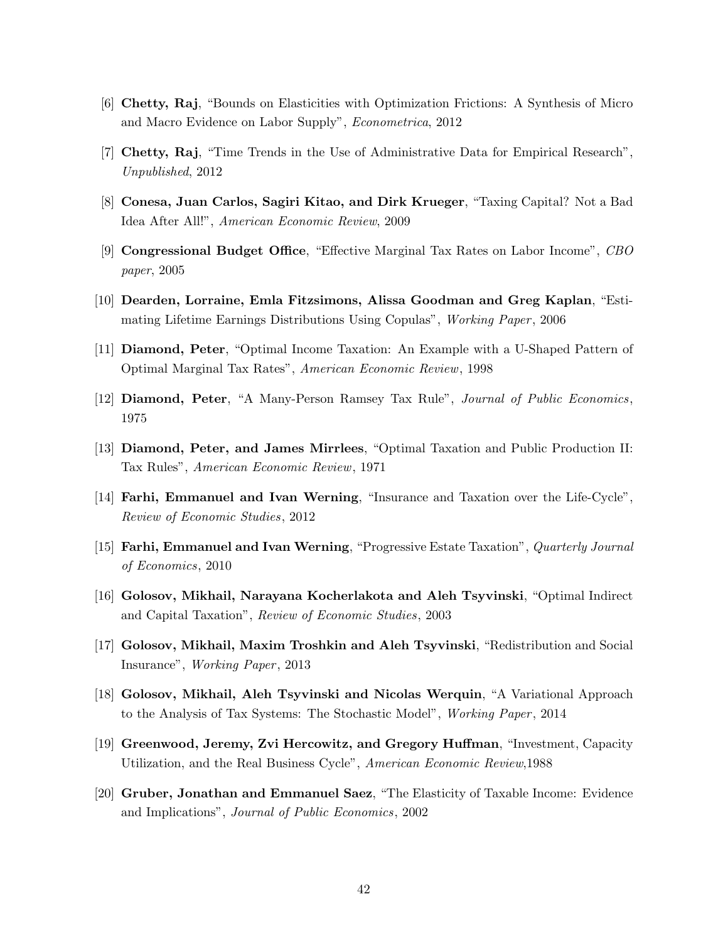- [6] Chetty, Raj, "Bounds on Elasticities with Optimization Frictions: A Synthesis of Micro and Macro Evidence on Labor Supply", Econometrica, 2012
- [7] Chetty, Raj, "Time Trends in the Use of Administrative Data for Empirical Research", Unpublished, 2012
- [8] Conesa, Juan Carlos, Sagiri Kitao, and Dirk Krueger, "Taxing Capital? Not a Bad Idea After All!", American Economic Review, 2009
- [9] Congressional Budget Office, "Effective Marginal Tax Rates on Labor Income", CBO paper, 2005
- [10] Dearden, Lorraine, Emla Fitzsimons, Alissa Goodman and Greg Kaplan, "Estimating Lifetime Earnings Distributions Using Copulas", Working Paper, 2006
- [11] Diamond, Peter, "Optimal Income Taxation: An Example with a U-Shaped Pattern of Optimal Marginal Tax Rates", American Economic Review, 1998
- [12] Diamond, Peter, "A Many-Person Ramsey Tax Rule", Journal of Public Economics, 1975
- [13] Diamond, Peter, and James Mirrlees, "Optimal Taxation and Public Production II: Tax Rules", American Economic Review, 1971
- [14] Farhi, Emmanuel and Ivan Werning, "Insurance and Taxation over the Life-Cycle", Review of Economic Studies, 2012
- [15] Farhi, Emmanuel and Ivan Werning, "Progressive Estate Taxation", Quarterly Journal of Economics, 2010
- [16] Golosov, Mikhail, Narayana Kocherlakota and Aleh Tsyvinski, "Optimal Indirect and Capital Taxation", Review of Economic Studies, 2003
- [17] Golosov, Mikhail, Maxim Troshkin and Aleh Tsyvinski, "Redistribution and Social Insurance", *Working Paper*, 2013
- [18] Golosov, Mikhail, Aleh Tsyvinski and Nicolas Werquin, "A Variational Approach to the Analysis of Tax Systems: The Stochastic Model", *Working Paper*, 2014
- [19] Greenwood, Jeremy, Zvi Hercowitz, and Gregory Huffman, "Investment, Capacity Utilization, and the Real Business Cycle", American Economic Review,1988
- [20] Gruber, Jonathan and Emmanuel Saez, "The Elasticity of Taxable Income: Evidence and Implications", Journal of Public Economics, 2002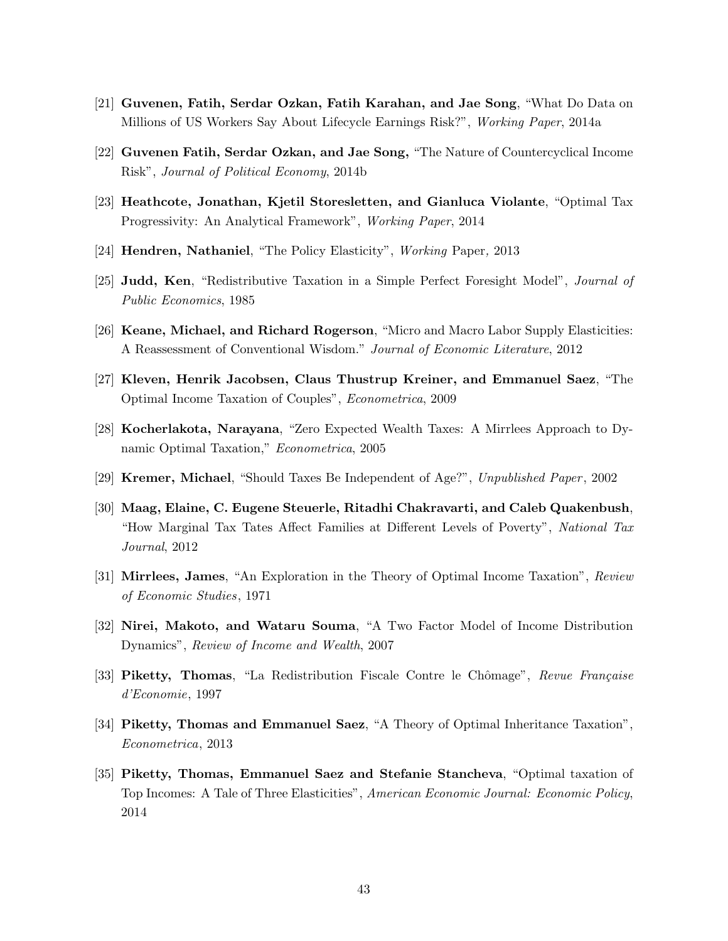- [21] Guvenen, Fatih, Serdar Ozkan, Fatih Karahan, and Jae Song, "What Do Data on Millions of US Workers Say About Lifecycle Earnings Risk?", Working Paper, 2014a
- [22] Guvenen Fatih, Serdar Ozkan, and Jae Song, "The Nature of Countercyclical Income Risk", Journal of Political Economy, 2014b
- [23] Heathcote, Jonathan, Kjetil Storesletten, and Gianluca Violante, "Optimal Tax Progressivity: An Analytical Framework", Working Paper, 2014
- [24] Hendren, Nathaniel, "The Policy Elasticity", Working Paper, 2013
- [25] **Judd, Ken**, "Redistributive Taxation in a Simple Perfect Foresight Model", *Journal of* Public Economics, 1985
- [26] Keane, Michael, and Richard Rogerson, "Micro and Macro Labor Supply Elasticities: A Reassessment of Conventional Wisdom." Journal of Economic Literature, 2012
- [27] Kleven, Henrik Jacobsen, Claus Thustrup Kreiner, and Emmanuel Saez, "The Optimal Income Taxation of Couples", Econometrica, 2009
- [28] Kocherlakota, Narayana, "Zero Expected Wealth Taxes: A Mirrlees Approach to Dynamic Optimal Taxation," *Econometrica*, 2005
- [29] **Kremer, Michael**, "Should Taxes Be Independent of Age?", Unpublished Paper, 2002
- [30] Maag, Elaine, C. Eugene Steuerle, Ritadhi Chakravarti, and Caleb Quakenbush, "How Marginal Tax Tates Affect Families at Different Levels of Poverty", National Tax Journal, 2012
- [31] Mirrlees, James, "An Exploration in the Theory of Optimal Income Taxation", Review of Economic Studies, 1971
- [32] Nirei, Makoto, and Wataru Souma, "A Two Factor Model of Income Distribution Dynamics", Review of Income and Wealth, 2007
- [33] Piketty, Thomas, "La Redistribution Fiscale Contre le Chômage", Revue Française d'Economie, 1997
- [34] Piketty, Thomas and Emmanuel Saez, "A Theory of Optimal Inheritance Taxation", Econometrica, 2013
- [35] Piketty, Thomas, Emmanuel Saez and Stefanie Stancheva, "Optimal taxation of Top Incomes: A Tale of Three Elasticities", American Economic Journal: Economic Policy, 2014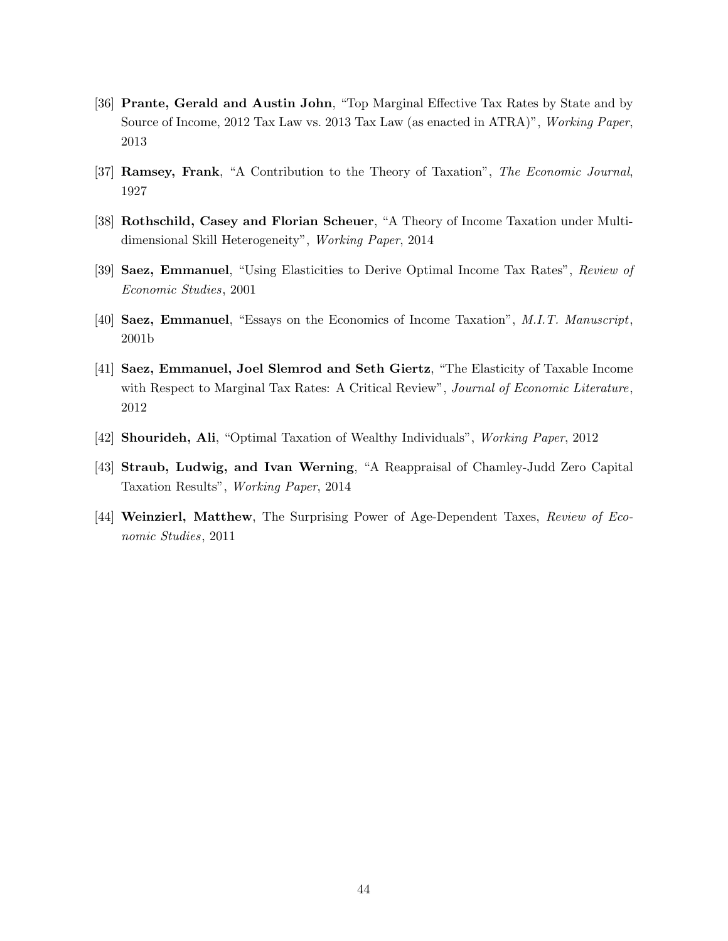- [36] Prante, Gerald and Austin John, "Top Marginal Effective Tax Rates by State and by Source of Income, 2012 Tax Law vs. 2013 Tax Law (as enacted in ATRA)", Working Paper, 2013
- [37] Ramsey, Frank, "A Contribution to the Theory of Taxation", The Economic Journal, 1927
- [38] Rothschild, Casey and Florian Scheuer, "A Theory of Income Taxation under Multidimensional Skill Heterogeneity", Working Paper, 2014
- [39] Saez, Emmanuel, "Using Elasticities to Derive Optimal Income Tax Rates", Review of Economic Studies, 2001
- [40] Saez, Emmanuel, "Essays on the Economics of Income Taxation", M.I.T. Manuscript, 2001b
- [41] Saez, Emmanuel, Joel Slemrod and Seth Giertz, "The Elasticity of Taxable Income with Respect to Marginal Tax Rates: A Critical Review", Journal of Economic Literature, 2012
- [42] Shourideh, Ali, "Optimal Taxation of Wealthy Individuals", Working Paper, 2012
- [43] Straub, Ludwig, and Ivan Werning, "A Reappraisal of Chamley-Judd Zero Capital Taxation Results", Working Paper, 2014
- [44] Weinzierl, Matthew, The Surprising Power of Age-Dependent Taxes, Review of Economic Studies, 2011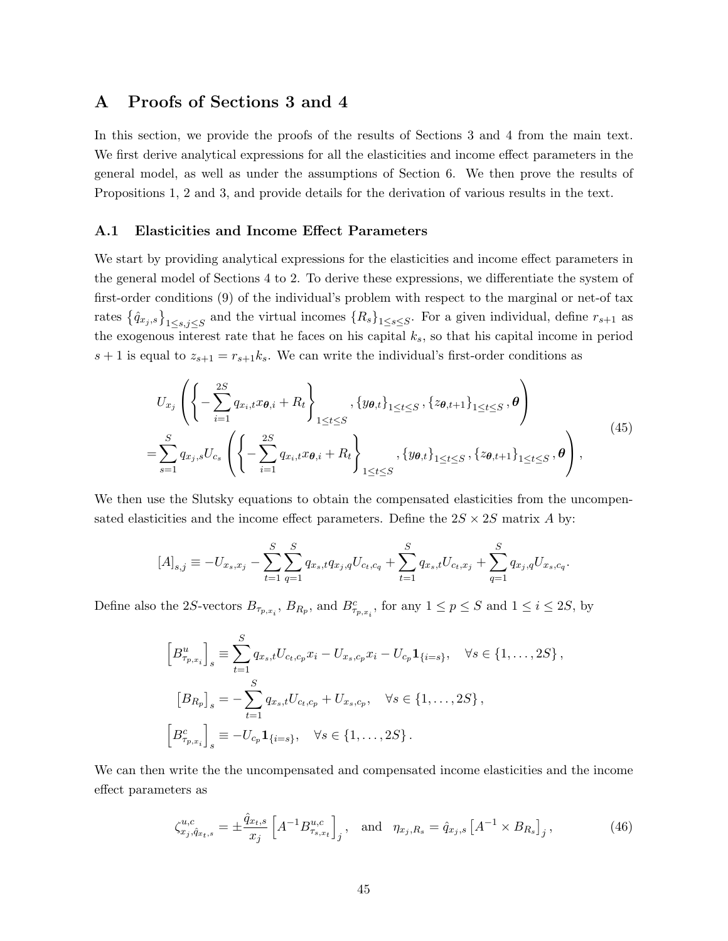## A Proofs of Sections 3 and 4

In this section, we provide the proofs of the results of Sections 3 and 4 from the main text. We first derive analytical expressions for all the elasticities and income effect parameters in the general model, as well as under the assumptions of Section 6. We then prove the results of Propositions 1, 2 and 3, and provide details for the derivation of various results in the text.

#### A.1 Elasticities and Income Effect Parameters

We start by providing analytical expressions for the elasticities and income effect parameters in the general model of Sections 4 to 2. To derive these expressions, we differentiate the system of first-order conditions (9) of the individual's problem with respect to the marginal or net-of tax rates  $\{\hat{q}_{x_j,s}\}_{1\leq s,j\leq S}$  and the virtual incomes  $\{R_s\}_{1\leq s\leq S}$ . For a given individual, define  $r_{s+1}$  as the exogenous interest rate that he faces on his capital  $k_s$ , so that his capital income in period  $s + 1$  is equal to  $z_{s+1} = r_{s+1}k_s$ . We can write the individual's first-order conditions as

$$
U_{x_j}\left(\left\{-\sum_{i=1}^{2S} q_{x_i,t}x_{\theta,i} + R_t\right\}_{1\leq t\leq S}, \{y_{\theta,t}\}_{1\leq t\leq S}, \{z_{\theta,t+1}\}_{1\leq t\leq S}, \theta\right)
$$
  
=
$$
\sum_{s=1}^{S} q_{x_j,s}U_{c_s}\left(\left\{-\sum_{i=1}^{2S} q_{x_i,t}x_{\theta,i} + R_t\right\}_{1\leq t\leq S}, \{y_{\theta,t}\}_{1\leq t\leq S}, \{z_{\theta,t+1}\}_{1\leq t\leq S}, \theta\right),
$$
\n(45)

We then use the Slutsky equations to obtain the compensated elasticities from the uncompensated elasticities and the income effect parameters. Define the  $2S \times 2S$  matrix A by:

$$
[A]_{s,j} \equiv -U_{x_s,x_j} - \sum_{t=1}^{S} \sum_{q=1}^{S} q_{x_s,t} q_{x_j,q} U_{c_t,c_q} + \sum_{t=1}^{S} q_{x_s,t} U_{c_t,x_j} + \sum_{q=1}^{S} q_{x_j,q} U_{x_s,c_q}.
$$

Define also the 2S-vectors  $B_{\tau_{p,x_i}}$ ,  $B_{R_p}$ , and  $B_{\tau_{p,x_i}}^c$ , for any  $1 \le p \le S$  and  $1 \le i \le 2S$ , by

$$
\begin{aligned}\n\left[B_{\tau_{p,x_i}}^u\right]_s & \equiv \sum_{t=1}^S q_{x_s,t} U_{c_t,c_p} x_i - U_{x_s,c_p} x_i - U_{c_p} \mathbf{1}_{\{i=s\}}, \quad \forall s \in \{1, \dots, 2S\}, \\
\left[B_{R_p}\right]_s & = -\sum_{t=1}^S q_{x_s,t} U_{c_t,c_p} + U_{x_s,c_p}, \quad \forall s \in \{1, \dots, 2S\}, \\
\left[B_{\tau_{p,x_i}}^c\right]_s & \equiv -U_{c_p} \mathbf{1}_{\{i=s\}}, \quad \forall s \in \{1, \dots, 2S\}.\n\end{aligned}
$$

We can then write the the uncompensated and compensated income elasticities and the income effect parameters as

$$
\zeta_{x_j, \hat{q}_{x_t, s}}^{u, c} = \pm \frac{\hat{q}_{x_t, s}}{x_j} \left[ A^{-1} B_{\tau_{s, x_t}}^{u, c} \right]_j, \text{ and } \eta_{x_j, R_s} = \hat{q}_{x_j, s} \left[ A^{-1} \times B_{R_s} \right]_j, \tag{46}
$$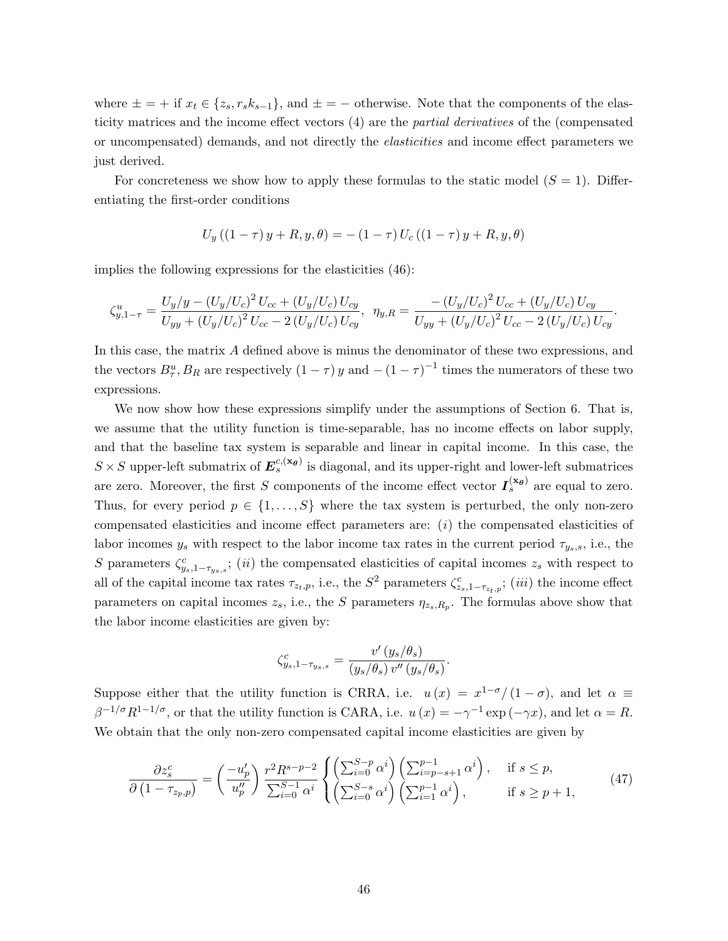where  $\pm = +$  if  $x_t \in \{z_s, r_s k_{s-1}\}\$ , and  $\pm = -$  otherwise. Note that the components of the elasticity matrices and the income effect vectors (4) are the partial derivatives of the (compensated or uncompensated) demands, and not directly the elasticities and income effect parameters we just derived.

For concreteness we show how to apply these formulas to the static model  $(S = 1)$ . Differentiating the first-order conditions

$$
U_y((1 - \tau)y + R, y, \theta) = -(1 - \tau)U_c((1 - \tau)y + R, y, \theta)
$$

implies the following expressions for the elasticities (46):

$$
\zeta_{y,1-\tau}^{u} = \frac{U_y/y - (U_y/U_c)^2 U_{cc} + (U_y/U_c) U_{cy}}{U_{yy} + (U_y/U_c)^2 U_{cc} - 2 (U_y/U_c) U_{cy}}, \ \ \eta_{y,R} = \frac{- (U_y/U_c)^2 U_{cc} + (U_y/U_c) U_{cy}}{U_{yy} + (U_y/U_c)^2 U_{cc} - 2 (U_y/U_c) U_{cy}}.
$$

In this case, the matrix A defined above is minus the denominator of these two expressions, and the vectors  $B^u_\tau, B_R$  are respectively  $(1-\tau)y$  and  $-(1-\tau)^{-1}$  times the numerators of these two expressions.

We now show how these expressions simplify under the assumptions of Section 6. That is, we assume that the utility function is time-separable, has no income effects on labor supply, and that the baseline tax system is separable and linear in capital income. In this case, the  $S \times S$  upper-left submatrix of  $E_s^{c,(\mathbf{x}_{\theta})}$  is diagonal, and its upper-right and lower-left submatrices are zero. Moreover, the first S components of the income effect vector  $I_s^{(\mathbf{x}_{\theta})}$  are equal to zero. Thus, for every period  $p \in \{1, \ldots, S\}$  where the tax system is perturbed, the only non-zero compensated elasticities and income effect parameters are:  $(i)$  the compensated elasticities of labor incomes  $y_s$  with respect to the labor income tax rates in the current period  $\tau_{y_s,s}$ , i.e., the S parameters  $\zeta_{y_s,1-\tau_{y_s,s}}^c$ ; (ii) the compensated elasticities of capital incomes  $z_s$  with respect to all of the capital income tax rates  $\tau_{z_t,p}$ , i.e., the  $S^2$  parameters  $\zeta_{z_s,1-\tau_{z_t,p}}^c$ ; *(iii)* the income effect parameters on capital incomes  $z_s$ , i.e., the S parameters  $\eta_{z_s,R_p}$ . The formulas above show that the labor income elasticities are given by:

$$
\zeta^c_{y_s,1-\tau_{y_s,s}}=\frac{v'\left(y_s/\theta_s\right)}{\left(y_s/\theta_s\right)v''\left(y_s/\theta_s\right)}
$$

.

Suppose either that the utility function is CRRA, i.e.  $u(x) = x^{1-\sigma}/(1-\sigma)$ , and let  $\alpha \equiv$  $\beta^{-1/\sigma} R^{1-1/\sigma}$ , or that the utility function is CARA, i.e.  $u(x) = -\gamma^{-1} \exp(-\gamma x)$ , and let  $\alpha = R$ . We obtain that the only non-zero compensated capital income elasticities are given by

$$
\frac{\partial z_s^c}{\partial \left(1 - \tau_{z_p, p}\right)} = \left(\frac{-u'_p}{u''_p}\right) \frac{r^2 R^{s-p-2}}{\sum_{i=0}^{S-1} \alpha^i} \begin{cases} \left(\sum_{i=0}^{S-p} \alpha^i\right) \left(\sum_{i=p-s+1}^{p-1} \alpha^i\right), & \text{if } s \le p, \\ \left(\sum_{i=0}^{S-s} \alpha^i\right) \left(\sum_{i=1}^{p-1} \alpha^i\right), & \text{if } s \ge p+1, \end{cases} \tag{47}
$$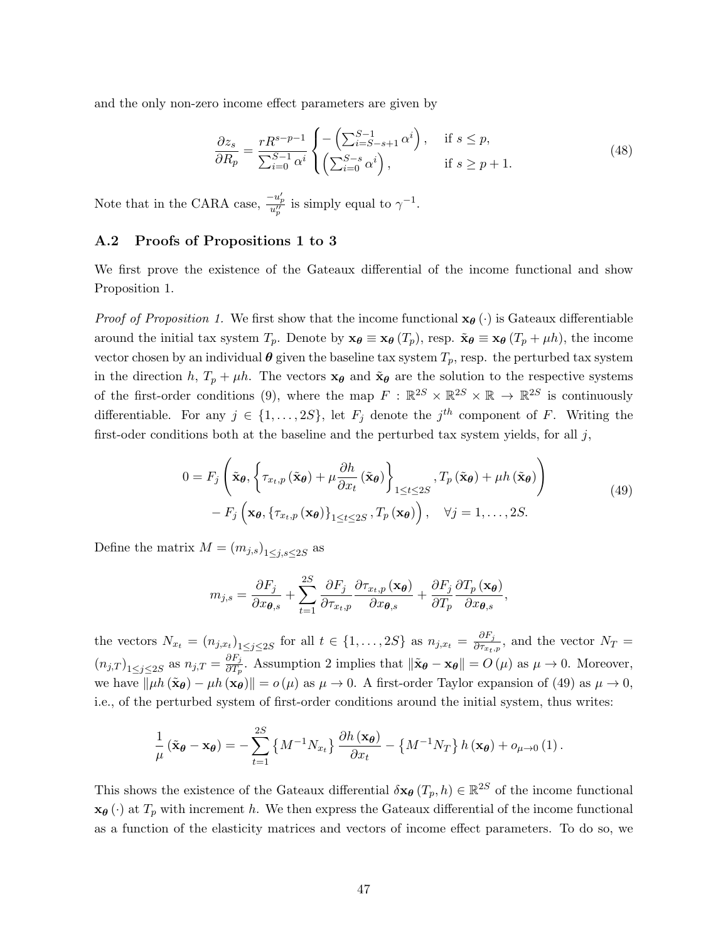and the only non-zero income effect parameters are given by

$$
\frac{\partial z_s}{\partial R_p} = \frac{rR^{s-p-1}}{\sum_{i=0}^{S-1} \alpha^i} \begin{cases} -\left(\sum_{i=S-s+1}^{S-1} \alpha^i\right), & \text{if } s \le p, \\ \left(\sum_{i=0}^{S-s} \alpha^i\right), & \text{if } s \ge p+1. \end{cases}
$$
(48)

Note that in the CARA case,  $\frac{-u'_p}{u''_p}$  is simply equal to  $\gamma^{-1}$ .

## A.2 Proofs of Propositions 1 to 3

We first prove the existence of the Gateaux differential of the income functional and show Proposition 1.

*Proof of Proposition 1.* We first show that the income functional  $\mathbf{x}_{\theta}(\cdot)$  is Gateaux differentiable around the initial tax system  $T_p$ . Denote by  $\mathbf{x}_{\theta} \equiv \mathbf{x}_{\theta} (T_p)$ , resp.  $\tilde{\mathbf{x}}_{\theta} \equiv \mathbf{x}_{\theta} (T_p + \mu h)$ , the income vector chosen by an individual  $\theta$  given the baseline tax system  $T_p$ , resp. the perturbed tax system in the direction h,  $T_p + \mu h$ . The vectors  $\mathbf{x}_{\theta}$  and  $\tilde{\mathbf{x}}_{\theta}$  are the solution to the respective systems of the first-order conditions (9), where the map  $F: \mathbb{R}^{2S} \times \mathbb{R}^{2S} \times \mathbb{R} \to \mathbb{R}^{2S}$  is continuously differentiable. For any  $j \in \{1, \ldots, 2S\}$ , let  $F_j$  denote the  $j^{th}$  component of F. Writing the first-oder conditions both at the baseline and the perturbed tax system yields, for all  $j$ ,

$$
0 = F_j \left( \tilde{\mathbf{x}}_{\theta}, \left\{ \tau_{x_t, p} \left( \tilde{\mathbf{x}}_{\theta} \right) + \mu \frac{\partial h}{\partial x_t} \left( \tilde{\mathbf{x}}_{\theta} \right) \right\}_{1 \leq t \leq 2S}, T_p \left( \tilde{\mathbf{x}}_{\theta} \right) + \mu h \left( \tilde{\mathbf{x}}_{\theta} \right) \right) - F_j \left( \mathbf{x}_{\theta}, \left\{ \tau_{x_t, p} \left( \mathbf{x}_{\theta} \right) \right\}_{1 \leq t \leq 2S}, T_p \left( \mathbf{x}_{\theta} \right) \right), \quad \forall j = 1, ..., 2S.
$$
\n
$$
(49)
$$

Define the matrix  $M = (m_{j,s})_{1 \leq j,s \leq 2S}$  as

$$
m_{j,s} = \frac{\partial F_j}{\partial x_{\boldsymbol{\theta},s}} + \sum_{t=1}^{2S} \frac{\partial F_j}{\partial \tau_{x_t,p}} \frac{\partial \tau_{x_t,p}(\mathbf{x}_{\boldsymbol{\theta}})}{\partial x_{\boldsymbol{\theta},s}} + \frac{\partial F_j}{\partial T_p} \frac{\partial T_p(\mathbf{x}_{\boldsymbol{\theta}})}{\partial x_{\boldsymbol{\theta},s}},
$$

the vectors  $N_{x_t} = (n_{j,x_t})_{1 \leq j \leq 2S}$  for all  $t \in \{1,\ldots,2S\}$  as  $n_{j,x_t} = \frac{\partial F_j}{\partial \tau_{x_t}}$  $\frac{\partial F_j}{\partial \tau_{x_t,p}}$ , and the vector  $N_T =$  $(n_{j,T})$ <sub>1 $\leq j \leq 2S$ </sub> as  $n_{j,T} = \frac{\partial F_j}{\partial T_p}$  $\frac{\partial F_j}{\partial T_p}$ . Assumption 2 implies that  $\|\tilde{\mathbf{x}}_{\theta} - \mathbf{x}_{\theta}\| = O(\mu)$  as  $\mu \to 0$ . Moreover, we have  $\|\mu h(\tilde{\mathbf{x}}_{\theta}) - \mu h(\mathbf{x}_{\theta})\| = o(\mu)$  as  $\mu \to 0$ . A first-order Taylor expansion of (49) as  $\mu \to 0$ , i.e., of the perturbed system of first-order conditions around the initial system, thus writes:

$$
\frac{1}{\mu} \left( \tilde{\mathbf{x}}_{\theta} - \mathbf{x}_{\theta} \right) = -\sum_{t=1}^{2S} \left\{ M^{-1} N_{x_t} \right\} \frac{\partial h \left( \mathbf{x}_{\theta} \right)}{\partial x_t} - \left\{ M^{-1} N_T \right\} h \left( \mathbf{x}_{\theta} \right) + o_{\mu \to 0} \left( 1 \right).
$$

This shows the existence of the Gateaux differential  $\delta \mathbf{x}_{\theta} (T_p, h) \in \mathbb{R}^{2S}$  of the income functional  $\mathbf{x}_{\theta}$  (·) at  $T_p$  with increment h. We then express the Gateaux differential of the income functional as a function of the elasticity matrices and vectors of income effect parameters. To do so, we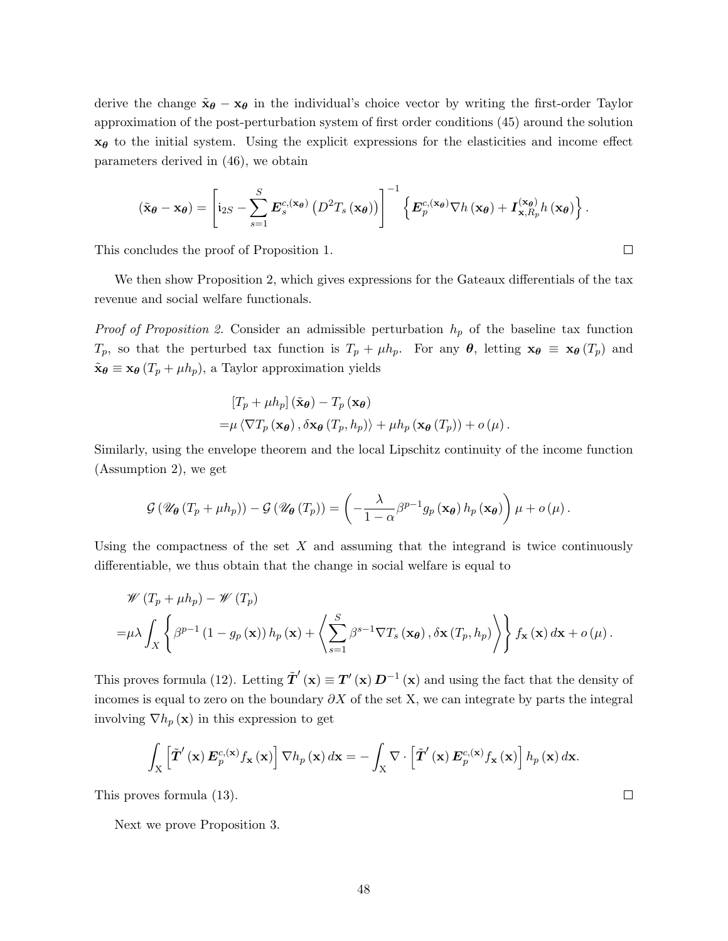derive the change  $\tilde{\mathbf{x}}_{\theta} - \mathbf{x}_{\theta}$  in the individual's choice vector by writing the first-order Taylor approximation of the post-perturbation system of first order conditions (45) around the solution  $x_{\theta}$  to the initial system. Using the explicit expressions for the elasticities and income effect parameters derived in (46), we obtain

$$
(\tilde{\mathbf{x}}_{\theta} - \mathbf{x}_{\theta}) = \left[ i_{2S} - \sum_{s=1}^{S} E_s^{c,(\mathbf{x}_{\theta})} (D^2 T_s(\mathbf{x}_{\theta})) \right]^{-1} \left\{ E_p^{c,(\mathbf{x}_{\theta})} \nabla h(\mathbf{x}_{\theta}) + I_{\mathbf{x},R_p}^{(\mathbf{x}_{\theta})} h(\mathbf{x}_{\theta}) \right\}.
$$

This concludes the proof of Proposition 1.

We then show Proposition 2, which gives expressions for the Gateaux differentials of the tax revenue and social welfare functionals.

*Proof of Proposition 2.* Consider an admissible perturbation  $h_p$  of the baseline tax function  $T_p$ , so that the perturbed tax function is  $T_p + \mu h_p$ . For any  $\theta$ , letting  $\mathbf{x}_{\theta} \equiv \mathbf{x}_{\theta}(T_p)$  and  $\tilde{\mathbf{x}}_{\theta} \equiv \mathbf{x}_{\theta} (T_p + \mu h_p)$ , a Taylor approximation yields

$$
\begin{aligned} \left[T_p + \mu h_p\right](\tilde{\mathbf{x}}_{\boldsymbol{\theta}}) - T_p\left(\mathbf{x}_{\boldsymbol{\theta}}\right) \\ = & \mu \left\langle \nabla T_p\left(\mathbf{x}_{\boldsymbol{\theta}}\right), \delta \mathbf{x}_{\boldsymbol{\theta}}\left(T_p, h_p\right) \right\rangle + \mu h_p\left(\mathbf{x}_{\boldsymbol{\theta}}\left(T_p\right)\right) + o\left(\mu\right). \end{aligned}
$$

Similarly, using the envelope theorem and the local Lipschitz continuity of the income function (Assumption 2), we get

$$
\mathcal{G}\left(\mathscr{U}_{\theta}\left(T_{p}+\mu h_{p}\right)\right)-\mathcal{G}\left(\mathscr{U}_{\theta}\left(T_{p}\right)\right)=\left(-\frac{\lambda}{1-\alpha}\beta^{p-1}g_{p}\left(\mathbf{x}_{\theta}\right)h_{p}\left(\mathbf{x}_{\theta}\right)\right)\mu+o\left(\mu\right).
$$

Using the compactness of the set  $X$  and assuming that the integrand is twice continuously differentiable, we thus obtain that the change in social welfare is equal to

$$
\mathscr{W}(T_p + \mu h_p) - \mathscr{W}(T_p)
$$
  
=  $\mu \lambda \int_X \left\{ \beta^{p-1} (1 - g_p(\mathbf{x})) h_p(\mathbf{x}) + \left\langle \sum_{s=1}^S \beta^{s-1} \nabla T_s(\mathbf{x}_{\theta}), \delta \mathbf{x} (T_p, h_p) \right\rangle \right\} f_{\mathbf{x}}(\mathbf{x}) d\mathbf{x} + o(\mu).$ 

This proves formula (12). Letting  $\tilde{\mathbf{T}}'(\mathbf{x}) \equiv \mathbf{T}'(\mathbf{x}) \mathbf{D}^{-1}(\mathbf{x})$  and using the fact that the density of incomes is equal to zero on the boundary  $\partial X$  of the set X, we can integrate by parts the integral involving  $\nabla h_p(\mathbf{x})$  in this expression to get

$$
\int_{X}\left[\tilde{\boldsymbol{T}}'\left(\mathbf{x}\right)\boldsymbol{E}_{p}^{c,(\mathbf{x})}f_{\mathbf{x}}\left(\mathbf{x}\right)\right]\nabla h_{p}\left(\mathbf{x}\right)d\mathbf{x}=-\int_{X}\nabla\cdot\left[\tilde{\boldsymbol{T}}'\left(\mathbf{x}\right)\boldsymbol{E}_{p}^{c,(\mathbf{x})}f_{\mathbf{x}}\left(\mathbf{x}\right)\right]h_{p}\left(\mathbf{x}\right)d\mathbf{x}.
$$

This proves formula (13).

Next we prove Proposition 3.

 $\Box$ 

 $\Box$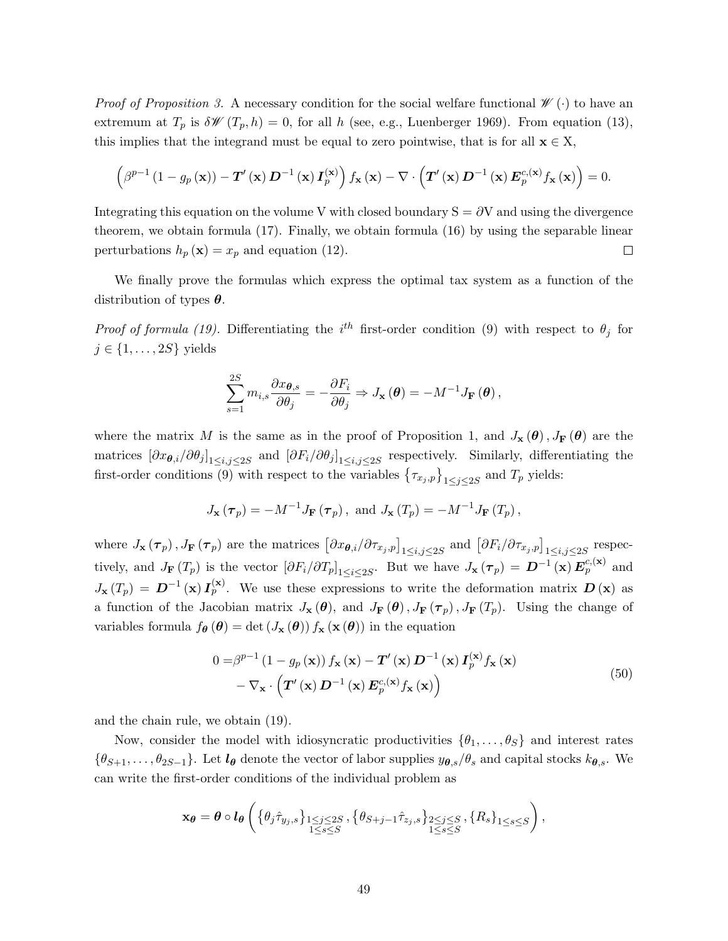*Proof of Proposition 3.* A necessary condition for the social welfare functional  $\mathscr{W}(\cdot)$  to have an extremum at  $T_p$  is  $\delta \mathscr{W}(T_p, h) = 0$ , for all h (see, e.g., Luenberger 1969). From equation (13), this implies that the integrand must be equal to zero pointwise, that is for all  $\mathbf{x} \in X$ ,

$$
\left(\beta^{p-1}\left(1-g_p\left(\mathbf{x}\right)\right)-\mathbf{T}'\left(\mathbf{x}\right)\mathbf{D}^{-1}\left(\mathbf{x}\right)\mathbf{I}_p^{(\mathbf{x})}\right)f_{\mathbf{x}}\left(\mathbf{x}\right)-\nabla\cdot\left(\mathbf{T}'\left(\mathbf{x}\right)\mathbf{D}^{-1}\left(\mathbf{x}\right)\mathbf{E}_p^{c,(x)}f_{\mathbf{x}}\left(\mathbf{x}\right)\right)=0.
$$

Integrating this equation on the volume V with closed boundary  $S = \partial V$  and using the divergence theorem, we obtain formula (17). Finally, we obtain formula (16) by using the separable linear perturbations  $h_p(\mathbf{x}) = x_p$  and equation (12).  $\Box$ 

We finally prove the formulas which express the optimal tax system as a function of the distribution of types  $\theta$ .

*Proof of formula (19).* Differentiating the  $i^{th}$  first-order condition (9) with respect to  $\theta_j$  for  $j \in \{1, \ldots, 2S\}$  yields

$$
\sum_{s=1}^{2S} m_{i,s} \frac{\partial x_{\boldsymbol{\theta},s}}{\partial \theta_j} = -\frac{\partial F_i}{\partial \theta_j} \Rightarrow J_{\mathbf{x}}(\boldsymbol{\theta}) = -M^{-1} J_{\mathbf{F}}(\boldsymbol{\theta}),
$$

where the matrix M is the same as in the proof of Proposition 1, and  $J_{\mathbf{x}}(\theta)$ ,  $J_{\mathbf{F}}(\theta)$  are the matrices  $[\partial x_{\theta,i}/\partial \theta_j]_{1\leq i,j\leq 2S}$  and  $[\partial F_i/\partial \theta_j]_{1\leq i,j\leq 2S}$  respectively. Similarly, differentiating the first-order conditions (9) with respect to the variables  $\{\tau_{x_j,p}\}_{1\leq j\leq 2S}$  and  $T_p$  yields:

$$
J_{\mathbf{x}}(\boldsymbol{\tau}_p) = -M^{-1}J_{\mathbf{F}}(\boldsymbol{\tau}_p)
$$
, and  $J_{\mathbf{x}}(T_p) = -M^{-1}J_{\mathbf{F}}(T_p)$ ,

where  $J_{\mathbf{x}}(\tau_p)$ ,  $J_{\mathbf{F}}(\tau_p)$  are the matrices  $\left[\partial x_{\boldsymbol{\theta},i}/\partial \tau_{x_j,p}\right]_{1\leq i,j\leq 2S}$  and  $\left[\partial F_i/\partial \tau_{x_j,p}\right]_{1\leq i,j\leq 2S}$  respectively, and  $J_{\mathbf{F}}(T_p)$  is the vector  $\left[\partial F_i/\partial T_p\right]_{1\leq i\leq 2S}$ . But we have  $J_{\mathbf{x}}(\tau_p) = \mathbf{D}^{-1}(\mathbf{x}) E_p^{c,(\mathbf{x})}$  and  $J_{\mathbf{x}}(T_p) = \mathbf{D}^{-1}(\mathbf{x}) \mathbf{I}_p^{(\mathbf{x})}$ . We use these expressions to write the deformation matrix  $\mathbf{D}(\mathbf{x})$  as a function of the Jacobian matrix  $J_{\mathbf{x}}(\theta)$ , and  $J_{\mathbf{F}}(\theta)$ ,  $J_{\mathbf{F}}(\tau_p)$ ,  $J_{\mathbf{F}}(T_p)$ . Using the change of variables formula  $f_{\theta}(\theta) = \det(J_{\mathbf{x}}(\theta)) f_{\mathbf{x}}(\mathbf{x}(\theta))$  in the equation

$$
0 = \beta^{p-1} (1 - g_p(\mathbf{x})) f_{\mathbf{x}}(\mathbf{x}) - \mathbf{T}'(\mathbf{x}) \mathbf{D}^{-1}(\mathbf{x}) \mathbf{I}_p^{(\mathbf{x})} f_{\mathbf{x}}(\mathbf{x}) - \nabla_{\mathbf{x}} \cdot (\mathbf{T}'(\mathbf{x}) \mathbf{D}^{-1}(\mathbf{x}) \mathbf{E}_p^{c,(\mathbf{x})} f_{\mathbf{x}}(\mathbf{x}))
$$
\n(50)

and the chain rule, we obtain (19).

Now, consider the model with idiosyncratic productivities  $\{\theta_1, \ldots, \theta_S\}$  and interest rates  $\{\theta_{S+1},\ldots,\theta_{2S-1}\}.$  Let  $l_{\theta}$  denote the vector of labor supplies  $y_{\theta,s}/\theta_s$  and capital stocks  $k_{\theta,s}$ . We can write the first-order conditions of the individual problem as

$$
\mathbf{x}_{\theta} = \theta \circ l_{\theta} \left( \left\{ \theta_{j} \hat{\tau}_{y_{j},s} \right\}_{\substack{1 \leq j \leq 2S \\ 1 \leq s \leq S}} , \left\{ \theta_{S+j-1} \hat{\tau}_{z_{j},s} \right\}_{\substack{2 \leq j \leq S \\ 1 \leq s \leq S}} , \left\{ R_{s} \right\}_{1 \leq s \leq S} \right),
$$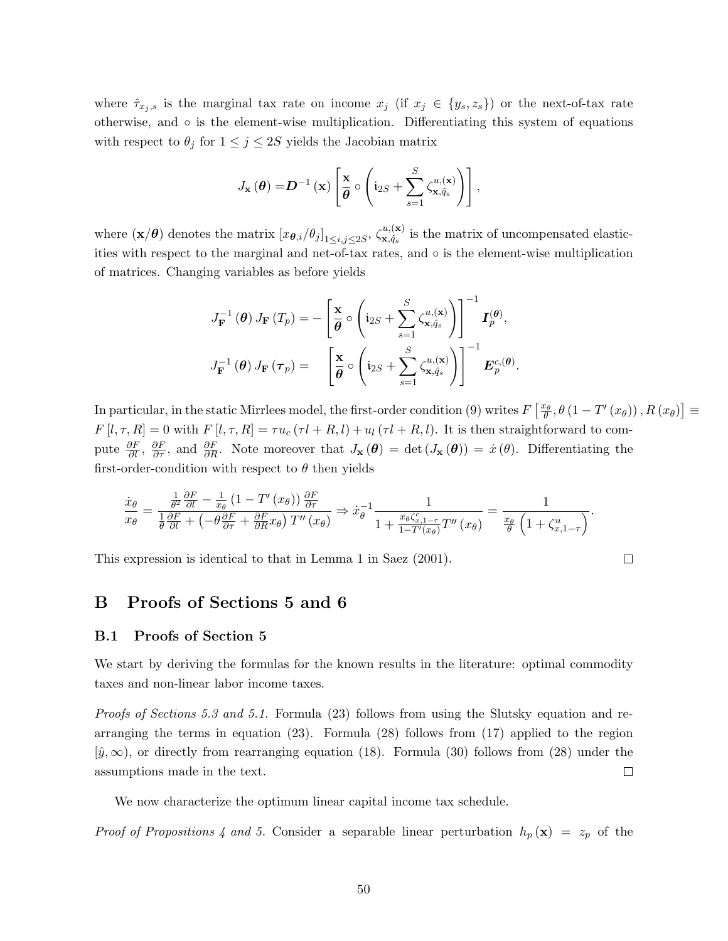where  $\hat{\tau}_{x_j,s}$  is the marginal tax rate on income  $x_j$  (if  $x_j \in \{y_s,z_s\}$ ) or the next-of-tax rate otherwise, and ◦ is the element-wise multiplication. Differentiating this system of equations with respect to  $\theta_j$  for  $1 \leq j \leq 2S$  yields the Jacobian matrix

$$
J_{\mathbf{x}}(\boldsymbol{\theta}) = \mathbf{D}^{-1}(\mathbf{x}) \left[ \frac{\mathbf{x}}{\boldsymbol{\theta}} \circ \left( \mathbf{i}_{2S} + \sum_{s=1}^{S} \zeta_{\mathbf{x}, \hat{q}_s}^{u,(\mathbf{x})} \right) \right],
$$

where  $(\mathbf{x}/\boldsymbol{\theta})$  denotes the matrix  $[x_{\boldsymbol{\theta},i}/\theta_j]_{1\leq i,j\leq 2S}, \zeta^{u,(\mathbf{x})}_{\mathbf{x},\hat{q}_s}$  $\mathbf{x}, \hat{q}_s$  is the matrix of uncompensated elasticities with respect to the marginal and net-of-tax rates, and  $\circ$  is the element-wise multiplication of matrices. Changing variables as before yields

$$
J_{\mathbf{F}}^{-1}(\boldsymbol{\theta}) J_{\mathbf{F}}(T_p) = -\left[\frac{\mathbf{x}}{\boldsymbol{\theta}} \circ \left(\mathbf{i}_{2S} + \sum_{s=1}^{S} \zeta_{\mathbf{x}, \hat{q}_s}^{u, (\mathbf{x})}\right)\right]^{-1} \mathbf{I}_{p}^{(\boldsymbol{\theta})},
$$

$$
J_{\mathbf{F}}^{-1}(\boldsymbol{\theta}) J_{\mathbf{F}}(\boldsymbol{\tau}_p) = \left[\frac{\mathbf{x}}{\boldsymbol{\theta}} \circ \left(\mathbf{i}_{2S} + \sum_{s=1}^{S} \zeta_{\mathbf{x}, \hat{q}_s}^{u, (\mathbf{x})}\right)\right]^{-1} \mathbf{E}_{p}^{c, (\boldsymbol{\theta})}.
$$

In particular, in the static Mirrlees model, the first-order condition (9) writes  $F\left[\frac{x_{\theta}}{\theta}, \theta(1-T'(x_{\theta}))\right], R(x_{\theta})\right] \equiv$  $F[l, \tau, R] = 0$  with  $F[l, \tau, R] = \tau u_c(\tau l + R, l) + u_l(\tau l + R, l)$ . It is then straightforward to compute  $\frac{\partial F}{\partial l}$ ,  $\frac{\partial F}{\partial \tau}$ , and  $\frac{\partial F}{\partial R}$ . Note moreover that  $J_{\mathbf{x}}(\theta) = \det (J_{\mathbf{x}}(\theta)) = \dot{x}(\theta)$ . Differentiating the first-order-condition with respect to  $\theta$  then yields

 $\Box$ 

$$
\frac{\dot{x}_{\theta}}{x_{\theta}} = \frac{\frac{1}{\theta^2} \frac{\partial F}{\partial l} - \frac{1}{x_{\theta}} \left(1 - T'(x_{\theta})\right) \frac{\partial F}{\partial \tau}}{\frac{1}{\theta} \frac{\partial F}{\partial l} + \left(-\theta \frac{\partial F}{\partial \tau} + \frac{\partial F}{\partial R} x_{\theta}\right) T''(x_{\theta})} \Rightarrow \dot{x}_{\theta}^{-1} \frac{1}{1 + \frac{x_{\theta} \zeta_{x, 1 - \tau}^c}{1 - T'(x_{\theta})} T''(x_{\theta})} = \frac{1}{\frac{x_{\theta}}{\theta} \left(1 + \zeta_{x, 1 - \tau}^u\right)}.
$$

This expression is identical to that in Lemma 1 in Saez (2001).

## B Proofs of Sections 5 and 6

#### B.1 Proofs of Section 5

We start by deriving the formulas for the known results in the literature: optimal commodity taxes and non-linear labor income taxes.

Proofs of Sections 5.3 and 5.1. Formula (23) follows from using the Slutsky equation and rearranging the terms in equation (23). Formula (28) follows from (17) applied to the region  $[\hat{y}, \infty)$ , or directly from rearranging equation (18). Formula (30) follows from (28) under the  $\Box$ assumptions made in the text.

We now characterize the optimum linear capital income tax schedule.

*Proof of Propositions 4 and 5.* Consider a separable linear perturbation  $h_p(\mathbf{x}) = z_p$  of the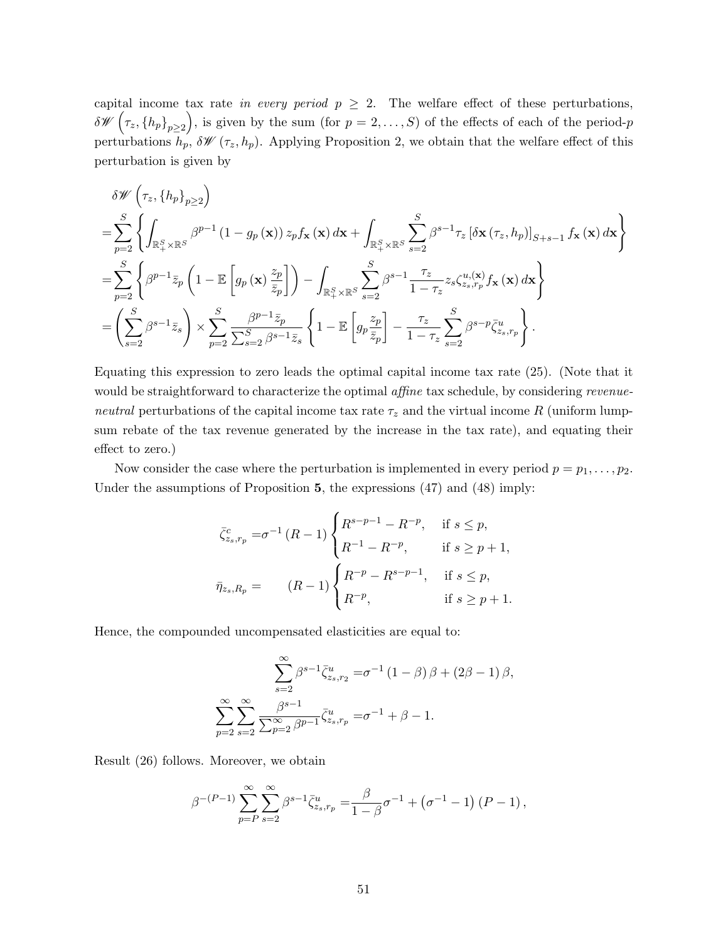capital income tax rate in every period  $p \geq 2$ . The welfare effect of these perturbations,  $\delta \mathscr{W}\left(\tau_z, \{h_p\}_{p\geq 2}\right)$ , is given by the sum (for  $p=2,\ldots,S$ ) of the effects of each of the period-p perturbations  $h_p$ ,  $\delta \mathscr{W}(\tau_z, h_p)$ . Applying Proposition 2, we obtain that the welfare effect of this perturbation is given by

$$
\delta \mathscr{W}\left(\tau_{z}, \{h_{p}\}_{p\geq 2}\right)
$$
\n
$$
= \sum_{p=2}^{S} \left\{ \int_{\mathbb{R}_{+}^{S} \times \mathbb{R}^{S}} \beta^{p-1} \left(1 - g_{p}\left(\mathbf{x}\right)\right) z_{p} f_{\mathbf{x}}\left(\mathbf{x}\right) d\mathbf{x} + \int_{\mathbb{R}_{+}^{S} \times \mathbb{R}^{S}} \sum_{s=2}^{S} \beta^{s-1} \tau_{z} \left[\delta \mathbf{x} \left(\tau_{z}, h_{p}\right)\right]_{S+s-1} f_{\mathbf{x}}\left(\mathbf{x}\right) d\mathbf{x} \right\}
$$
\n
$$
= \sum_{p=2}^{S} \left\{ \beta^{p-1} \bar{z}_{p} \left(1 - \mathbb{E}\left[g_{p}\left(\mathbf{x}\right)\frac{z_{p}}{\bar{z}_{p}}\right]\right) - \int_{\mathbb{R}_{+}^{S} \times \mathbb{R}^{S}} \sum_{s=2}^{S} \beta^{s-1} \frac{\tau_{z}}{1 - \tau_{z}} z_{s} \zeta_{z,s,r_{p}}^{u,\left(\mathbf{x}\right)} f_{\mathbf{x}}\left(\mathbf{x}\right) d\mathbf{x} \right\}
$$
\n
$$
= \left(\sum_{s=2}^{S} \beta^{s-1} \bar{z}_{s}\right) \times \sum_{p=2}^{S} \frac{\beta^{p-1} \bar{z}_{p}}{\sum_{s=2}^{S} \beta^{s-1} \bar{z}_{s}} \left\{1 - \mathbb{E}\left[g_{p}\frac{z_{p}}{\bar{z}_{p}}\right] - \frac{\tau_{z}}{1 - \tau_{z}} \sum_{s=2}^{S} \beta^{s-p} \bar{\zeta}_{z,s,r_{p}}^{u}\right\}.
$$

Equating this expression to zero leads the optimal capital income tax rate (25). (Note that it would be straightforward to characterize the optimal affine tax schedule, by considering revenueneutral perturbations of the capital income tax rate  $\tau_z$  and the virtual income R (uniform lumpsum rebate of the tax revenue generated by the increase in the tax rate), and equating their effect to zero.)

Now consider the case where the perturbation is implemented in every period  $p = p_1, \ldots, p_2$ . Under the assumptions of Proposition 5, the expressions (47) and (48) imply:

$$
\bar{\zeta}_{z_s, r_p}^c = \sigma^{-1} (R - 1) \begin{cases} R^{s-p-1} - R^{-p}, & \text{if } s \le p, \\ R^{-1} - R^{-p}, & \text{if } s \ge p+1, \end{cases}
$$
  

$$
\bar{\eta}_{z_s, R_p} = (R - 1) \begin{cases} R^{-p} - R^{s-p-1}, & \text{if } s \le p, \\ R^{-p}, & \text{if } s \ge p+1. \end{cases}
$$

Hence, the compounded uncompensated elasticities are equal to:

$$
\sum_{s=2}^{\infty} \beta^{s-1} \bar{\zeta}_{z_s, r_2}^u = \sigma^{-1} (1 - \beta) \beta + (2\beta - 1) \beta,
$$
  

$$
\sum_{p=2}^{\infty} \sum_{s=2}^{\infty} \frac{\beta^{s-1}}{\sum_{p=2}^{\infty} \beta^{p-1}} \bar{\zeta}_{z_s, r_p}^u = \sigma^{-1} + \beta - 1.
$$

Result (26) follows. Moreover, we obtain

$$
\beta^{-(P-1)} \sum_{p=P}^{\infty} \sum_{s=2}^{\infty} \beta^{s-1} \bar{\zeta}_{z_s, r_p}^u = \frac{\beta}{1-\beta} \sigma^{-1} + (\sigma^{-1} - 1) (P - 1),
$$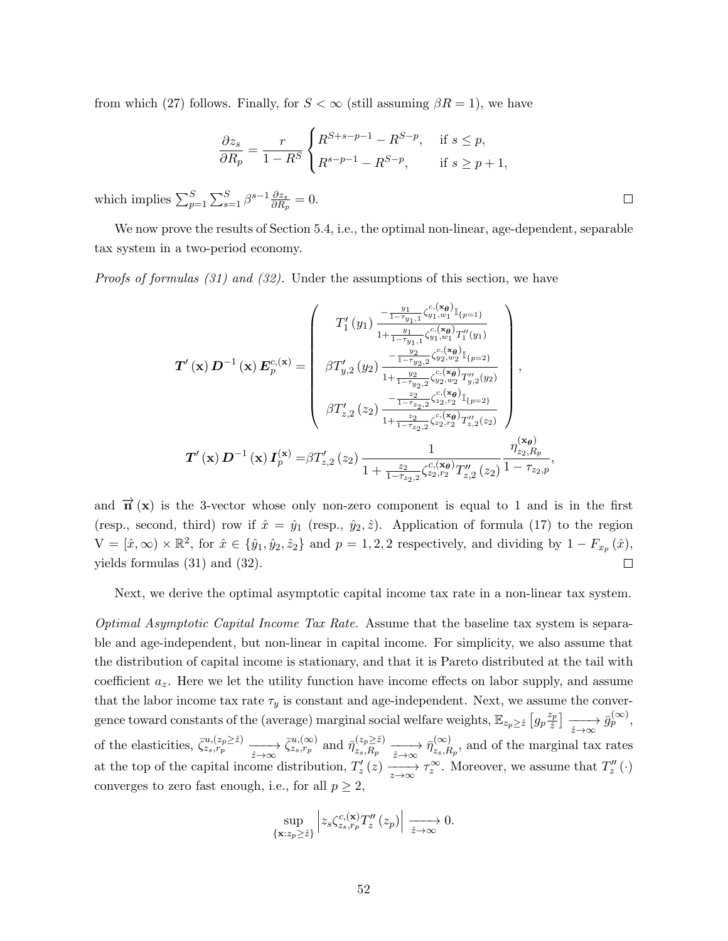from which (27) follows. Finally, for  $S < \infty$  (still assuming  $\beta R = 1$ ), we have

$$
\frac{\partial z_s}{\partial R_p} = \frac{r}{1 - R^S} \begin{cases} R^{S+s-p-1} - R^{S-p}, & \text{if } s \le p, \\ R^{s-p-1} - R^{S-p}, & \text{if } s \ge p+1, \end{cases}
$$

which implies  $\sum_{p=1}^{S} \sum_{s=1}^{S} \beta^{s-1} \frac{\partial z_s}{\partial R_i}$  $\frac{\partial z_s}{\partial R_p}=0.$ 

We now prove the results of Section 5.4, i.e., the optimal non-linear, age-dependent, separable tax system in a two-period economy.

 $\Box$ 

Proofs of formulas (31) and (32). Under the assumptions of this section, we have

$$
\mathbf{T}'(\mathbf{x})\mathbf{D}^{-1}(\mathbf{x})\mathbf{E}_{p}^{c,(\mathbf{x})} = \begin{pmatrix} T'_{1}(y_{1}) \frac{-\frac{y_{1}}{1-\tau_{y_{1},1}} \zeta_{y_{1},w_{1}}^{c,(\mathbf{x}_{\theta})} \mathbb{I}_{\{p=1\}}}{1+\frac{y_{1}}{1-\tau_{y_{1},1}} \zeta_{y_{1},w_{1}}^{c,(\mathbf{x}_{\theta})} T'_{1}(y_{1})} \\ \beta T'_{y,2}(y_{2}) \frac{-\frac{y_{2}}{1-\tau_{y_{2},2}} \zeta_{y_{2},w_{2}}^{c,(\mathbf{x}_{\theta})} \mathbb{I}_{\{p=2\}}}{1+\frac{y_{2}}{1-\tau_{y_{2},2}} \zeta_{y_{2},w_{2}}^{c,(\mathbf{x}_{\theta})} T''_{y,2}(y_{2})} \\ \beta T'_{z,2}(z_{2}) \frac{-\frac{z_{2}}{1-\tau_{z_{2},2}} \zeta_{z_{2},w_{2}}^{c,(\mathbf{x}_{\theta})} T''_{y,2}(y_{2})}{1+\frac{z_{2}}{1-\tau_{z_{2},2}} \zeta_{z_{2},r_{2}}^{c,(\mathbf{x}_{\theta})} T''_{z,2}(z_{2})} \end{pmatrix},
$$

$$
\mathbf{T}'(\mathbf{x})\mathbf{D}^{-1}(\mathbf{x})\mathbf{I}_{p}^{(\mathbf{x})} = \beta T'_{z,2}(z_{2}) \frac{1}{1+\frac{z_{2}}{1-\tau_{z_{2},2}} \zeta_{z_{2},r_{2}}^{c,(\mathbf{x}_{\theta})} T''_{z,2}(z_{2})} \frac{\eta_{z_{2},R_{p}}^{(\mathbf{x}_{\theta})}}{1-\tau_{z_{2},p}},
$$

and  $\vec{\mathbf{n}}(\mathbf{x})$  is the 3-vector whose only non-zero component is equal to 1 and is in the first (resp., second, third) row if  $\hat{x} = \hat{y}_1$  (resp.,  $\hat{y}_2, \hat{z}$ ). Application of formula (17) to the region  $V = [\hat{x}, \infty) \times \mathbb{R}^2$ , for  $\hat{x} \in {\hat{y}_1, \hat{y}_2, \hat{z}_2}$  and  $p = 1, 2, 2$  respectively, and dividing by  $1 - F_{x_p}(\hat{x})$ , yields formulas (31) and (32).  $\Box$ 

Next, we derive the optimal asymptotic capital income tax rate in a non-linear tax system.

Optimal Asymptotic Capital Income Tax Rate. Assume that the baseline tax system is separable and age-independent, but non-linear in capital income. For simplicity, we also assume that the distribution of capital income is stationary, and that it is Pareto distributed at the tail with coefficient  $a_z$ . Here we let the utility function have income effects on labor supply, and assume that the labor income tax rate  $\tau_y$  is constant and age-independent. Next, we assume the convergence toward constants of the (average) marginal social welfare weights,  $\mathbb{E}_{z_p \geq \hat{z}} \left[ g_p \frac{z_p}{\hat{z}} \right]$  $\left[\frac{z_p}{\hat{z}}\right] \longrightarrow \overrightarrow{g_p}^{\left(\infty\right)},$ of the elasticities,  $\overline{\zeta}_{z_s,r_p}^{u,(z_p \geq \hat{z})} \longrightarrow \overline{\zeta}_{z_s,r_p}^{u,(∞)}$  and  $\overline{\eta}_{z_s,R_p}^{(z_p \geq \hat{z})}$  $(z_p \geq \hat{z}) \xrightarrow[\hat{z} \to \infty]{} \overline{\eta}_{z_s,R}^{(\infty)}$  $\sum_{z_s,R_p}^{\infty}$ , and of the marginal tax rates at the top of the capital income distribution,  $T'_z(z) \longrightarrow_{z \to \infty} \tau_z^{\infty}$ . Moreover, we assume that  $T''_z(\cdot)$ converges to zero fast enough, i.e., for all  $p \geq 2$ ,

$$
\sup_{\{\mathbf{x}:z_p\geq \hat{z}\}}\left|z_s\zeta_{z_s,r_p}^{c,\mathbf{(x)}}T''_z\left(z_p\right)\right|\xrightarrow[\hat{z}\to\infty]{}0.
$$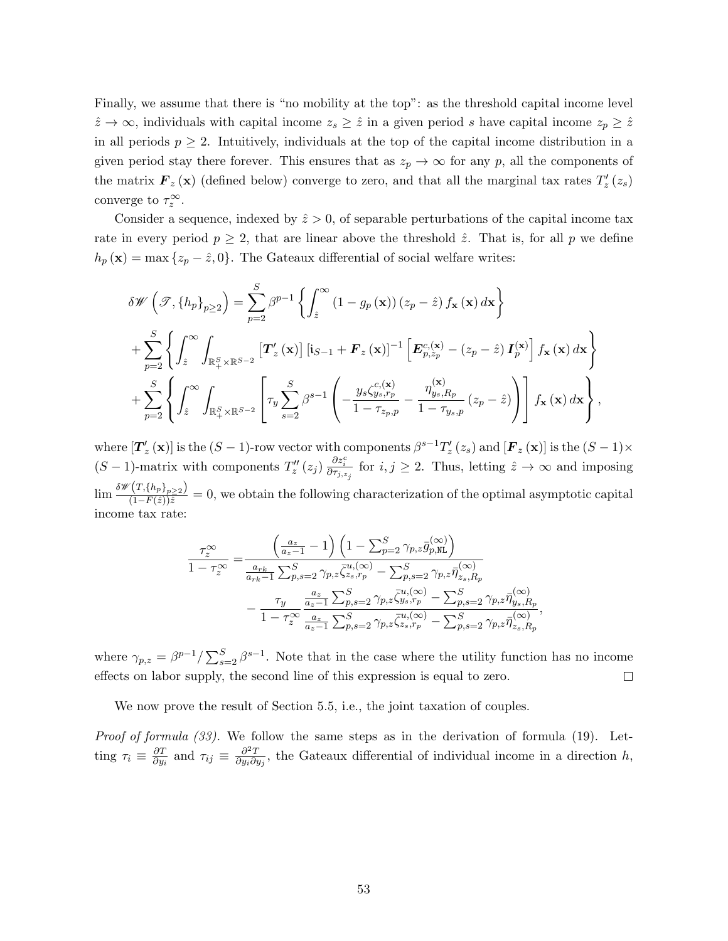Finally, we assume that there is "no mobility at the top": as the threshold capital income level  $\hat{z} \to \infty$ , individuals with capital income  $z_s \geq \hat{z}$  in a given period s have capital income  $z_p \geq \hat{z}$ in all periods  $p \geq 2$ . Intuitively, individuals at the top of the capital income distribution in a given period stay there forever. This ensures that as  $z_p \to \infty$  for any p, all the components of the matrix  $\boldsymbol{F}_z(\mathbf{x})$  (defined below) converge to zero, and that all the marginal tax rates  $T'_z(z_s)$ converge to  $\tau_z^{\infty}$ .

Consider a sequence, indexed by  $\hat{z} > 0$ , of separable perturbations of the capital income tax rate in every period  $p \geq 2$ , that are linear above the threshold  $\hat{z}$ . That is, for all p we define  $h_p(\mathbf{x}) = \max\{z_p - \hat{z}, 0\}.$  The Gateaux differential of social welfare writes:

$$
\delta \mathscr{W}\left(\mathscr{T}, \left\{h_p\right\}_{p\geq 2}\right) = \sum_{p=2}^{S} \beta^{p-1} \left\{ \int_{\hat{z}}^{\infty} \left(1 - g_p\left(\mathbf{x}\right)\right) \left(z_p - \hat{z}\right) f_{\mathbf{x}}\left(\mathbf{x}\right) d\mathbf{x} \right\} + \sum_{p=2}^{S} \left\{ \int_{\hat{z}}^{\infty} \int_{\mathbb{R}^S_+ \times \mathbb{R}^{S-2}} \left[\mathbf{T}'_z\left(\mathbf{x}\right)\right] \left[i_{S-1} + \mathbf{F}_z\left(\mathbf{x}\right)\right]^{-1} \left[\mathbf{E}^{c, \left(\mathbf{x}\right)}_{p, z_p} - \left(z_p - \hat{z}\right) \mathbf{I}^{(\mathbf{x})}_p\right] f_{\mathbf{x}}\left(\mathbf{x}\right) d\mathbf{x} \right\} + \sum_{p=2}^{S} \left\{ \int_{\hat{z}}^{\infty} \int_{\mathbb{R}^S_+ \times \mathbb{R}^{S-2}} \left[\tau_y \sum_{s=2}^{S} \beta^{s-1} \left(-\frac{y_s \zeta_{s, r_p}^{c, \left(\mathbf{x}\right)}}{1 - \tau_{z_p, p}} - \frac{\eta_{y_s, R_p}^{(\mathbf{x})}}{1 - \tau_{y_s, p}}\left(z_p - \hat{z}\right)\right)\right] f_{\mathbf{x}}\left(\mathbf{x}\right) d\mathbf{x} \right\},
$$

where  $[\boldsymbol{T}'_z(\mathbf{x})]$  is the  $(S-1)$ -row vector with components  $\beta^{s-1}T'_z(z_s)$  and  $[\boldsymbol{F}_z(\mathbf{x})]$  is the  $(S-1)\times$  $(S-1)$ -matrix with components  $T''_z(z_j) \frac{\partial z_i^c}{\partial \tau_{j,z_j}}$  for  $i, j \geq 2$ . Thus, letting  $\hat{z} \to \infty$  and imposing  $\lim \frac{\delta \mathscr{W}(T,\{h_p\}_{p\geq 2})}{(1-F(\hat{z}))\hat{z}}=0$ , we obtain the following characterization of the optimal asymptotic capital income tax rate:

$$
\frac{\tau_z^{\infty}}{1 - \tau_z^{\infty}} = \frac{\left(\frac{a_z}{a_z - 1} - 1\right) \left(1 - \sum_{p=2}^S \gamma_{p,z} \bar{g}_{p,\text{NL}}^{(\infty)}\right)}{\frac{a_{rk}}{a_{rk} - 1} \sum_{p,s=2}^S \gamma_{p,z} \bar{\zeta}_{z_s,r_p}^{u,(\infty)} - \sum_{p,s=2}^S \gamma_{p,z} \bar{\eta}_{z_s,R_p}^{(\infty)}} - \frac{\tau_y}{1 - \tau_z^{\infty}} \frac{\frac{a_z}{a_z - 1} \sum_{p,s=2}^S \gamma_{p,z} \bar{\zeta}_{y_s,r_p}^{u,(\infty)} - \sum_{p,s=2}^S \gamma_{p,z} \bar{\eta}_{y_s,R_p}^{(\infty)}}{\frac{a_z}{a_z - 1} \sum_{p,s=2}^S \gamma_{p,z} \bar{\zeta}_{z_s,r_p}^{u,(\infty)} - \sum_{p,s=2}^S \gamma_{p,z} \bar{\eta}_{z_s,R_p}^{(\infty)}},
$$

where  $\gamma_{p,z} = \beta^{p-1} / \sum_{s=2}^{S} \beta^{s-1}$ . Note that in the case where the utility function has no income effects on labor supply, the second line of this expression is equal to zero.  $\Box$ 

We now prove the result of Section 5.5, i.e., the joint taxation of couples.

Proof of formula (33). We follow the same steps as in the derivation of formula (19). Letting  $\tau_i \equiv \frac{\partial T}{\partial u}$  $\frac{\partial T}{\partial y_i}$  and  $\tau_{ij} \equiv \frac{\partial^2 T}{\partial y_i \partial y_j}$  $\frac{\partial^2 T}{\partial y_i \partial y_j}$ , the Gateaux differential of individual income in a direction h,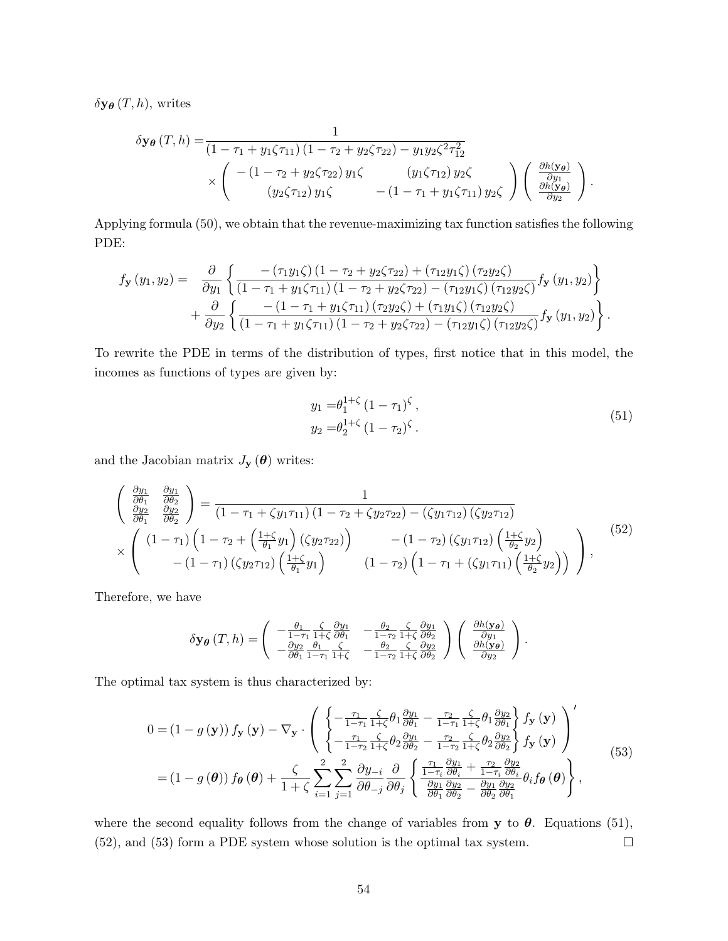$\delta$ **y** $_{\theta}$  (*T*, *h*), writes

$$
\delta \mathbf{y}_{\theta}(T,h) = \frac{1}{\left(1 - \tau_1 + y_1 \zeta \tau_{11}\right)\left(1 - \tau_2 + y_2 \zeta \tau_{22}\right) - y_1 y_2 \zeta^2 \tau_{12}^2} \times \begin{pmatrix} -(1 - \tau_2 + y_2 \zeta \tau_{22}) y_1 \zeta & (y_1 \zeta \tau_{12}) y_2 \zeta \\ (y_2 \zeta \tau_{12}) y_1 \zeta & -(1 - \tau_1 + y_1 \zeta \tau_{11}) y_2 \zeta \end{pmatrix} \begin{pmatrix} \frac{\partial h(\mathbf{y}_{\theta})}{\partial y_1} \\ \frac{\partial h(\mathbf{y}_{\theta})}{\partial y_2} \end{pmatrix}.
$$

Applying formula (50), we obtain that the revenue-maximizing tax function satisfies the following PDE:

$$
f_{\mathbf{y}}(y_1, y_2) = \frac{\partial}{\partial y_1} \left\{ \frac{-\left(\tau_1 y_1 \zeta\right)\left(1 - \tau_2 + y_2 \zeta \tau_{22}\right) + \left(\tau_1 2 y_1 \zeta\right)\left(\tau_2 y_2 \zeta\right)}{\left(1 - \tau_1 + y_1 \zeta \tau_{11}\right)\left(1 - \tau_2 + y_2 \zeta \tau_{22}\right) - \left(\tau_1 2 y_1 \zeta\right)\left(\tau_1 2 y_2 \zeta\right)} f_{\mathbf{y}}(y_1, y_2) \right\} + \frac{\partial}{\partial y_2} \left\{ \frac{-\left(1 - \tau_1 + y_1 \zeta \tau_{11}\right)\left(\tau_2 y_2 \zeta\right) + \left(\tau_1 y_1 \zeta\right)\left(\tau_1 2 y_2 \zeta\right)}{\left(1 - \tau_1 + y_1 \zeta \tau_{11}\right)\left(1 - \tau_2 + y_2 \zeta \tau_{22}\right) - \left(\tau_1 2 y_1 \zeta\right)\left(\tau_1 2 y_2 \zeta\right)} f_{\mathbf{y}}(y_1, y_2) \right\}.
$$

To rewrite the PDE in terms of the distribution of types, first notice that in this model, the incomes as functions of types are given by:

$$
y_1 = \theta_1^{1+\zeta} (1 - \tau_1)^{\zeta},
$$
  
\n
$$
y_2 = \theta_2^{1+\zeta} (1 - \tau_2)^{\zeta}.
$$
\n(51)

and the Jacobian matrix  $J_{\mathbf{y}}(\boldsymbol{\theta})$  writes:

$$
\begin{pmatrix}\n\frac{\partial y_1}{\partial \theta_1} & \frac{\partial y_1}{\partial \theta_2} \\
\frac{\partial y_2}{\partial \theta_1} & \frac{\partial y_2}{\partial \theta_2}\n\end{pmatrix} = \frac{1}{(1 - \tau_1 + \zeta y_1 \tau_{11})(1 - \tau_2 + \zeta y_2 \tau_{22}) - (\zeta y_1 \tau_{12})(\zeta y_2 \tau_{12})}\n\times \begin{pmatrix}\n(1 - \tau_1)\left(1 - \tau_2 + \left(\frac{1 + \zeta}{\theta_1} y_1\right)(\zeta y_2 \tau_{22})\right) & -(1 - \tau_2)(\zeta y_1 \tau_{12})\left(\frac{1 + \zeta}{\theta_2} y_2\right) \\
-(1 - \tau_1)(\zeta y_2 \tau_{12})\left(\frac{1 + \zeta}{\theta_1} y_1\right) & (1 - \tau_2)\left(1 - \tau_1 + (\zeta y_1 \tau_{11})\left(\frac{1 + \zeta}{\theta_2} y_2\right)\right)\n\end{pmatrix},
$$
\n(52)

Therefore, we have

$$
\delta \mathbf{y}_{\theta}(T,h) = \begin{pmatrix} -\frac{\theta_1}{1-\tau_1} \frac{\zeta}{1+\zeta} \frac{\partial y_1}{\partial \theta_1} & -\frac{\theta_2}{1-\tau_2} \frac{\zeta}{1+\zeta} \frac{\partial y_1}{\partial \theta_2} \\ -\frac{\partial y_2}{\partial \theta_1} \frac{\theta_1}{1-\tau_1} \frac{\zeta}{1+\zeta} & -\frac{\theta_2}{1-\tau_2} \frac{\zeta}{1+\zeta} \frac{\partial y_2}{\partial \theta_2} \end{pmatrix} \begin{pmatrix} \frac{\partial h(\mathbf{y}_{\theta})}{\partial y_1} \\ \frac{\partial h(\mathbf{y}_{\theta})}{\partial y_2} \end{pmatrix}.
$$

The optimal tax system is thus characterized by:

$$
0 = (1 - g(\mathbf{y})) f_{\mathbf{y}}(\mathbf{y}) - \nabla_{\mathbf{y}} \cdot \left( \begin{cases} -\frac{\tau_1}{1 - \tau_1} \frac{\zeta}{1 + \zeta} \theta_1 \frac{\partial y_1}{\partial \theta_1} - \frac{\tau_2}{1 - \tau_1} \frac{\zeta}{1 + \zeta} \theta_1 \frac{\partial y_2}{\partial \theta_1} \\ -\frac{\tau_1}{1 - \tau_2} \frac{\zeta}{1 + \zeta} \theta_2 \frac{\partial y_1}{\partial \theta_2} - \frac{\tau_2}{1 - \tau_2} \frac{\zeta}{1 + \zeta} \theta_2 \frac{\partial y_2}{\partial \theta_2} \\ f_{\mathbf{y}}(\mathbf{y}) \end{cases} \right)^{\prime} = (1 - g(\boldsymbol{\theta})) f_{\boldsymbol{\theta}}(\boldsymbol{\theta}) + \frac{\zeta}{1 + \zeta} \sum_{i=1}^{2} \sum_{j=1}^{2} \frac{\partial y_{-i}}{\partial \theta_{-j}} \frac{\partial}{\partial \theta_j} \left\{ \frac{\frac{\tau_1}{1 - \tau_i} \frac{\partial y_1}{\partial \theta_i} + \frac{\tau_2}{1 - \tau_i} \frac{\partial y_2}{\partial \theta_i}}{\frac{\partial y_1}{\partial \theta_1} \frac{\partial y_2}{\partial \theta_2} - \frac{\partial y_1}{\partial \theta_2} \frac{\partial y_2}{\partial \theta_1}} \theta_i f_{\boldsymbol{\theta}}(\boldsymbol{\theta}) \right\},
$$
\n
$$
(53)
$$

where the second equality follows from the change of variables from y to  $\theta$ . Equations (51), (52), and (53) form a PDE system whose solution is the optimal tax system.  $\Box$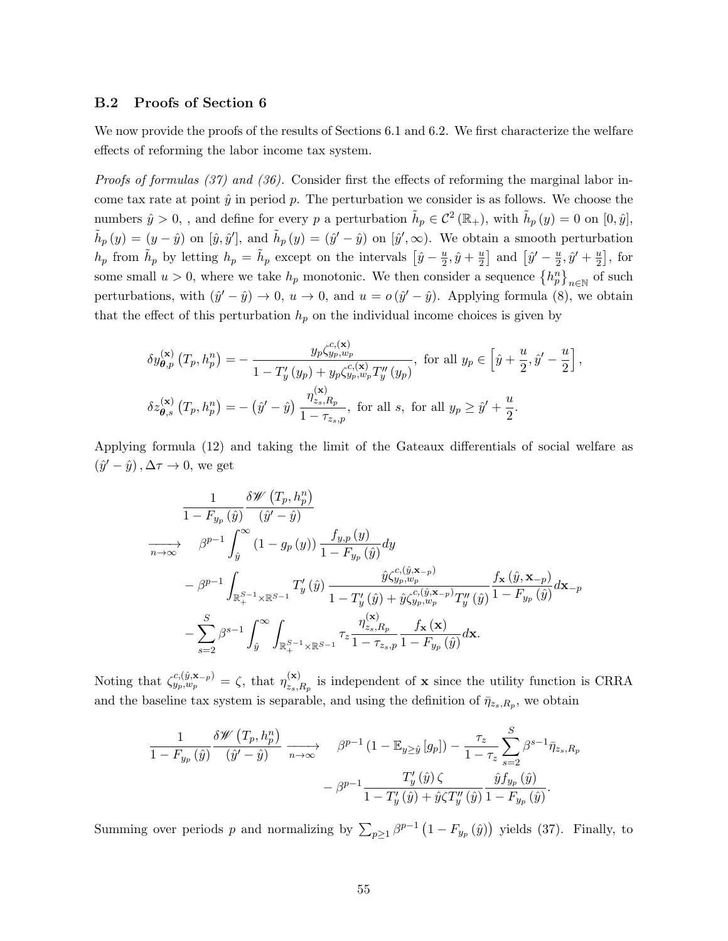#### B.2 Proofs of Section 6

We now provide the proofs of the results of Sections 6.1 and 6.2. We first characterize the welfare effects of reforming the labor income tax system.

Proofs of formulas (37) and (36). Consider first the effects of reforming the marginal labor income tax rate at point  $\hat{y}$  in period p. The perturbation we consider is as follows. We choose the numbers  $\hat{y} > 0$ , , and define for every p a perturbation  $\tilde{h}_p \in C^2(\mathbb{R}_+)$ , with  $\tilde{h}_p(y) = 0$  on  $[0, \hat{y}]$ ,  $\tilde{h}_p(y) = (y - \hat{y})$  on  $[\hat{y}, \hat{y}']$ , and  $\tilde{h}_p(y) = (\hat{y}' - \hat{y})$  on  $[\hat{y}', \infty)$ . We obtain a smooth perturbation  $h_p$  from  $\tilde{h}_p$  by letting  $h_p = \tilde{h}_p$  except on the intervals  $\left[\hat{y} - \frac{u}{2}\right]$  $\frac{u}{2}, \hat{y} + \frac{u}{2}$  $\frac{u}{2}$  and  $\left[\hat{y}' - \frac{u}{2}\right]$  $\frac{u}{2}, \hat{y}' + \frac{u}{2}$  $\frac{u}{2}$ , for some small  $u > 0$ , where we take  $h_p$  monotonic. We then consider a sequence  $\{h_p^n\}_{n \in \mathbb{N}}$  of such perturbations, with  $(\hat{y}' - \hat{y}) \to 0$ ,  $u \to 0$ , and  $u = o(\hat{y}' - \hat{y})$ . Applying formula (8), we obtain that the effect of this perturbation  $h_p$  on the individual income choices is given by

$$
\delta y_{\theta,p}^{(\mathbf{x})} (T_p, h_p^n) = -\frac{y_p \zeta_{y_p, w_p}^{c, (\mathbf{x})}}{1 - T'_y (y_p) + y_p \zeta_{y_p, w_p}^{c, (\mathbf{x})} T''_y (y_p)}, \text{ for all } y_p \in \left[ \hat{y} + \frac{u}{2}, \hat{y}' - \frac{u}{2} \right],
$$
  

$$
\delta z_{\theta, s}^{(\mathbf{x})} (T_p, h_p^n) = -(\hat{y}' - \hat{y}) \frac{\eta_{z_s, R_p}^{(\mathbf{x})}}{1 - \tau_{z_s, p}}, \text{ for all } s, \text{ for all } y_p \ge \hat{y}' + \frac{u}{2}.
$$

Applying formula (12) and taking the limit of the Gateaux differentials of social welfare as  $(\hat{y}' - \hat{y})$ ,  $\Delta \tau \to 0$ , we get

$$
\begin{split} & \frac{1}{1-F_{y_p}\left(\hat{y}\right)}\frac{\delta\mathscr{W}\left(T_p,h_p^n\right)}{\left(\hat{y}'-\hat{y}\right)} \\ \xrightarrow[n\to\infty] & \beta^{p-1}\int_{\hat{y}}^{\infty}\left(1-g_p\left(y\right)\right)\frac{f_{y,p}\left(y\right)}{1-F_{y_p}\left(\hat{y}\right)}dy \\ & -\beta^{p-1}\int_{\mathbb{R}_{+}^{S-1}\times\mathbb{R}^{S-1}}T'_y\left(\hat{y}\right)\frac{\hat{y}\zeta_{y_p,w_p}^{c,(\hat{y},\mathbf{x}_{-p})}}{1-T'_y\left(\hat{y}\right)+\hat{y}\zeta_{y_p,w_p}^{c,(\hat{y},\mathbf{x}_{-p})}T''_y\left(\hat{y}\right)}\frac{f_{\mathbf{x}}\left(\hat{y},\mathbf{x}_{-p}\right)}{1-F_{y_p}\left(\hat{y}\right)}d\mathbf{x}_{-p} \\ & -\sum_{s=2}^{S}\beta^{s-1}\int_{\hat{y}}^{\infty}\int_{\mathbb{R}_{+}^{S-1}\times\mathbb{R}^{S-1}}\tau_{z}\frac{\eta_{z_s,R_p}^{(\mathbf{x})}-f_{\mathbf{x}}\left(\mathbf{x}\right)}{1-F_{y_p}\left(\hat{y}\right)}d\mathbf{x} . \end{split}
$$

Noting that  $\zeta_{y_p,w_p}^{c,(\hat{y},\mathbf{x}_{-p})} = \zeta$ , that  $\eta_{z_{s,p}}^{(\mathbf{x})}$  $\sum_{z_s,R_p}^{(x)}$  is independent of **x** since the utility function is CRRA and the baseline tax system is separable, and using the definition of  $\bar{\eta}_{z_s,R_p}$ , we obtain

$$
\frac{1}{1 - F_{y_p}(\hat{y})} \frac{\delta \mathscr{W}\left(T_p, h_p^n\right)}{\left(\hat{y}' - \hat{y}\right)} \xrightarrow[n \to \infty]{} \beta^{p-1} \left(1 - \mathbb{E}_{y \ge \hat{y}}\left[g_p\right]\right) - \frac{\tau_z}{1 - \tau_z} \sum_{s=2}^S \beta^{s-1} \bar{\eta}_{z_s, R_p} - \beta^{p-1} \frac{T'_y(\hat{y}) \zeta}{1 - T'_y(\hat{y}) + \hat{y} \zeta T''_y(\hat{y})} \frac{\hat{y} f_{y_p}(\hat{y})}{1 - F_{y_p}(\hat{y})}.
$$

Summing over periods p and normalizing by  $\sum_{p\geq 1} \beta^{p-1} (1 - F_{y_p}(\hat{y}))$  yields (37). Finally, to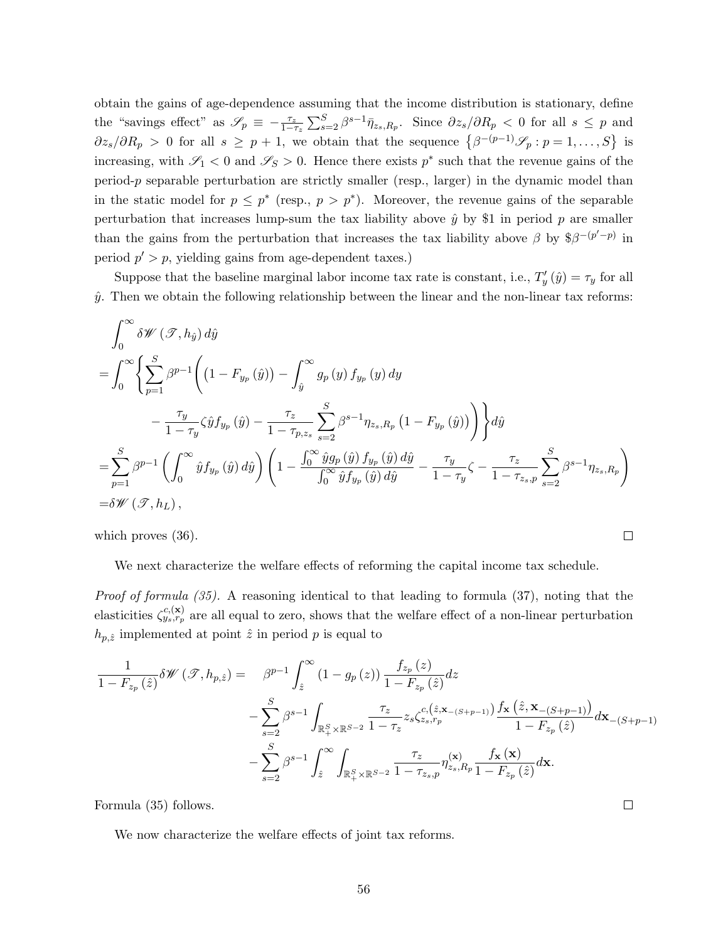obtain the gains of age-dependence assuming that the income distribution is stationary, define the "savings effect" as  $\mathscr{S}_p \equiv -\frac{\tau_z}{1-\tau_z} \sum_{s=2}^S \beta^{s-1} \bar{\eta}_{z_s,R_p}$ . Since  $\partial z_s/\partial R_p < 0$  for all  $s \leq p$  and  $\partial z_s/\partial R_p > 0$  for all  $s \geq p+1$ , we obtain that the sequence  $\{\beta^{-(p-1)}\mathscr{S}_p : p=1,\ldots,S\}$  is increasing, with  $\mathscr{S}_1$  < 0 and  $\mathscr{S}_S$  > 0. Hence there exists  $p^*$  such that the revenue gains of the period-p separable perturbation are strictly smaller (resp., larger) in the dynamic model than in the static model for  $p \leq p^*$  (resp.,  $p > p^*$ ). Moreover, the revenue gains of the separable perturbation that increases lump-sum the tax liability above  $\hat{y}$  by \$1 in period p are smaller than the gains from the perturbation that increases the tax liability above  $\beta$  by  $\beta^{-p' - p}$  in period  $p' > p$ , yielding gains from age-dependent taxes.)

Suppose that the baseline marginal labor income tax rate is constant, i.e.,  $T'_y(\hat{y}) = \tau_y$  for all  $\hat{y}$ . Then we obtain the following relationship between the linear and the non-linear tax reforms:

$$
\int_{0}^{\infty} \delta \mathcal{W}(\mathcal{T}, h_{\hat{y}}) d\hat{y}
$$
\n
$$
= \int_{0}^{\infty} \left\{ \sum_{p=1}^{S} \beta^{p-1} \left( (1 - F_{y_p}(\hat{y})) - \int_{\hat{y}}^{\infty} g_p(y) f_{y_p}(y) dy - \frac{\tau_z}{1 - \tau_{y,z_s}} \sum_{s=2}^{S} \beta^{s-1} \eta_{z_s, R_p} (1 - F_{y_p}(\hat{y})) \right) \right\} d\hat{y}
$$
\n
$$
= \sum_{p=1}^{S} \beta^{p-1} \left( \int_{0}^{\infty} \hat{y} f_{y_p}(\hat{y}) d\hat{y} \right) \left( 1 - \frac{\int_{0}^{\infty} \hat{y} g_p(\hat{y}) f_{y_p}(\hat{y}) d\hat{y}}{\int_{0}^{\infty} \hat{y} f_{y_p}(\hat{y}) d\hat{y}} - \frac{\tau_y}{1 - \tau_y} \zeta - \frac{\tau_z}{1 - \tau_{z_s, p}} \sum_{s=2}^{S} \beta^{s-1} \eta_{z_s, R_p} \right)
$$
\n
$$
= \delta \mathcal{W}(\mathcal{T}, h_L),
$$

which proves (36).

We next characterize the welfare effects of reforming the capital income tax schedule.

 $\Box$ 

 $\Box$ 

Proof of formula (35). A reasoning identical to that leading to formula (37), noting that the elasticities  $\zeta_{y_s,r_p}^{c,(\mathbf{x})}$  are all equal to zero, shows that the welfare effect of a non-linear perturbation  $h_{p,\hat{z}}$  implemented at point  $\hat{z}$  in period p is equal to

$$
\frac{1}{1 - F_{z_p}(\hat{z})} \delta \mathscr{W}(\mathscr{T}, h_{p, \hat{z}}) = \beta^{p-1} \int_{\hat{z}}^{\infty} (1 - g_p(z)) \frac{f_{z_p}(z)}{1 - F_{z_p}(\hat{z})} dz \n- \sum_{s=2}^{S} \beta^{s-1} \int_{\mathbb{R}^S_+ \times \mathbb{R}^{S-2}} \frac{\tau_z}{1 - \tau_z} z_s \zeta_{z_s, r_p}^{c, (\hat{z}, \mathbf{x}_{-(S+p-1)})} \frac{f_{\mathbf{x}}(\hat{z}, \mathbf{x}_{-(S+p-1)})}{1 - F_{z_p}(\hat{z})} d\mathbf{x}_{-(S+p-1)} \n- \sum_{s=2}^{S} \beta^{s-1} \int_{\hat{z}}^{\infty} \int_{\mathbb{R}^S_+ \times \mathbb{R}^{S-2}} \frac{\tau_z}{1 - \tau_{z_s, p}} \eta_{z_s, R_p}^{(\mathbf{x})} \frac{f_{\mathbf{x}}(\mathbf{x})}{1 - F_{z_p}(\hat{z})} d\mathbf{x}.
$$

Formula (35) follows.

We now characterize the welfare effects of joint tax reforms.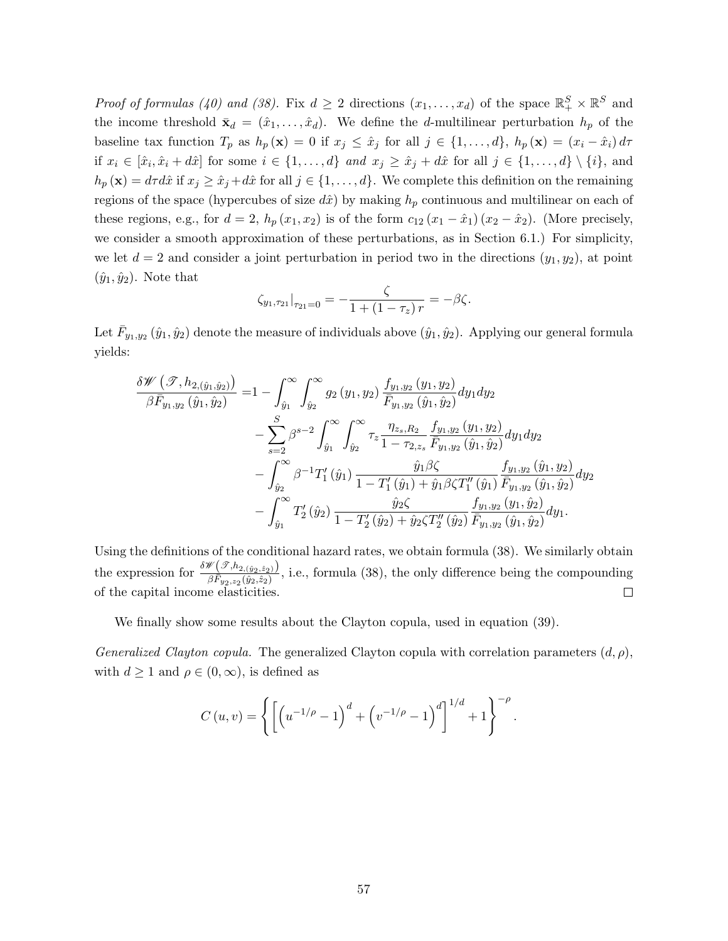*Proof of formulas (40) and (38).* Fix  $d \geq 2$  directions  $(x_1, \ldots, x_d)$  of the space  $\mathbb{R}^S_+ \times \mathbb{R}^S$  and the income threshold  $\bar{\mathbf{x}}_d = (\hat{x}_1, \dots, \hat{x}_d)$ . We define the *d*-multilinear perturbation  $h_p$  of the baseline tax function  $T_p$  as  $h_p(\mathbf{x}) = 0$  if  $x_j \leq \hat{x}_j$  for all  $j \in \{1, ..., d\}$ ,  $h_p(\mathbf{x}) = (x_i - \hat{x}_i) d\tau$ if  $x_i \in [\hat{x}_i, \hat{x}_i + d\hat{x}]$  for some  $i \in \{1, ..., d\}$  and  $x_j \geq \hat{x}_j + d\hat{x}$  for all  $j \in \{1, ..., d\} \setminus \{i\}$ , and  $h_p(\mathbf{x}) = d\tau d\hat{x}$  if  $x_j \geq \hat{x}_j + d\hat{x}$  for all  $j \in \{1, ..., d\}$ . We complete this definition on the remaining regions of the space (hypercubes of size  $d\hat{x}$ ) by making  $h_p$  continuous and multilinear on each of these regions, e.g., for  $d = 2$ ,  $h_p(x_1, x_2)$  is of the form  $c_{12}(x_1 - \hat{x}_1)(x_2 - \hat{x}_2)$ . (More precisely, we consider a smooth approximation of these perturbations, as in Section 6.1.) For simplicity, we let  $d = 2$  and consider a joint perturbation in period two in the directions  $(y_1, y_2)$ , at point  $(\hat{y}_1, \hat{y}_2)$ . Note that

$$
\zeta_{y_1,\tau_{21}}|_{\tau_{21}=0}=-\frac{\zeta}{1+(1-\tau_z) r}=-\beta\zeta.
$$

Let  $\bar{F}_{y_1,y_2}\left(\hat{y}_1,\hat{y}_2\right)$  denote the measure of individuals above  $(\hat{y}_1,\hat{y}_2)$ . Applying our general formula yields:

$$
\frac{\delta \mathscr{W}\left(\mathscr{T},h_{2,(\hat{y}_1,\hat{y}_2)}\right)}{\beta \bar{F}_{y_1,y_2}(\hat{y}_1,\hat{y}_2)} = 1 - \int_{\hat{y}_1}^{\infty} \int_{\hat{y}_2}^{\infty} g_2(y_1,y_2) \frac{f_{y_1,y_2}(y_1,y_2)}{\bar{F}_{y_1,y_2}(\hat{y}_1,\hat{y}_2)} dy_1 dy_2 \n- \sum_{s=2}^{S} \beta^{s-2} \int_{\hat{y}_1}^{\infty} \int_{\hat{y}_2}^{\infty} \tau_z \frac{\eta_{z_s,R_2}}{1 - \tau_{2,z_s}} \frac{f_{y_1,y_2}(y_1,y_2)}{\bar{F}_{y_1,y_2}(\hat{y}_1,\hat{y}_2)} dy_1 dy_2 \n- \int_{\hat{y}_2}^{\infty} \beta^{-1} T_1'(\hat{y}_1) \frac{\hat{y}_1 \beta \zeta}{1 - T_1'(\hat{y}_1) + \hat{y}_1 \beta \zeta T_1''(\hat{y}_1)} \frac{f_{y_1,y_2}(\hat{y}_1,y_2)}{\bar{F}_{y_1,y_2}(\hat{y}_1,\hat{y}_2)} dy_2 \n- \int_{\hat{y}_1}^{\infty} T_2'(\hat{y}_2) \frac{\hat{y}_2 \zeta}{1 - T_2'(\hat{y}_2) + \hat{y}_2 \zeta T_2''(\hat{y}_2)} \frac{f_{y_1,y_2}(y_1,\hat{y}_2)}{\bar{F}_{y_1,y_2}(\hat{y}_1,\hat{y}_2)} dy_1.
$$

Using the definitions of the conditional hazard rates, we obtain formula (38). We similarly obtain the expression for  $\frac{\delta \mathscr{W}(\mathscr{T}, h_{2, (\hat{y}_2, \hat{z}_2)})}{\beta \bar{F}_{y_2, z_2}(\hat{y}_2, \hat{z}_2)}$ , i.e., formula (38), the only difference being the compounding of the capital income elasticities.  $\Box$ 

We finally show some results about the Clayton copula, used in equation (39).

Generalized Clayton copula. The generalized Clayton copula with correlation parameters  $(d, \rho)$ , with  $d \ge 1$  and  $\rho \in (0, \infty)$ , is defined as

$$
C(u,v) = \left\{ \left[ \left( u^{-1/\rho} - 1 \right)^d + \left( v^{-1/\rho} - 1 \right)^d \right]^{1/d} + 1 \right\}^{-\rho}.
$$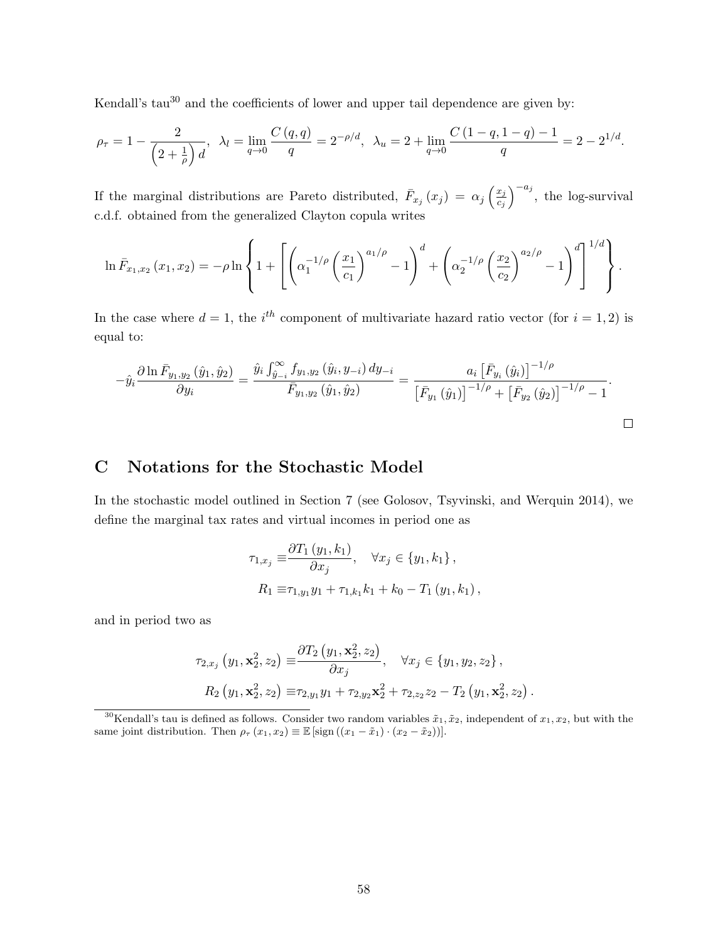Kendall's tau<sup>30</sup> and the coefficients of lower and upper tail dependence are given by:

$$
\rho_{\tau} = 1 - \frac{2}{\left(2 + \frac{1}{\rho}\right)d}, \quad \lambda_l = \lim_{q \to 0} \frac{C\left(q, q\right)}{q} = 2^{-\rho/d}, \quad \lambda_u = 2 + \lim_{q \to 0} \frac{C\left(1 - q, 1 - q\right) - 1}{q} = 2 - 2^{1/d}.
$$

If the marginal distributions are Pareto distributed,  $\bar{F}_{x_j}(x_j) = \alpha_j \left(\frac{x_j}{c_j}\right)$  $\overline{c_j}$  $\int_{0}^{-a_j}$ , the log-survival c.d.f. obtained from the generalized Clayton copula writes

$$
\ln \bar{F}_{x_1,x_2}(x_1,x_2) = -\rho \ln \left\{ 1 + \left[ \left( \alpha_1^{-1/\rho} \left( \frac{x_1}{c_1} \right)^{a_1/\rho} - 1 \right)^d + \left( \alpha_2^{-1/\rho} \left( \frac{x_2}{c_2} \right)^{a_2/\rho} - 1 \right)^d \right]^{1/d} \right\}.
$$

In the case where  $d = 1$ , the i<sup>th</sup> component of multivariate hazard ratio vector (for  $i = 1, 2$ ) is equal to:

$$
-\hat{y}_{i} \frac{\partial \ln \bar{F}_{y_{1},y_{2}}\left(\hat{y}_{1},\hat{y}_{2}\right)}{\partial y_{i}} = \frac{\hat{y}_{i} \int_{\hat{y}_{-i}}^{\infty} f_{y_{1},y_{2}}\left(\hat{y}_{i}, y_{-i}\right) dy_{-i}}{\bar{F}_{y_{1},y_{2}}\left(\hat{y}_{1},\hat{y}_{2}\right)} = \frac{a_{i} \left[\bar{F}_{y_{i}}\left(\hat{y}_{i}\right)\right]^{-1/\rho}}{\left[\bar{F}_{y_{1}}\left(\hat{y}_{1}\right)\right]^{-1/\rho} + \left[\bar{F}_{y_{2}}\left(\hat{y}_{2}\right)\right]^{-1/\rho} - 1}.
$$

## C Notations for the Stochastic Model

In the stochastic model outlined in Section 7 (see Golosov, Tsyvinski, and Werquin 2014), we define the marginal tax rates and virtual incomes in period one as

$$
\tau_{1,x_j} \equiv \frac{\partial T_1(y_1, k_1)}{\partial x_j}, \quad \forall x_j \in \{y_1, k_1\},
$$
  
\n
$$
R_1 \equiv \tau_{1,y_1} y_1 + \tau_{1,k_1} k_1 + k_0 - T_1(y_1, k_1),
$$

and in period two as

$$
\tau_{2,x_j}(y_1, \mathbf{x}_2^2, z_2) \equiv \frac{\partial T_2(y_1, \mathbf{x}_2^2, z_2)}{\partial x_j}, \quad \forall x_j \in \{y_1, y_2, z_2\},
$$
  
\n
$$
R_2(y_1, \mathbf{x}_2^2, z_2) \equiv \tau_{2,y_1} y_1 + \tau_{2,y_2} \mathbf{x}_2^2 + \tau_{2,z_2} z_2 - T_2(y_1, \mathbf{x}_2^2, z_2).
$$

<sup>30</sup>Kendall's tau is defined as follows. Consider two random variables  $\tilde{x}_1, \tilde{x}_2$ , independent of  $x_1, x_2$ , but with the same joint distribution. Then  $\rho_{\tau}(x_1, x_2) \equiv \mathbb{E} [\text{sign}((x_1 - \tilde{x}_1) \cdot (x_2 - \tilde{x}_2))].$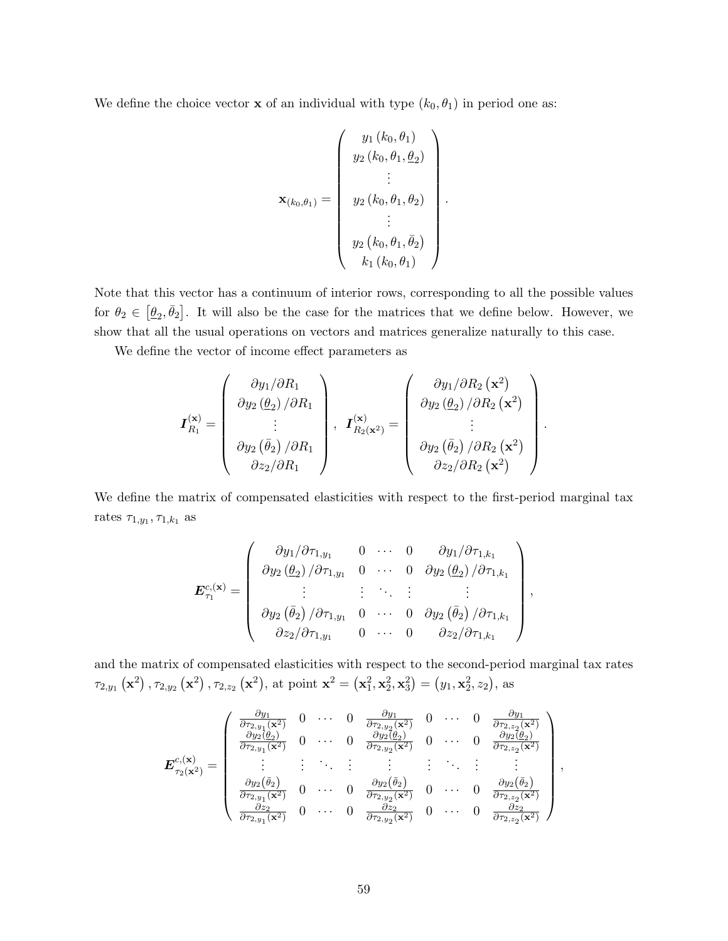We define the choice vector **x** of an individual with type  $(k_0, \theta_1)$  in period one as:

$$
\mathbf{x}_{(k_0,\theta_1)} = \begin{pmatrix} y_1(k_0,\theta_1) \\ y_2(k_0,\theta_1,\theta_2) \\ \vdots \\ y_2(k_0,\theta_1,\theta_2) \\ \vdots \\ y_2(k_0,\theta_1,\bar{\theta}_2) \\ k_1(k_0,\theta_1) \end{pmatrix}
$$

.

Note that this vector has a continuum of interior rows, corresponding to all the possible values for  $\theta_2 \in [\underline{\theta}_2, \overline{\theta}_2]$ . It will also be the case for the matrices that we define below. However, we show that all the usual operations on vectors and matrices generalize naturally to this case.

We define the vector of income effect parameters as

$$
\boldsymbol{I}_{R_1}^{(\mathbf{x})} = \begin{pmatrix} \frac{\partial y_1}{\partial R_1} \\ \frac{\partial y_2}{\partial p_2} \\ \vdots \\ \frac{\partial y_2}{\partial z_2}{\partial R_1} \end{pmatrix}, \ \ \boldsymbol{I}_{R_2(\mathbf{x}^2)}^{(\mathbf{x})} = \begin{pmatrix} \frac{\partial y_1}{\partial R_2} (\mathbf{x}^2) \\ \frac{\partial y_2}{\partial p_2} \\ \vdots \\ \frac{\partial y_2}{\partial z_2}{\partial R_2} (\mathbf{x}^2) \end{pmatrix}.
$$

We define the matrix of compensated elasticities with respect to the first-period marginal tax rates  $\tau_{1,y_1}, \tau_{1,k_1}$  as

$$
\boldsymbol{E}_{\tau_1}^{c,(\mathbf{x})} = \begin{pmatrix} \frac{\partial y_1}{\partial \tau_{1,y_1}} & 0 & \cdots & 0 & \frac{\partial y_1}{\partial \tau_{1,k_1}} \\ \frac{\partial y_2}{\partial \rho_{2}} & \frac{\partial y_2}{\partial \tau_{1,y_1}} & 0 & \cdots & 0 & \frac{\partial y_2}{\partial \rho_{2}} \\ \vdots & \vdots & \ddots & \vdots & \vdots \\ \frac{\partial y_2}{\partial \rho_{2}} & \frac{\partial y_2}{\partial \tau_{1,y_1}} & 0 & \cdots & 0 & \frac{\partial y_2}{\partial \rho_{2}} \\ \frac{\partial z_2}{\partial \tau_{1,y_1}} & 0 & \cdots & 0 & \frac{\partial z_2}{\partial \tau_{1,k_1}} \end{pmatrix},
$$

and the matrix of compensated elasticities with respect to the second-period marginal tax rates  $\tau_{2,y_1}\left(\mathbf{x}^2\right), \tau_{2,y_2}\left(\mathbf{x}^2\right), \tau_{2,z_2}\left(\mathbf{x}^2\right)$ , at point  $\mathbf{x}^2 = \left(\mathbf{x}_1^2, \mathbf{x}_2^2, \mathbf{x}_3^2\right) = \left(y_1, \mathbf{x}_2^2, z_2\right)$ , as

$$
\mathbf{E}_{\tau_2(\mathbf{x}^2)}^{c,(\mathbf{x})} = \begin{pmatrix} \frac{\partial y_1}{\partial \tau_{2,y_1}(\mathbf{x}^2)} & 0 & \cdots & 0 & \frac{\partial y_1}{\partial \tau_{2,y_2}(\mathbf{x}^2)} & 0 & \cdots & 0 & \frac{\partial y_1}{\partial \tau_{2,z_2}(\mathbf{x}^2)} \\ \frac{\partial y_2(\theta_2)}{\partial \tau_{2,y_1}(\mathbf{x}^2)} & 0 & \cdots & 0 & \frac{\partial y_2(\theta_2)}{\partial \tau_{2,y_2}(\mathbf{x}^2)} & 0 & \cdots & 0 & \frac{\partial y_2(\theta_2)}{\partial \tau_{2,z_2}(\mathbf{x}^2)} \\ \vdots & \vdots & \ddots & \vdots & \vdots & \ddots & \vdots & \vdots \\ \frac{\partial y_2(\bar{\theta}_2)}{\partial \tau_{2,y_1}(\mathbf{x}^2)} & 0 & \cdots & 0 & \frac{\partial y_2(\bar{\theta}_2)}{\partial \tau_{2,y_2}(\mathbf{x}^2)} & 0 & \cdots & 0 & \frac{\partial y_2(\bar{\theta}_2)}{\partial \tau_{2,z_2}(\mathbf{x}^2)} \\ \frac{\partial z_2}{\partial \tau_{2,y_1}(\mathbf{x}^2)} & 0 & \cdots & 0 & \frac{\partial z_2}{\partial \tau_{2,y_2}(\mathbf{x}^2)} & 0 & \cdots & 0 & \frac{\partial z_2}{\partial \tau_{2,z_2}(\mathbf{x}^2)} \end{pmatrix},
$$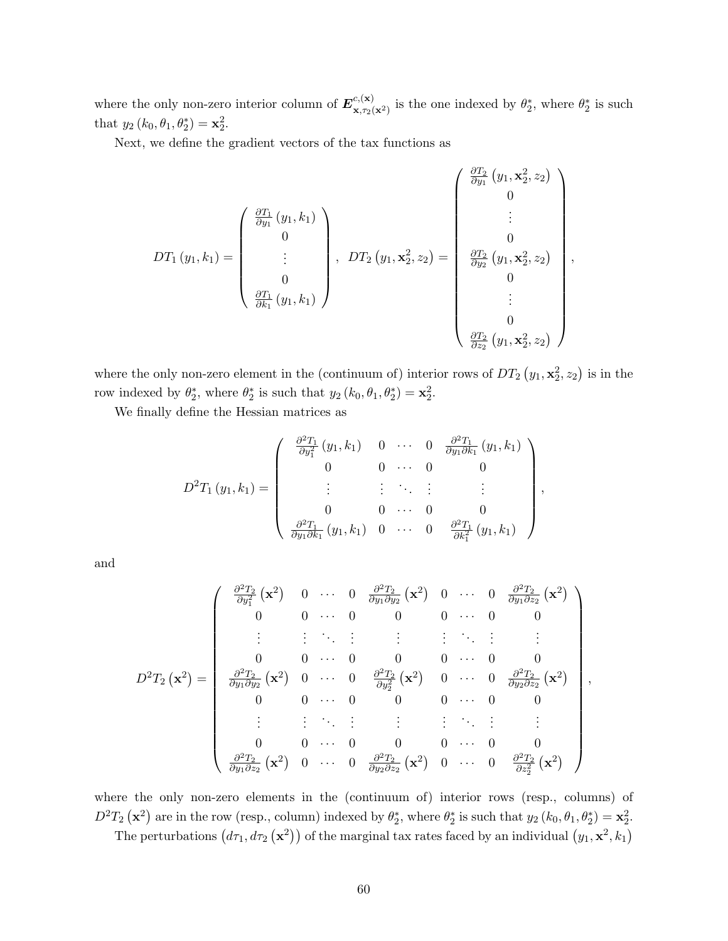where the only non-zero interior column of  $E^{c,(\mathbf{x})}_{\mathbf{x},\mathbf{x}^{\infty}}$  $\mathbf{x}, \mathbf{x}_2(\mathbf{x}^2)$  is the one indexed by  $\theta_2^*$ , where  $\theta_2^*$  is such that  $y_2 (k_0, \theta_1, \theta_2^*) = \mathbf{x}_2^2$ .

Next, we define the gradient vectors of the tax functions as

$$
DT_1(y_1, k_1) = \begin{pmatrix} \frac{\partial T_1}{\partial y_1}(y_1, k_1) \\ 0 \\ \vdots \\ 0 \\ \frac{\partial T_1}{\partial k_1}(y_1, k_1) \end{pmatrix}, DT_2(y_1, \mathbf{x}_2^2, z_2) = \begin{pmatrix} \frac{\partial T_2}{\partial y_1}(y_1, \mathbf{x}_2^2, z_2) \\ 0 \\ \vdots \\ 0 \\ 0 \\ \frac{\partial T_2}{\partial z_2}(y_1, \mathbf{x}_2^2, z_2) \end{pmatrix},
$$

where the only non-zero element in the (continuum of) interior rows of  $DT_2(y_1, \mathbf{x}_2^2, z_2)$  is in the row indexed by  $\theta_2^*$ , where  $\theta_2^*$  is such that  $y_2(k_0, \theta_1, \theta_2^*) = \mathbf{x}_2^2$ .

We finally define the Hessian matrices as

$$
D^{2}T_{1}(y_{1},k_{1}) = \begin{pmatrix} \frac{\partial^{2}T_{1}}{\partial y_{1}^{2}}(y_{1},k_{1}) & 0 & \cdots & 0 & \frac{\partial^{2}T_{1}}{\partial y_{1}\partial k_{1}}(y_{1},k_{1}) \\ 0 & 0 & \cdots & 0 & 0 \\ \vdots & \vdots & \ddots & \vdots & \vdots \\ 0 & 0 & \cdots & 0 & 0 \\ \frac{\partial^{2}T_{1}}{\partial y_{1}\partial k_{1}}(y_{1},k_{1}) & 0 & \cdots & 0 & \frac{\partial^{2}T_{1}}{\partial k_{1}^{2}}(y_{1},k_{1}) \end{pmatrix}
$$

,

and

$$
D^{2}T_{2}\left(\mathbf{x}^{2}\right) = \begin{pmatrix} \frac{\partial^{2}T_{2}}{\partial y_{1}^{2}}\left(\mathbf{x}^{2}\right) & 0 & \cdots & 0 & \frac{\partial^{2}T_{2}}{\partial y_{1}\partial y_{2}}\left(\mathbf{x}^{2}\right) & 0 & \cdots & 0 & \frac{\partial^{2}T_{2}}{\partial y_{1}\partial z_{2}}\left(\mathbf{x}^{2}\right) \\ 0 & 0 & \cdots & 0 & 0 & 0 & \cdots & 0 & 0 \\ \vdots & \vdots & \ddots & \vdots & \vdots & \vdots & \ddots & \vdots & \vdots \\ 0 & 0 & \cdots & 0 & 0 & 0 & \cdots & 0 & 0 \\ \frac{\partial^{2}T_{2}}{\partial y_{1}\partial y_{2}}\left(\mathbf{x}^{2}\right) & 0 & \cdots & 0 & \frac{\partial^{2}T_{2}}{\partial y_{2}^{2}}\left(\mathbf{x}^{2}\right) & 0 & \cdots & 0 & 0 \\ 0 & 0 & \cdots & 0 & 0 & 0 & \cdots & 0 & 0 \\ \vdots & \vdots & \ddots & \vdots & \vdots & \vdots & \ddots & \vdots & \vdots \\ 0 & 0 & \cdots & 0 & 0 & 0 & \cdots & 0 & 0 \\ \frac{\partial^{2}T_{2}}{\partial y_{1}\partial z_{2}}\left(\mathbf{x}^{2}\right) & 0 & \cdots & 0 & \frac{\partial^{2}T_{2}}{\partial y_{2}\partial z_{2}}\left(\mathbf{x}^{2}\right) & 0 & \cdots & 0 & \frac{\partial^{2}T_{2}}{\partial z_{2}^{2}}\left(\mathbf{x}^{2}\right) \end{pmatrix},
$$

where the only non-zero elements in the (continuum of) interior rows (resp., columns) of  $D^2T_2(\mathbf{x}^2)$  are in the row (resp., column) indexed by  $\theta_2^*$ , where  $\theta_2^*$  is such that  $y_2(k_0, \theta_1, \theta_2^*) = \mathbf{x}_2^2$ .

The perturbations  $(d\tau_1, d\tau_2(\mathbf{x}^2))$  of the marginal tax rates faced by an individual  $(y_1, \mathbf{x}^2, k_1)$